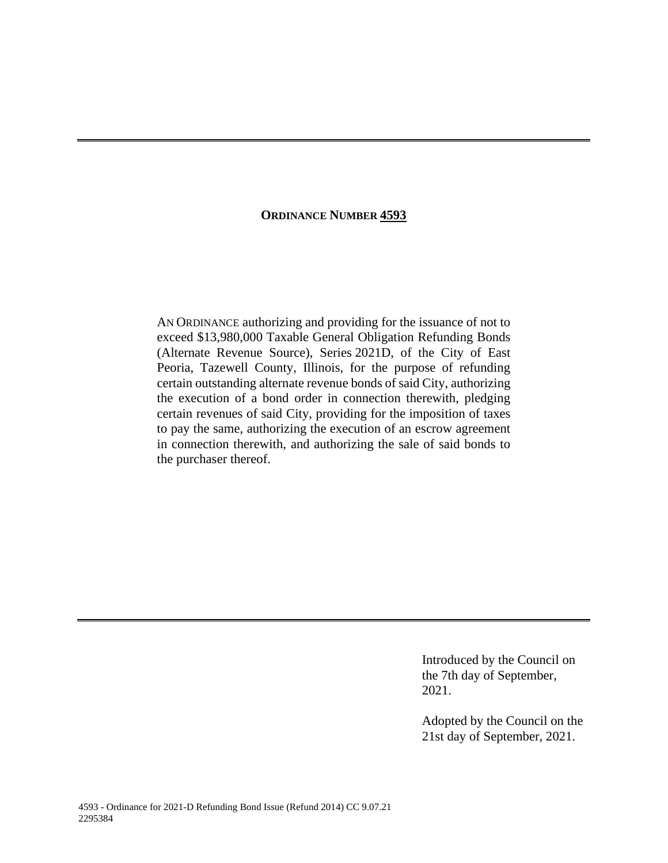# **ORDINANCE NUMBER 4593**

AN ORDINANCE authorizing and providing for the issuance of not to exceed \$13,980,000 Taxable General Obligation Refunding Bonds (Alternate Revenue Source), Series 2021D, of the City of East Peoria, Tazewell County, Illinois, for the purpose of refunding certain outstanding alternate revenue bonds of said City, authorizing the execution of a bond order in connection therewith, pledging certain revenues of said City, providing for the imposition of taxes to pay the same, authorizing the execution of an escrow agreement in connection therewith, and authorizing the sale of said bonds to the purchaser thereof.

> Introduced by the Council on the 7th day of September, 2021.

Adopted by the Council on the 21st day of September, 2021.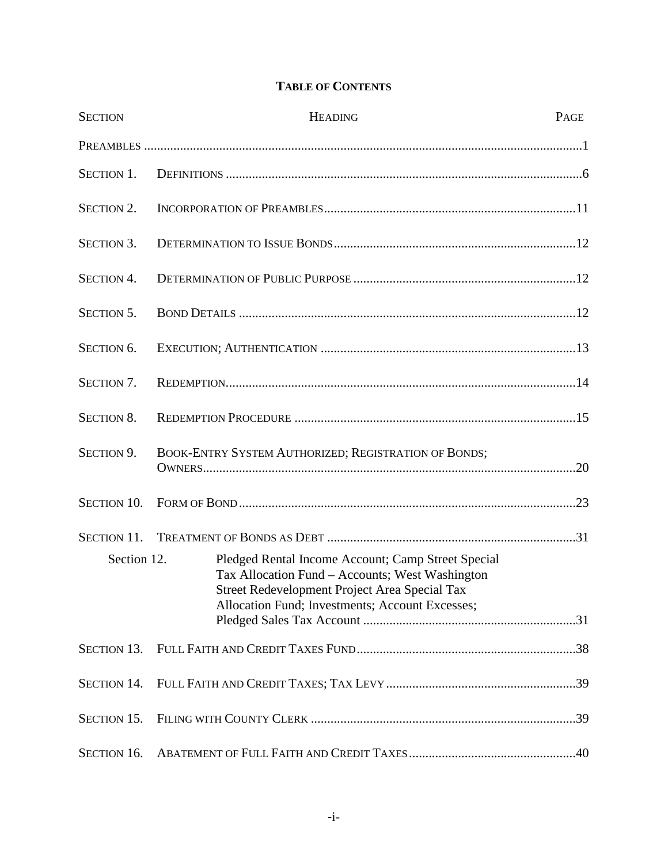# **TABLE OF CONTENTS**

| <b>SECTION</b>     | <b>HEADING</b>                                                                                                                                                                                            | PAGE |  |
|--------------------|-----------------------------------------------------------------------------------------------------------------------------------------------------------------------------------------------------------|------|--|
|                    |                                                                                                                                                                                                           |      |  |
| <b>SECTION 1.</b>  |                                                                                                                                                                                                           |      |  |
| <b>SECTION 2.</b>  |                                                                                                                                                                                                           |      |  |
| <b>SECTION 3.</b>  |                                                                                                                                                                                                           |      |  |
| <b>SECTION 4.</b>  |                                                                                                                                                                                                           |      |  |
| <b>SECTION 5.</b>  |                                                                                                                                                                                                           |      |  |
| SECTION 6.         |                                                                                                                                                                                                           |      |  |
| SECTION 7.         |                                                                                                                                                                                                           |      |  |
| <b>SECTION 8.</b>  |                                                                                                                                                                                                           |      |  |
| SECTION 9.         | BOOK-ENTRY SYSTEM AUTHORIZED; REGISTRATION OF BONDS;                                                                                                                                                      |      |  |
| <b>SECTION 10.</b> |                                                                                                                                                                                                           |      |  |
| <b>SECTION 11.</b> |                                                                                                                                                                                                           |      |  |
| Section 12.        | Pledged Rental Income Account; Camp Street Special<br>Tax Allocation Fund – Accounts; West Washington<br>Street Redevelopment Project Area Special Tax<br>Allocation Fund; Investments; Account Excesses; |      |  |
|                    |                                                                                                                                                                                                           |      |  |
| <b>SECTION 14.</b> |                                                                                                                                                                                                           |      |  |
| SECTION 15.        |                                                                                                                                                                                                           |      |  |
| SECTION 16.        |                                                                                                                                                                                                           |      |  |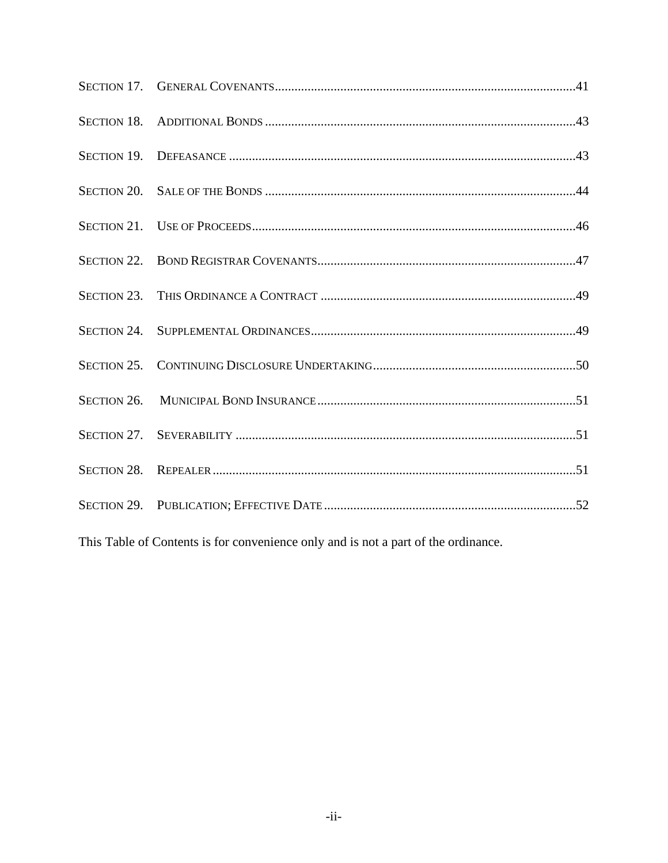This Table of Contents is for convenience only and is not a part of the ordinance.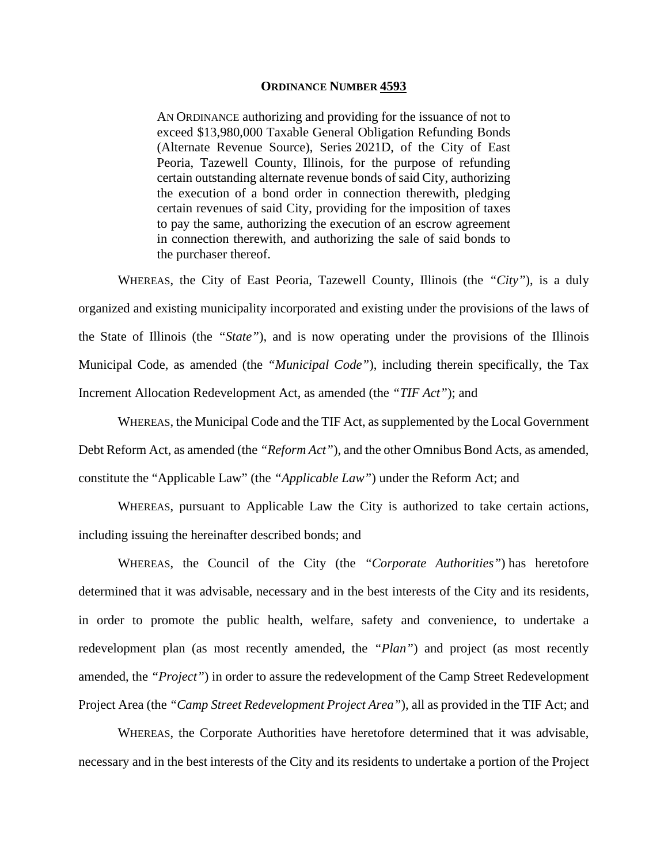#### **ORDINANCE NUMBER 4593**

AN ORDINANCE authorizing and providing for the issuance of not to exceed \$13,980,000 Taxable General Obligation Refunding Bonds (Alternate Revenue Source), Series 2021D, of the City of East Peoria, Tazewell County, Illinois, for the purpose of refunding certain outstanding alternate revenue bonds of said City, authorizing the execution of a bond order in connection therewith, pledging certain revenues of said City, providing for the imposition of taxes to pay the same, authorizing the execution of an escrow agreement in connection therewith, and authorizing the sale of said bonds to the purchaser thereof.

WHEREAS, the City of East Peoria, Tazewell County, Illinois (the *"City"*), is a duly organized and existing municipality incorporated and existing under the provisions of the laws of the State of Illinois (the *"State"*), and is now operating under the provisions of the Illinois Municipal Code, as amended (the *"Municipal Code"*), including therein specifically, the Tax Increment Allocation Redevelopment Act, as amended (the *"TIF Act"*); and

WHEREAS, the Municipal Code and the TIF Act, as supplemented by the Local Government Debt Reform Act, as amended (the *"Reform Act"*), and the other Omnibus Bond Acts, as amended, constitute the "Applicable Law" (the *"Applicable Law"*) under the Reform Act; and

WHEREAS, pursuant to Applicable Law the City is authorized to take certain actions, including issuing the hereinafter described bonds; and

WHEREAS, the Council of the City (the *"Corporate Authorities"*) has heretofore determined that it was advisable, necessary and in the best interests of the City and its residents, in order to promote the public health, welfare, safety and convenience, to undertake a redevelopment plan (as most recently amended, the *"Plan"*) and project (as most recently amended, the *"Project"*) in order to assure the redevelopment of the Camp Street Redevelopment Project Area (the *"Camp Street Redevelopment Project Area"*), all as provided in the TIF Act; and

WHEREAS, the Corporate Authorities have heretofore determined that it was advisable, necessary and in the best interests of the City and its residents to undertake a portion of the Project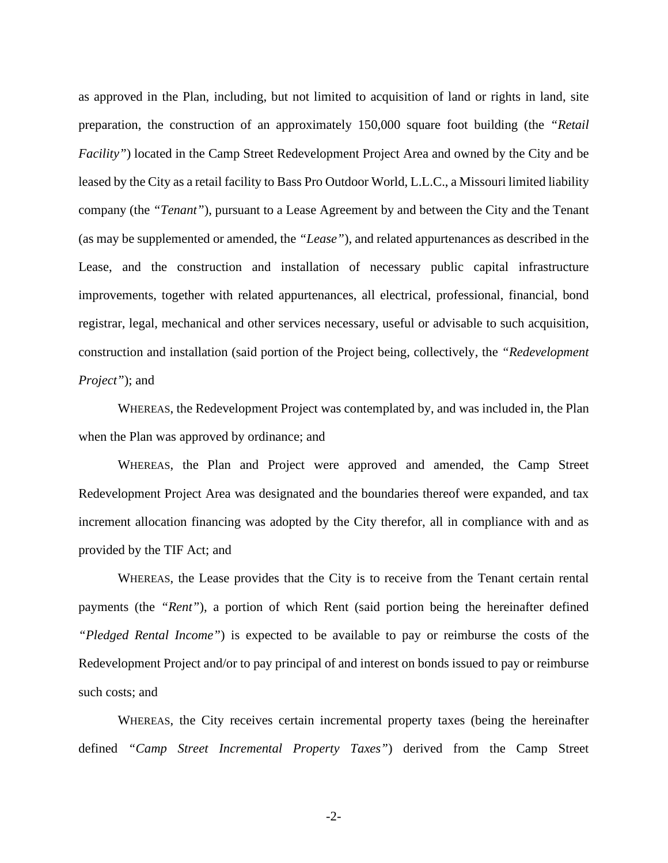as approved in the Plan, including, but not limited to acquisition of land or rights in land, site preparation, the construction of an approximately 150,000 square foot building (the *"Retail Facility*") located in the Camp Street Redevelopment Project Area and owned by the City and be leased by the City as a retail facility to Bass Pro Outdoor World, L.L.C., a Missouri limited liability company (the *"Tenant"*), pursuant to a Lease Agreement by and between the City and the Tenant (as may be supplemented or amended, the *"Lease"*), and related appurtenances as described in the Lease, and the construction and installation of necessary public capital infrastructure improvements, together with related appurtenances, all electrical, professional, financial, bond registrar, legal, mechanical and other services necessary, useful or advisable to such acquisition, construction and installation (said portion of the Project being, collectively, the *"Redevelopment Project"*); and

WHEREAS, the Redevelopment Project was contemplated by, and was included in, the Plan when the Plan was approved by ordinance; and

WHEREAS, the Plan and Project were approved and amended, the Camp Street Redevelopment Project Area was designated and the boundaries thereof were expanded, and tax increment allocation financing was adopted by the City therefor, all in compliance with and as provided by the TIF Act; and

WHEREAS, the Lease provides that the City is to receive from the Tenant certain rental payments (the *"Rent"*), a portion of which Rent (said portion being the hereinafter defined *"Pledged Rental Income"*) is expected to be available to pay or reimburse the costs of the Redevelopment Project and/or to pay principal of and interest on bonds issued to pay or reimburse such costs; and

WHEREAS, the City receives certain incremental property taxes (being the hereinafter defined *"Camp Street Incremental Property Taxes"*) derived from the Camp Street

-2-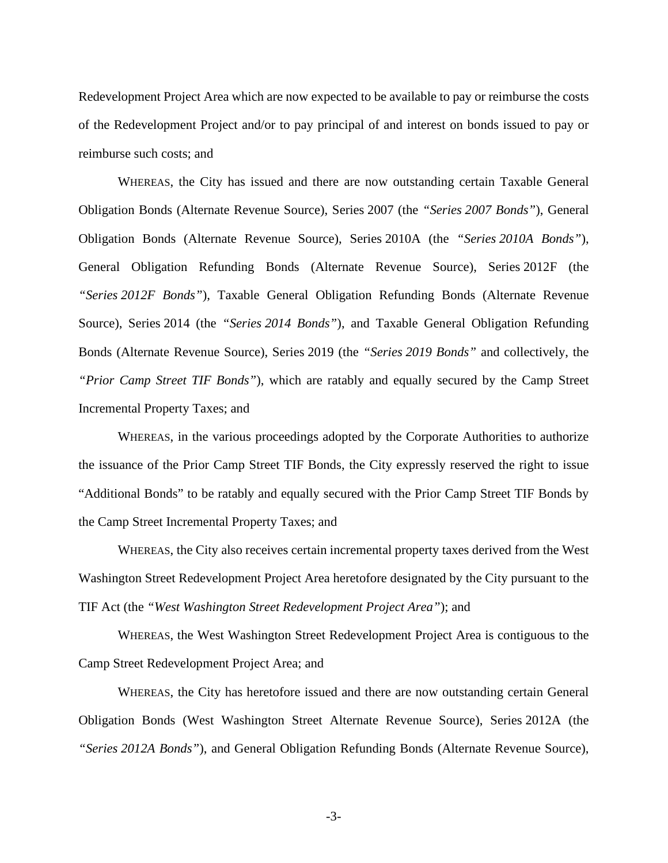Redevelopment Project Area which are now expected to be available to pay or reimburse the costs of the Redevelopment Project and/or to pay principal of and interest on bonds issued to pay or reimburse such costs; and

WHEREAS, the City has issued and there are now outstanding certain Taxable General Obligation Bonds (Alternate Revenue Source), Series 2007 (the *"Series 2007 Bonds"*), General Obligation Bonds (Alternate Revenue Source), Series 2010A (the *"Series 2010A Bonds"*), General Obligation Refunding Bonds (Alternate Revenue Source), Series 2012F (the *"Series 2012F Bonds"*), Taxable General Obligation Refunding Bonds (Alternate Revenue Source), Series 2014 (the *"Series 2014 Bonds"*), and Taxable General Obligation Refunding Bonds (Alternate Revenue Source), Series 2019 (the *"Series 2019 Bonds"* and collectively, the *"Prior Camp Street TIF Bonds"*), which are ratably and equally secured by the Camp Street Incremental Property Taxes; and

WHEREAS, in the various proceedings adopted by the Corporate Authorities to authorize the issuance of the Prior Camp Street TIF Bonds, the City expressly reserved the right to issue "Additional Bonds" to be ratably and equally secured with the Prior Camp Street TIF Bonds by the Camp Street Incremental Property Taxes; and

WHEREAS, the City also receives certain incremental property taxes derived from the West Washington Street Redevelopment Project Area heretofore designated by the City pursuant to the TIF Act (the *"West Washington Street Redevelopment Project Area"*); and

WHEREAS, the West Washington Street Redevelopment Project Area is contiguous to the Camp Street Redevelopment Project Area; and

WHEREAS, the City has heretofore issued and there are now outstanding certain General Obligation Bonds (West Washington Street Alternate Revenue Source), Series 2012A (the *"Series 2012A Bonds"*), and General Obligation Refunding Bonds (Alternate Revenue Source),

-3-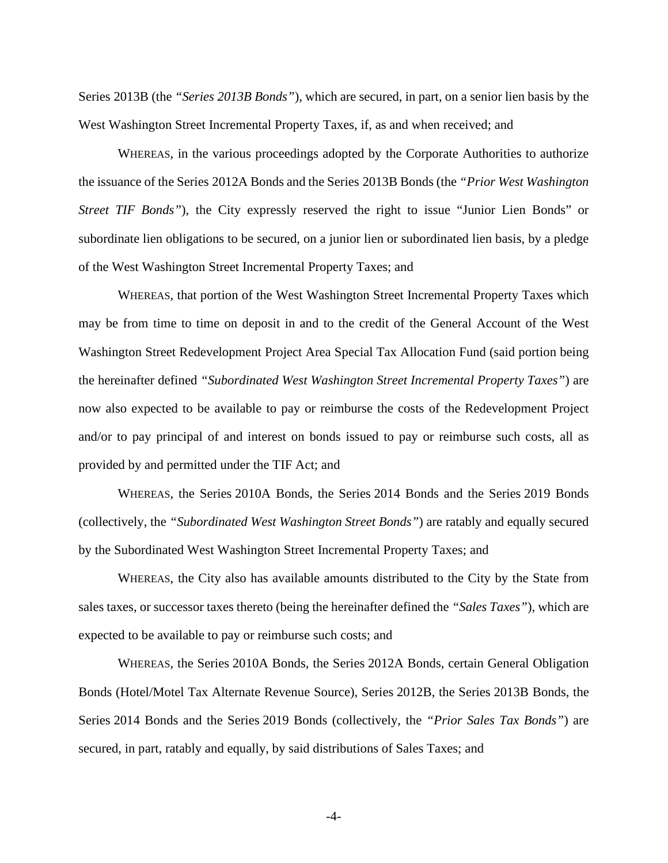Series 2013B (the *"Series 2013B Bonds"*), which are secured, in part, on a senior lien basis by the West Washington Street Incremental Property Taxes, if, as and when received; and

WHEREAS, in the various proceedings adopted by the Corporate Authorities to authorize the issuance of the Series 2012A Bonds and the Series 2013B Bonds (the *"Prior West Washington Street TIF Bonds"*), the City expressly reserved the right to issue "Junior Lien Bonds" or subordinate lien obligations to be secured, on a junior lien or subordinated lien basis, by a pledge of the West Washington Street Incremental Property Taxes; and

WHEREAS, that portion of the West Washington Street Incremental Property Taxes which may be from time to time on deposit in and to the credit of the General Account of the West Washington Street Redevelopment Project Area Special Tax Allocation Fund (said portion being the hereinafter defined *"Subordinated West Washington Street Incremental Property Taxes"*) are now also expected to be available to pay or reimburse the costs of the Redevelopment Project and/or to pay principal of and interest on bonds issued to pay or reimburse such costs, all as provided by and permitted under the TIF Act; and

WHEREAS, the Series 2010A Bonds, the Series 2014 Bonds and the Series 2019 Bonds (collectively, the *"Subordinated West Washington Street Bonds"*) are ratably and equally secured by the Subordinated West Washington Street Incremental Property Taxes; and

WHEREAS, the City also has available amounts distributed to the City by the State from sales taxes, or successor taxes thereto (being the hereinafter defined the *"Sales Taxes"*), which are expected to be available to pay or reimburse such costs; and

WHEREAS, the Series 2010A Bonds, the Series 2012A Bonds, certain General Obligation Bonds (Hotel/Motel Tax Alternate Revenue Source), Series 2012B, the Series 2013B Bonds, the Series 2014 Bonds and the Series 2019 Bonds (collectively, the *"Prior Sales Tax Bonds"*) are secured, in part, ratably and equally, by said distributions of Sales Taxes; and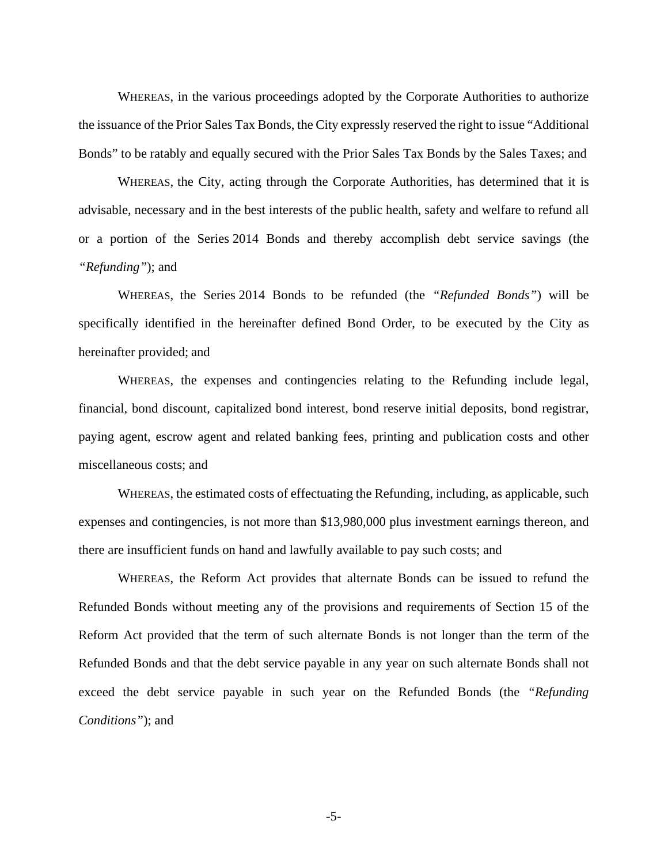WHEREAS, in the various proceedings adopted by the Corporate Authorities to authorize the issuance of the Prior Sales Tax Bonds, the City expressly reserved the right to issue "Additional Bonds" to be ratably and equally secured with the Prior Sales Tax Bonds by the Sales Taxes; and

WHEREAS, the City, acting through the Corporate Authorities, has determined that it is advisable, necessary and in the best interests of the public health, safety and welfare to refund all or a portion of the Series 2014 Bonds and thereby accomplish debt service savings (the *"Refunding"*); and

WHEREAS, the Series 2014 Bonds to be refunded (the *"Refunded Bonds"*) will be specifically identified in the hereinafter defined Bond Order, to be executed by the City as hereinafter provided; and

WHEREAS, the expenses and contingencies relating to the Refunding include legal, financial, bond discount, capitalized bond interest, bond reserve initial deposits, bond registrar, paying agent, escrow agent and related banking fees, printing and publication costs and other miscellaneous costs; and

WHEREAS, the estimated costs of effectuating the Refunding, including, as applicable, such expenses and contingencies, is not more than \$13,980,000 plus investment earnings thereon, and there are insufficient funds on hand and lawfully available to pay such costs; and

WHEREAS, the Reform Act provides that alternate Bonds can be issued to refund the Refunded Bonds without meeting any of the provisions and requirements of Section 15 of the Reform Act provided that the term of such alternate Bonds is not longer than the term of the Refunded Bonds and that the debt service payable in any year on such alternate Bonds shall not exceed the debt service payable in such year on the Refunded Bonds (the *"Refunding Conditions"*); and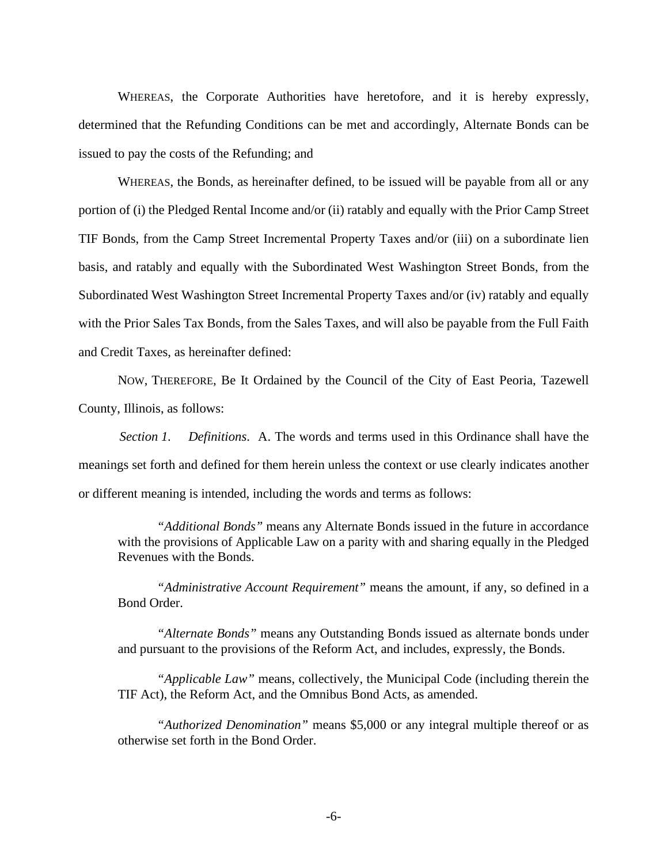WHEREAS, the Corporate Authorities have heretofore, and it is hereby expressly, determined that the Refunding Conditions can be met and accordingly, Alternate Bonds can be issued to pay the costs of the Refunding; and

WHEREAS, the Bonds, as hereinafter defined, to be issued will be payable from all or any portion of (i) the Pledged Rental Income and/or (ii) ratably and equally with the Prior Camp Street TIF Bonds, from the Camp Street Incremental Property Taxes and/or (iii) on a subordinate lien basis, and ratably and equally with the Subordinated West Washington Street Bonds, from the Subordinated West Washington Street Incremental Property Taxes and/or (iv) ratably and equally with the Prior Sales Tax Bonds, from the Sales Taxes, and will also be payable from the Full Faith and Credit Taxes, as hereinafter defined:

NOW, THEREFORE, Be It Ordained by the Council of the City of East Peoria, Tazewell County, Illinois, as follows:

*Section 1. Definitions*. A. The words and terms used in this Ordinance shall have the meanings set forth and defined for them herein unless the context or use clearly indicates another or different meaning is intended, including the words and terms as follows:

*"Additional Bonds"* means any Alternate Bonds issued in the future in accordance with the provisions of Applicable Law on a parity with and sharing equally in the Pledged Revenues with the Bonds.

*"Administrative Account Requirement"* means the amount, if any, so defined in a Bond Order.

*"Alternate Bonds"* means any Outstanding Bonds issued as alternate bonds under and pursuant to the provisions of the Reform Act, and includes, expressly, the Bonds.

*"Applicable Law"* means, collectively, the Municipal Code (including therein the TIF Act), the Reform Act, and the Omnibus Bond Acts, as amended.

*"Authorized Denomination"* means \$5,000 or any integral multiple thereof or as otherwise set forth in the Bond Order.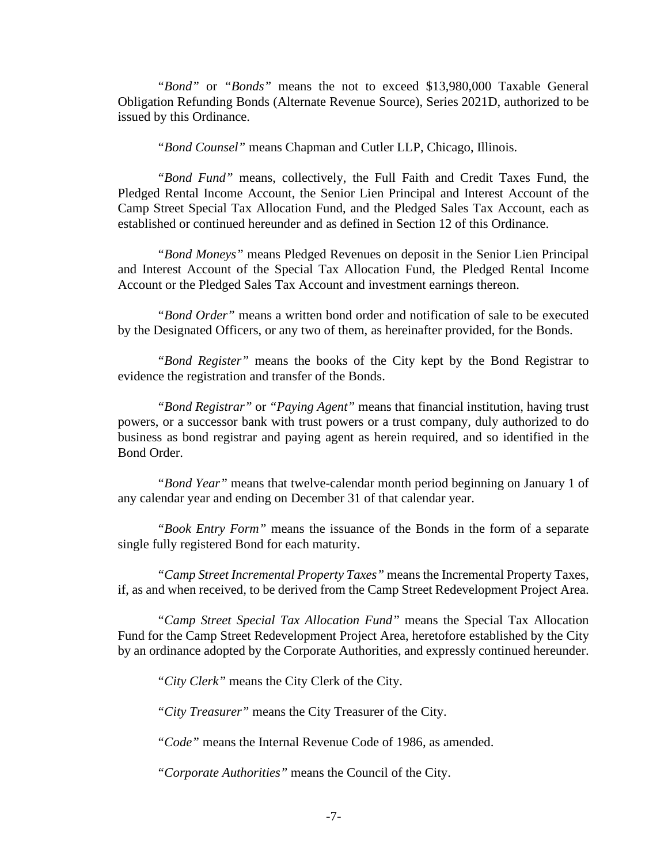*"Bond"* or *"Bonds"* means the not to exceed \$13,980,000 Taxable General Obligation Refunding Bonds (Alternate Revenue Source), Series 2021D, authorized to be issued by this Ordinance.

*"Bond Counsel"* means Chapman and Cutler LLP, Chicago, Illinois.

*"Bond Fund"* means, collectively, the Full Faith and Credit Taxes Fund, the Pledged Rental Income Account, the Senior Lien Principal and Interest Account of the Camp Street Special Tax Allocation Fund, and the Pledged Sales Tax Account, each as established or continued hereunder and as defined in Section 12 of this Ordinance.

*"Bond Moneys"* means Pledged Revenues on deposit in the Senior Lien Principal and Interest Account of the Special Tax Allocation Fund, the Pledged Rental Income Account or the Pledged Sales Tax Account and investment earnings thereon.

*"Bond Order"* means a written bond order and notification of sale to be executed by the Designated Officers, or any two of them, as hereinafter provided, for the Bonds.

*"Bond Register"* means the books of the City kept by the Bond Registrar to evidence the registration and transfer of the Bonds.

*"Bond Registrar"* or *"Paying Agent"* means that financial institution, having trust powers, or a successor bank with trust powers or a trust company, duly authorized to do business as bond registrar and paying agent as herein required, and so identified in the Bond Order.

*"Bond Year"* means that twelve-calendar month period beginning on January 1 of any calendar year and ending on December 31 of that calendar year.

*"Book Entry Form"* means the issuance of the Bonds in the form of a separate single fully registered Bond for each maturity.

*"Camp Street Incremental Property Taxes"* means the Incremental Property Taxes, if, as and when received, to be derived from the Camp Street Redevelopment Project Area.

*"Camp Street Special Tax Allocation Fund"* means the Special Tax Allocation Fund for the Camp Street Redevelopment Project Area, heretofore established by the City by an ordinance adopted by the Corporate Authorities, and expressly continued hereunder.

*"City Clerk"* means the City Clerk of the City.

*"City Treasurer"* means the City Treasurer of the City.

*"Code"* means the Internal Revenue Code of 1986, as amended.

*"Corporate Authorities"* means the Council of the City.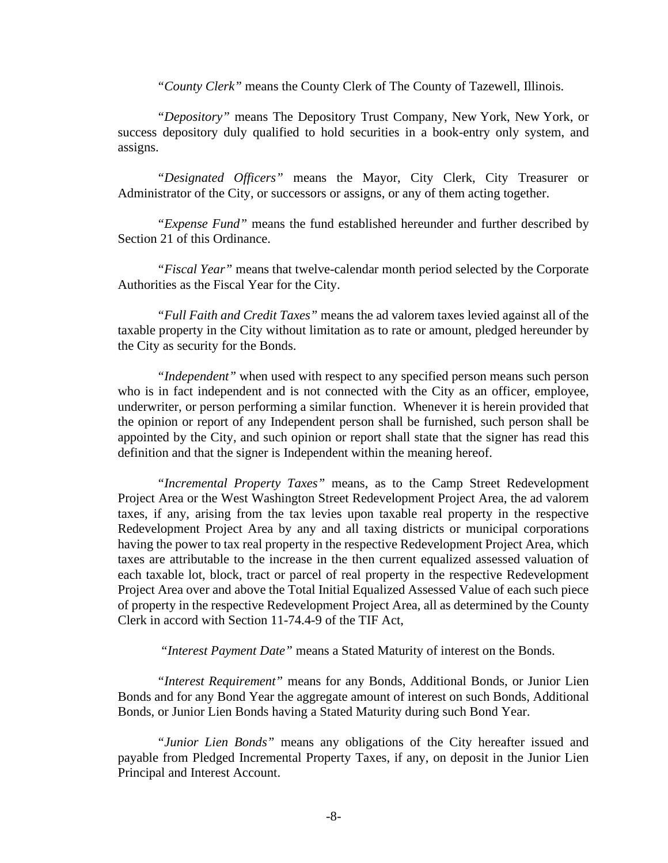*"County Clerk"* means the County Clerk of The County of Tazewell, Illinois.

*"Depository"* means The Depository Trust Company, New York, New York, or success depository duly qualified to hold securities in a book-entry only system, and assigns.

*"Designated Officers"* means the Mayor, City Clerk, City Treasurer or Administrator of the City, or successors or assigns, or any of them acting together.

*"Expense Fund"* means the fund established hereunder and further described by Section 21 of this Ordinance.

*"Fiscal Year"* means that twelve-calendar month period selected by the Corporate Authorities as the Fiscal Year for the City.

*"Full Faith and Credit Taxes"* means the ad valorem taxes levied against all of the taxable property in the City without limitation as to rate or amount, pledged hereunder by the City as security for the Bonds.

*"Independent"* when used with respect to any specified person means such person who is in fact independent and is not connected with the City as an officer, employee, underwriter, or person performing a similar function. Whenever it is herein provided that the opinion or report of any Independent person shall be furnished, such person shall be appointed by the City, and such opinion or report shall state that the signer has read this definition and that the signer is Independent within the meaning hereof.

*"Incremental Property Taxes"* means, as to the Camp Street Redevelopment Project Area or the West Washington Street Redevelopment Project Area, the ad valorem taxes, if any, arising from the tax levies upon taxable real property in the respective Redevelopment Project Area by any and all taxing districts or municipal corporations having the power to tax real property in the respective Redevelopment Project Area, which taxes are attributable to the increase in the then current equalized assessed valuation of each taxable lot, block, tract or parcel of real property in the respective Redevelopment Project Area over and above the Total Initial Equalized Assessed Value of each such piece of property in the respective Redevelopment Project Area, all as determined by the County Clerk in accord with Section 11-74.4-9 of the TIF Act,

*"Interest Payment Date"* means a Stated Maturity of interest on the Bonds.

*"Interest Requirement"* means for any Bonds, Additional Bonds, or Junior Lien Bonds and for any Bond Year the aggregate amount of interest on such Bonds, Additional Bonds, or Junior Lien Bonds having a Stated Maturity during such Bond Year.

*"Junior Lien Bonds"* means any obligations of the City hereafter issued and payable from Pledged Incremental Property Taxes, if any, on deposit in the Junior Lien Principal and Interest Account.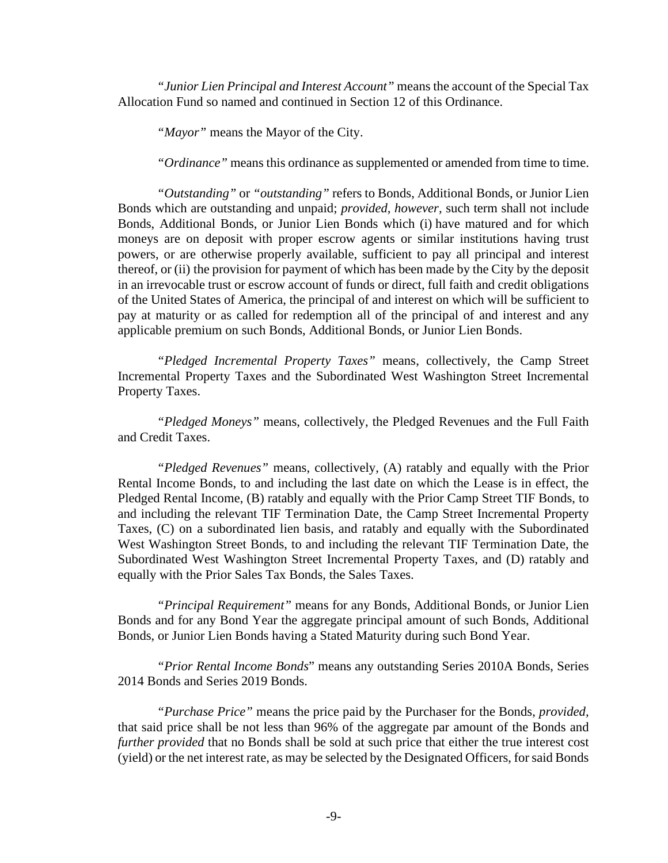*"Junior Lien Principal and Interest Account"* means the account of the Special Tax Allocation Fund so named and continued in Section 12 of this Ordinance.

*"Mayor"* means the Mayor of the City.

*"Ordinance"* means this ordinance as supplemented or amended from time to time.

*"Outstanding"* or *"outstanding"* refers to Bonds, Additional Bonds, or Junior Lien Bonds which are outstanding and unpaid; *provided, however,* such term shall not include Bonds, Additional Bonds, or Junior Lien Bonds which (i) have matured and for which moneys are on deposit with proper escrow agents or similar institutions having trust powers, or are otherwise properly available, sufficient to pay all principal and interest thereof, or (ii) the provision for payment of which has been made by the City by the deposit in an irrevocable trust or escrow account of funds or direct, full faith and credit obligations of the United States of America, the principal of and interest on which will be sufficient to pay at maturity or as called for redemption all of the principal of and interest and any applicable premium on such Bonds, Additional Bonds, or Junior Lien Bonds.

*"Pledged Incremental Property Taxes"* means, collectively, the Camp Street Incremental Property Taxes and the Subordinated West Washington Street Incremental Property Taxes.

*"Pledged Moneys"* means, collectively, the Pledged Revenues and the Full Faith and Credit Taxes.

*"Pledged Revenues"* means, collectively, (A) ratably and equally with the Prior Rental Income Bonds, to and including the last date on which the Lease is in effect, the Pledged Rental Income, (B) ratably and equally with the Prior Camp Street TIF Bonds, to and including the relevant TIF Termination Date, the Camp Street Incremental Property Taxes, (C) on a subordinated lien basis, and ratably and equally with the Subordinated West Washington Street Bonds, to and including the relevant TIF Termination Date, the Subordinated West Washington Street Incremental Property Taxes, and (D) ratably and equally with the Prior Sales Tax Bonds, the Sales Taxes.

*"Principal Requirement"* means for any Bonds, Additional Bonds, or Junior Lien Bonds and for any Bond Year the aggregate principal amount of such Bonds, Additional Bonds, or Junior Lien Bonds having a Stated Maturity during such Bond Year.

*"Prior Rental Income Bonds*" means any outstanding Series 2010A Bonds, Series 2014 Bonds and Series 2019 Bonds.

*"Purchase Price"* means the price paid by the Purchaser for the Bonds, *provided,* that said price shall be not less than 96% of the aggregate par amount of the Bonds and *further provided* that no Bonds shall be sold at such price that either the true interest cost (yield) or the net interest rate, as may be selected by the Designated Officers, for said Bonds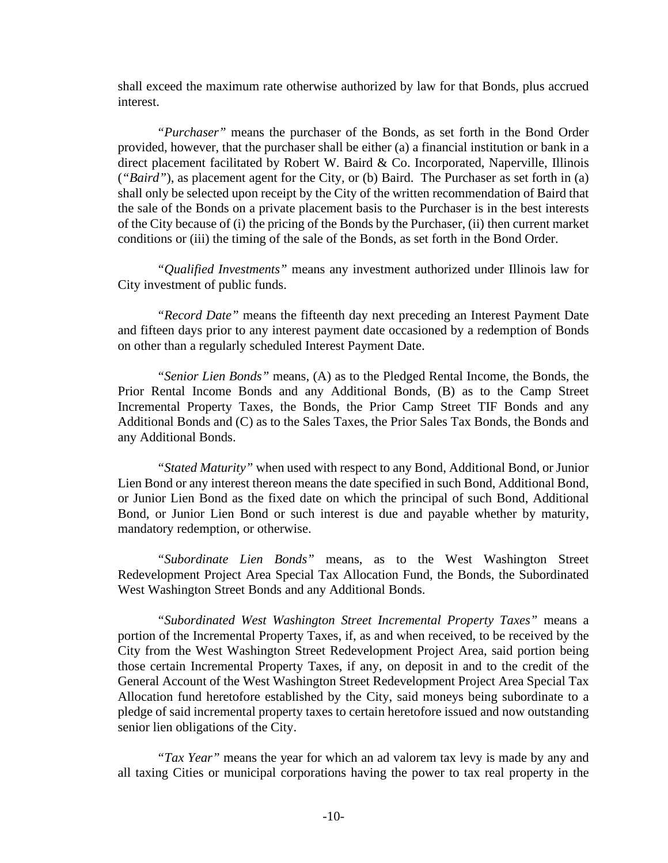shall exceed the maximum rate otherwise authorized by law for that Bonds, plus accrued interest.

*"Purchaser"* means the purchaser of the Bonds, as set forth in the Bond Order provided, however, that the purchaser shall be either (a) a financial institution or bank in a direct placement facilitated by Robert W. Baird & Co. Incorporated, Naperville, Illinois (*"Baird"*), as placement agent for the City, or (b) Baird. The Purchaser as set forth in (a) shall only be selected upon receipt by the City of the written recommendation of Baird that the sale of the Bonds on a private placement basis to the Purchaser is in the best interests of the City because of (i) the pricing of the Bonds by the Purchaser, (ii) then current market conditions or (iii) the timing of the sale of the Bonds, as set forth in the Bond Order.

*"Qualified Investments"* means any investment authorized under Illinois law for City investment of public funds.

*"Record Date"* means the fifteenth day next preceding an Interest Payment Date and fifteen days prior to any interest payment date occasioned by a redemption of Bonds on other than a regularly scheduled Interest Payment Date.

*"Senior Lien Bonds"* means, (A) as to the Pledged Rental Income, the Bonds, the Prior Rental Income Bonds and any Additional Bonds, (B) as to the Camp Street Incremental Property Taxes, the Bonds, the Prior Camp Street TIF Bonds and any Additional Bonds and (C) as to the Sales Taxes, the Prior Sales Tax Bonds, the Bonds and any Additional Bonds.

*"Stated Maturity"* when used with respect to any Bond, Additional Bond, or Junior Lien Bond or any interest thereon means the date specified in such Bond, Additional Bond, or Junior Lien Bond as the fixed date on which the principal of such Bond, Additional Bond, or Junior Lien Bond or such interest is due and payable whether by maturity, mandatory redemption, or otherwise.

*"Subordinate Lien Bonds"* means, as to the West Washington Street Redevelopment Project Area Special Tax Allocation Fund, the Bonds, the Subordinated West Washington Street Bonds and any Additional Bonds.

*"Subordinated West Washington Street Incremental Property Taxes"* means a portion of the Incremental Property Taxes, if, as and when received, to be received by the City from the West Washington Street Redevelopment Project Area, said portion being those certain Incremental Property Taxes, if any, on deposit in and to the credit of the General Account of the West Washington Street Redevelopment Project Area Special Tax Allocation fund heretofore established by the City, said moneys being subordinate to a pledge of said incremental property taxes to certain heretofore issued and now outstanding senior lien obligations of the City.

*"Tax Year"* means the year for which an ad valorem tax levy is made by any and all taxing Cities or municipal corporations having the power to tax real property in the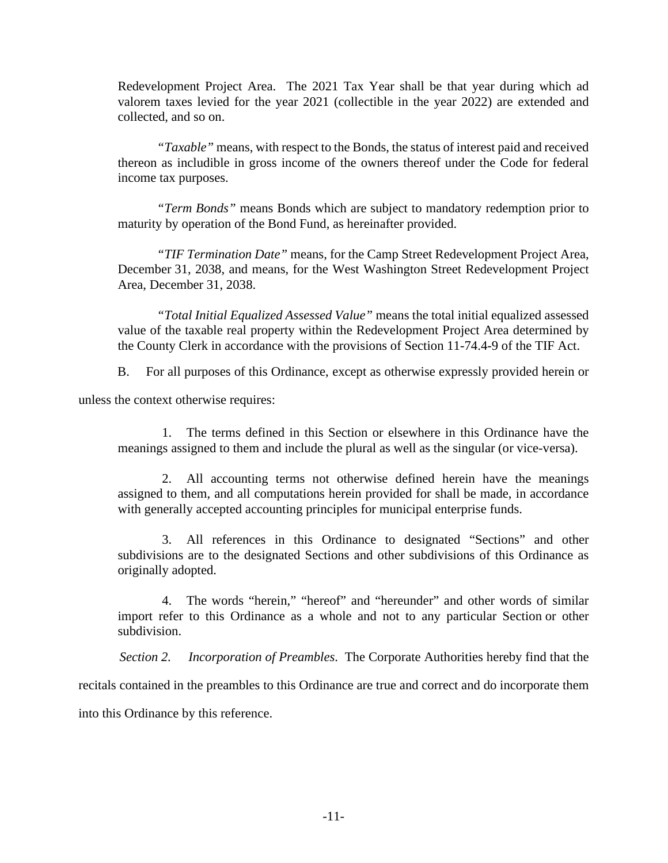Redevelopment Project Area. The 2021 Tax Year shall be that year during which ad valorem taxes levied for the year 2021 (collectible in the year 2022) are extended and collected, and so on.

*"Taxable"* means, with respect to the Bonds, the status of interest paid and received thereon as includible in gross income of the owners thereof under the Code for federal income tax purposes.

*"Term Bonds"* means Bonds which are subject to mandatory redemption prior to maturity by operation of the Bond Fund, as hereinafter provided.

*"TIF Termination Date"* means, for the Camp Street Redevelopment Project Area, December 31, 2038, and means, for the West Washington Street Redevelopment Project Area, December 31, 2038.

*"Total Initial Equalized Assessed Value"* means the total initial equalized assessed value of the taxable real property within the Redevelopment Project Area determined by the County Clerk in accordance with the provisions of Section 11-74.4-9 of the TIF Act.

B. For all purposes of this Ordinance, except as otherwise expressly provided herein or

unless the context otherwise requires:

1. The terms defined in this Section or elsewhere in this Ordinance have the meanings assigned to them and include the plural as well as the singular (or vice-versa).

2. All accounting terms not otherwise defined herein have the meanings assigned to them, and all computations herein provided for shall be made, in accordance with generally accepted accounting principles for municipal enterprise funds.

3. All references in this Ordinance to designated "Sections" and other subdivisions are to the designated Sections and other subdivisions of this Ordinance as originally adopted.

4. The words "herein," "hereof" and "hereunder" and other words of similar import refer to this Ordinance as a whole and not to any particular Section or other subdivision.

*Section 2. Incorporation of Preambles*. The Corporate Authorities hereby find that the

recitals contained in the preambles to this Ordinance are true and correct and do incorporate them

into this Ordinance by this reference.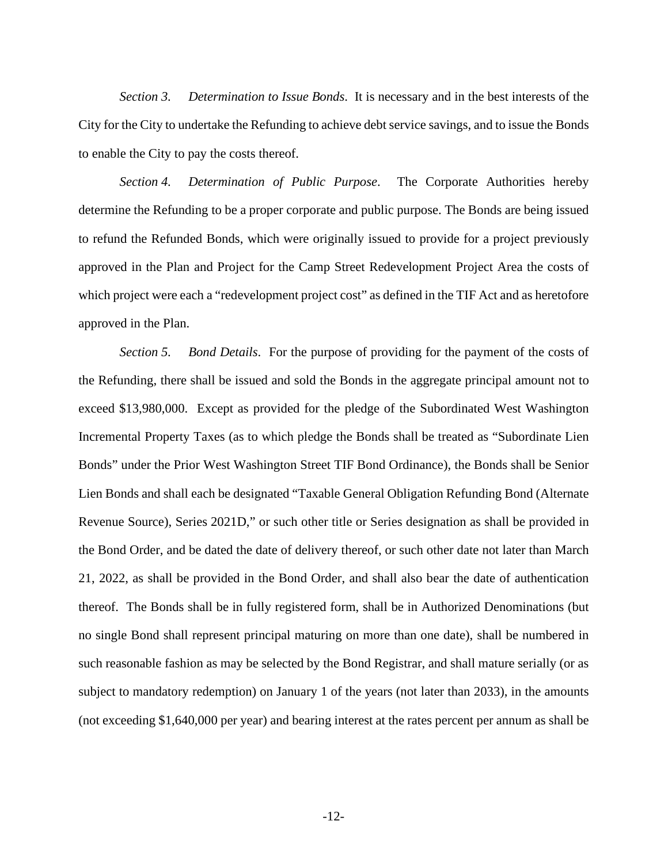*Section 3. Determination to Issue Bonds*. It is necessary and in the best interests of the City for the City to undertake the Refunding to achieve debt service savings, and to issue the Bonds to enable the City to pay the costs thereof.

*Section 4. Determination of Public Purpose*. The Corporate Authorities hereby determine the Refunding to be a proper corporate and public purpose. The Bonds are being issued to refund the Refunded Bonds, which were originally issued to provide for a project previously approved in the Plan and Project for the Camp Street Redevelopment Project Area the costs of which project were each a "redevelopment project cost" as defined in the TIF Act and as heretofore approved in the Plan.

*Section 5. Bond Details*. For the purpose of providing for the payment of the costs of the Refunding, there shall be issued and sold the Bonds in the aggregate principal amount not to exceed \$13,980,000. Except as provided for the pledge of the Subordinated West Washington Incremental Property Taxes (as to which pledge the Bonds shall be treated as "Subordinate Lien Bonds" under the Prior West Washington Street TIF Bond Ordinance), the Bonds shall be Senior Lien Bonds and shall each be designated "Taxable General Obligation Refunding Bond (Alternate Revenue Source), Series 2021D," or such other title or Series designation as shall be provided in the Bond Order, and be dated the date of delivery thereof, or such other date not later than March 21, 2022, as shall be provided in the Bond Order, and shall also bear the date of authentication thereof. The Bonds shall be in fully registered form, shall be in Authorized Denominations (but no single Bond shall represent principal maturing on more than one date), shall be numbered in such reasonable fashion as may be selected by the Bond Registrar, and shall mature serially (or as subject to mandatory redemption) on January 1 of the years (not later than 2033), in the amounts (not exceeding \$1,640,000 per year) and bearing interest at the rates percent per annum as shall be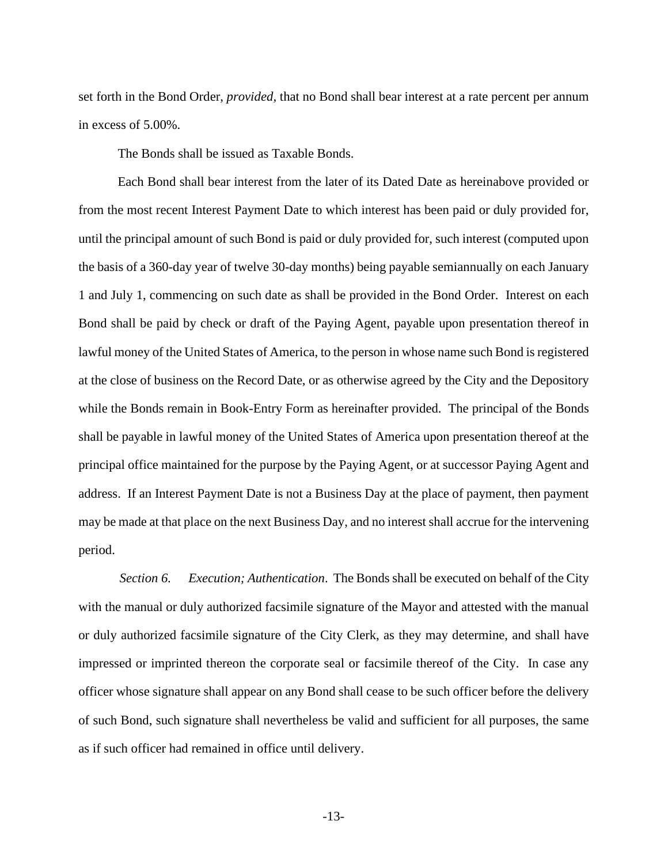set forth in the Bond Order, *provided,* that no Bond shall bear interest at a rate percent per annum in excess of 5.00%.

The Bonds shall be issued as Taxable Bonds.

Each Bond shall bear interest from the later of its Dated Date as hereinabove provided or from the most recent Interest Payment Date to which interest has been paid or duly provided for, until the principal amount of such Bond is paid or duly provided for, such interest (computed upon the basis of a 360-day year of twelve 30-day months) being payable semiannually on each January 1 and July 1, commencing on such date as shall be provided in the Bond Order. Interest on each Bond shall be paid by check or draft of the Paying Agent, payable upon presentation thereof in lawful money of the United States of America, to the person in whose name such Bond is registered at the close of business on the Record Date, or as otherwise agreed by the City and the Depository while the Bonds remain in Book-Entry Form as hereinafter provided. The principal of the Bonds shall be payable in lawful money of the United States of America upon presentation thereof at the principal office maintained for the purpose by the Paying Agent, or at successor Paying Agent and address. If an Interest Payment Date is not a Business Day at the place of payment, then payment may be made at that place on the next Business Day, and no interest shall accrue for the intervening period.

*Section 6. Execution; Authentication*. The Bonds shall be executed on behalf of the City with the manual or duly authorized facsimile signature of the Mayor and attested with the manual or duly authorized facsimile signature of the City Clerk, as they may determine, and shall have impressed or imprinted thereon the corporate seal or facsimile thereof of the City. In case any officer whose signature shall appear on any Bond shall cease to be such officer before the delivery of such Bond, such signature shall nevertheless be valid and sufficient for all purposes, the same as if such officer had remained in office until delivery.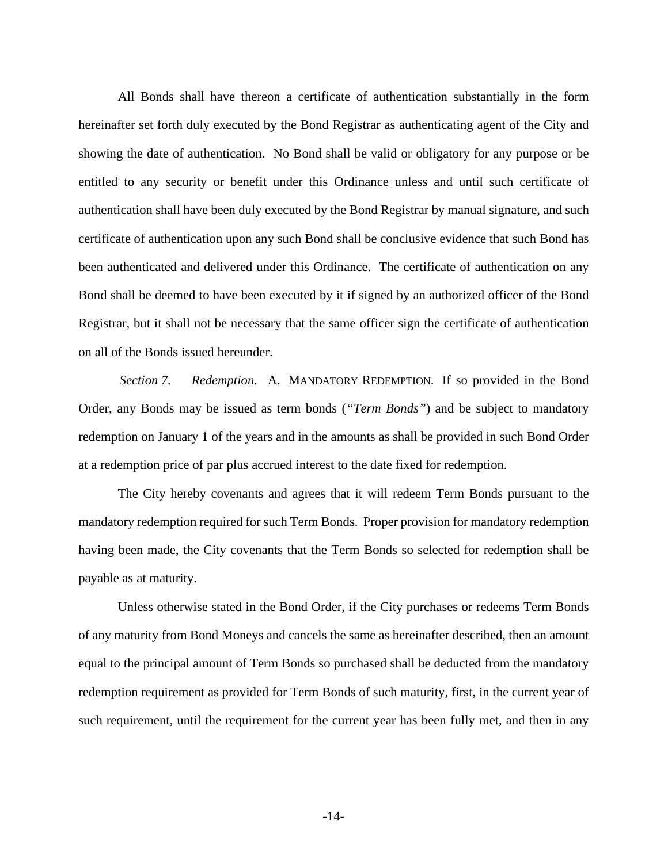All Bonds shall have thereon a certificate of authentication substantially in the form hereinafter set forth duly executed by the Bond Registrar as authenticating agent of the City and showing the date of authentication. No Bond shall be valid or obligatory for any purpose or be entitled to any security or benefit under this Ordinance unless and until such certificate of authentication shall have been duly executed by the Bond Registrar by manual signature, and such certificate of authentication upon any such Bond shall be conclusive evidence that such Bond has been authenticated and delivered under this Ordinance. The certificate of authentication on any Bond shall be deemed to have been executed by it if signed by an authorized officer of the Bond Registrar, but it shall not be necessary that the same officer sign the certificate of authentication on all of the Bonds issued hereunder.

*Section 7. Redemption.* A. MANDATORY REDEMPTION. If so provided in the Bond Order, any Bonds may be issued as term bonds (*"Term Bonds"*) and be subject to mandatory redemption on January 1 of the years and in the amounts as shall be provided in such Bond Order at a redemption price of par plus accrued interest to the date fixed for redemption.

The City hereby covenants and agrees that it will redeem Term Bonds pursuant to the mandatory redemption required for such Term Bonds. Proper provision for mandatory redemption having been made, the City covenants that the Term Bonds so selected for redemption shall be payable as at maturity.

Unless otherwise stated in the Bond Order, if the City purchases or redeems Term Bonds of any maturity from Bond Moneys and cancels the same as hereinafter described, then an amount equal to the principal amount of Term Bonds so purchased shall be deducted from the mandatory redemption requirement as provided for Term Bonds of such maturity, first, in the current year of such requirement, until the requirement for the current year has been fully met, and then in any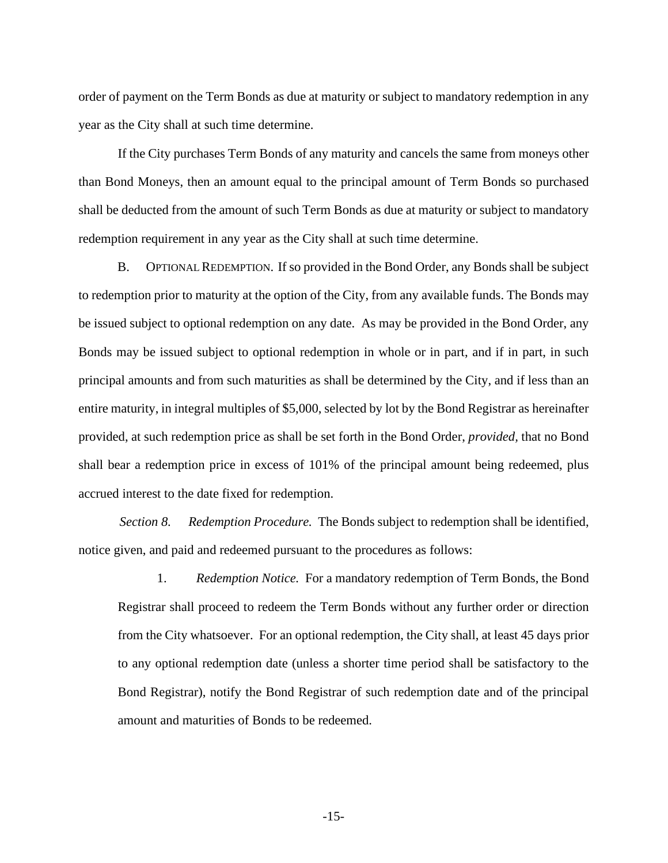order of payment on the Term Bonds as due at maturity or subject to mandatory redemption in any year as the City shall at such time determine.

If the City purchases Term Bonds of any maturity and cancels the same from moneys other than Bond Moneys, then an amount equal to the principal amount of Term Bonds so purchased shall be deducted from the amount of such Term Bonds as due at maturity or subject to mandatory redemption requirement in any year as the City shall at such time determine.

B. OPTIONAL REDEMPTION. If so provided in the Bond Order, any Bonds shall be subject to redemption prior to maturity at the option of the City, from any available funds. The Bonds may be issued subject to optional redemption on any date. As may be provided in the Bond Order, any Bonds may be issued subject to optional redemption in whole or in part, and if in part, in such principal amounts and from such maturities as shall be determined by the City, and if less than an entire maturity, in integral multiples of \$5,000, selected by lot by the Bond Registrar as hereinafter provided, at such redemption price as shall be set forth in the Bond Order, *provided,* that no Bond shall bear a redemption price in excess of 101% of the principal amount being redeemed, plus accrued interest to the date fixed for redemption.

*Section 8. Redemption Procedure.* The Bonds subject to redemption shall be identified, notice given, and paid and redeemed pursuant to the procedures as follows:

1. *Redemption Notice.* For a mandatory redemption of Term Bonds, the Bond Registrar shall proceed to redeem the Term Bonds without any further order or direction from the City whatsoever. For an optional redemption, the City shall, at least 45 days prior to any optional redemption date (unless a shorter time period shall be satisfactory to the Bond Registrar), notify the Bond Registrar of such redemption date and of the principal amount and maturities of Bonds to be redeemed.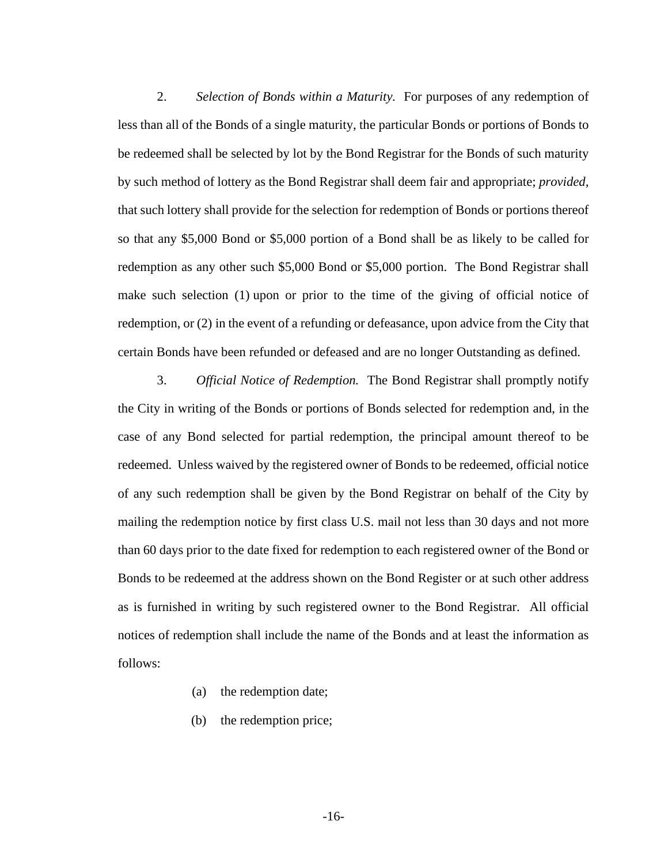2. *Selection of Bonds within a Maturity.* For purposes of any redemption of less than all of the Bonds of a single maturity, the particular Bonds or portions of Bonds to be redeemed shall be selected by lot by the Bond Registrar for the Bonds of such maturity by such method of lottery as the Bond Registrar shall deem fair and appropriate; *provided,* that such lottery shall provide for the selection for redemption of Bonds or portions thereof so that any \$5,000 Bond or \$5,000 portion of a Bond shall be as likely to be called for redemption as any other such \$5,000 Bond or \$5,000 portion. The Bond Registrar shall make such selection (1) upon or prior to the time of the giving of official notice of redemption, or (2) in the event of a refunding or defeasance, upon advice from the City that certain Bonds have been refunded or defeased and are no longer Outstanding as defined.

3. *Official Notice of Redemption.* The Bond Registrar shall promptly notify the City in writing of the Bonds or portions of Bonds selected for redemption and, in the case of any Bond selected for partial redemption, the principal amount thereof to be redeemed. Unless waived by the registered owner of Bonds to be redeemed, official notice of any such redemption shall be given by the Bond Registrar on behalf of the City by mailing the redemption notice by first class U.S. mail not less than 30 days and not more than 60 days prior to the date fixed for redemption to each registered owner of the Bond or Bonds to be redeemed at the address shown on the Bond Register or at such other address as is furnished in writing by such registered owner to the Bond Registrar. All official notices of redemption shall include the name of the Bonds and at least the information as follows:

- (a) the redemption date;
- (b) the redemption price;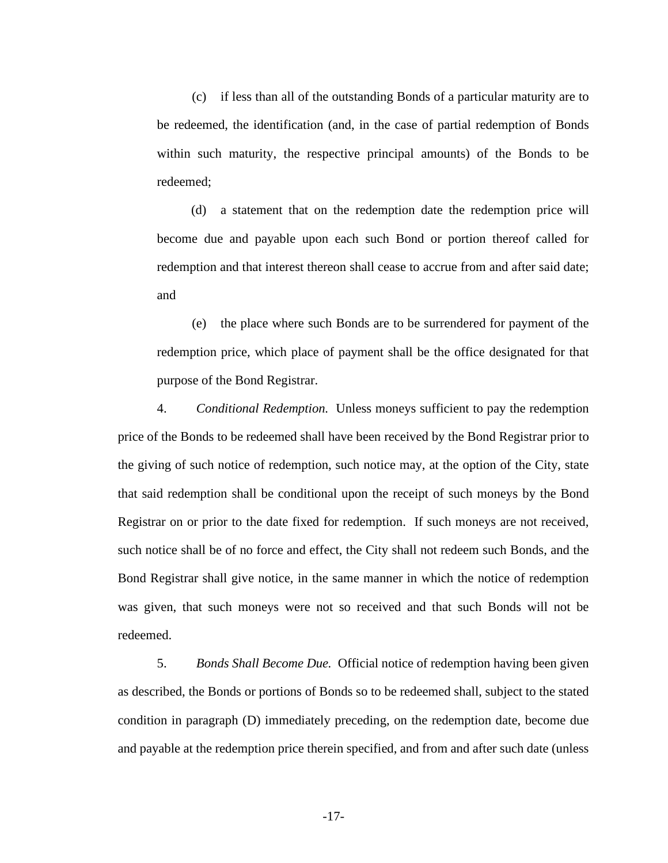(c) if less than all of the outstanding Bonds of a particular maturity are to be redeemed, the identification (and, in the case of partial redemption of Bonds within such maturity, the respective principal amounts) of the Bonds to be redeemed;

(d) a statement that on the redemption date the redemption price will become due and payable upon each such Bond or portion thereof called for redemption and that interest thereon shall cease to accrue from and after said date; and

(e) the place where such Bonds are to be surrendered for payment of the redemption price, which place of payment shall be the office designated for that purpose of the Bond Registrar.

4. *Conditional Redemption.* Unless moneys sufficient to pay the redemption price of the Bonds to be redeemed shall have been received by the Bond Registrar prior to the giving of such notice of redemption, such notice may, at the option of the City, state that said redemption shall be conditional upon the receipt of such moneys by the Bond Registrar on or prior to the date fixed for redemption. If such moneys are not received, such notice shall be of no force and effect, the City shall not redeem such Bonds, and the Bond Registrar shall give notice, in the same manner in which the notice of redemption was given, that such moneys were not so received and that such Bonds will not be redeemed.

5. *Bonds Shall Become Due.* Official notice of redemption having been given as described, the Bonds or portions of Bonds so to be redeemed shall, subject to the stated condition in paragraph (D) immediately preceding, on the redemption date, become due and payable at the redemption price therein specified, and from and after such date (unless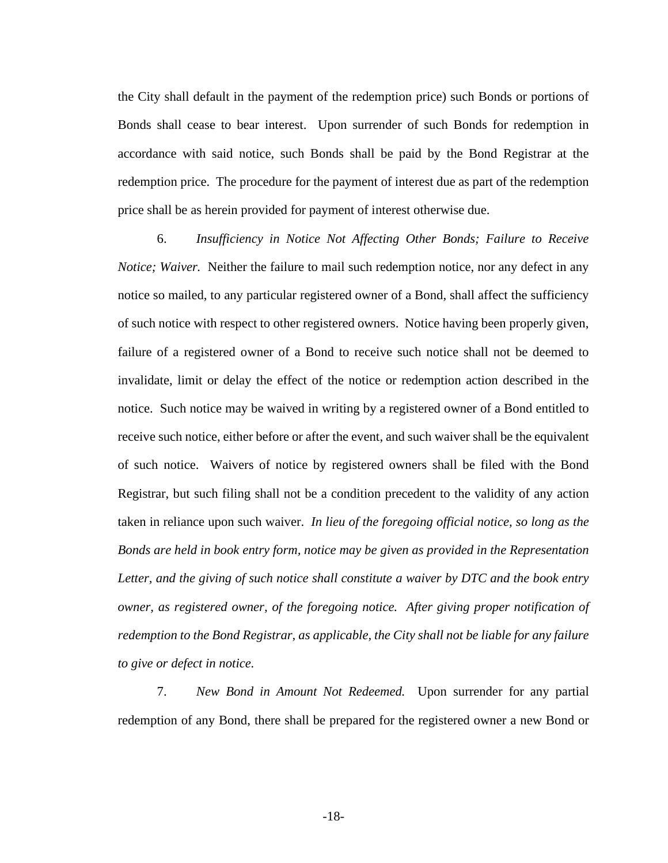the City shall default in the payment of the redemption price) such Bonds or portions of Bonds shall cease to bear interest. Upon surrender of such Bonds for redemption in accordance with said notice, such Bonds shall be paid by the Bond Registrar at the redemption price. The procedure for the payment of interest due as part of the redemption price shall be as herein provided for payment of interest otherwise due.

6. *Insufficiency in Notice Not Affecting Other Bonds; Failure to Receive Notice; Waiver.* Neither the failure to mail such redemption notice, nor any defect in any notice so mailed, to any particular registered owner of a Bond, shall affect the sufficiency of such notice with respect to other registered owners. Notice having been properly given, failure of a registered owner of a Bond to receive such notice shall not be deemed to invalidate, limit or delay the effect of the notice or redemption action described in the notice. Such notice may be waived in writing by a registered owner of a Bond entitled to receive such notice, either before or after the event, and such waiver shall be the equivalent of such notice. Waivers of notice by registered owners shall be filed with the Bond Registrar, but such filing shall not be a condition precedent to the validity of any action taken in reliance upon such waiver. *In lieu of the foregoing official notice, so long as the Bonds are held in book entry form, notice may be given as provided in the Representation*  Letter, and the giving of such notice shall constitute a waiver by DTC and the book entry *owner, as registered owner, of the foregoing notice. After giving proper notification of redemption to the Bond Registrar, as applicable, the City shall not be liable for any failure to give or defect in notice.*

7. *New Bond in Amount Not Redeemed.* Upon surrender for any partial redemption of any Bond, there shall be prepared for the registered owner a new Bond or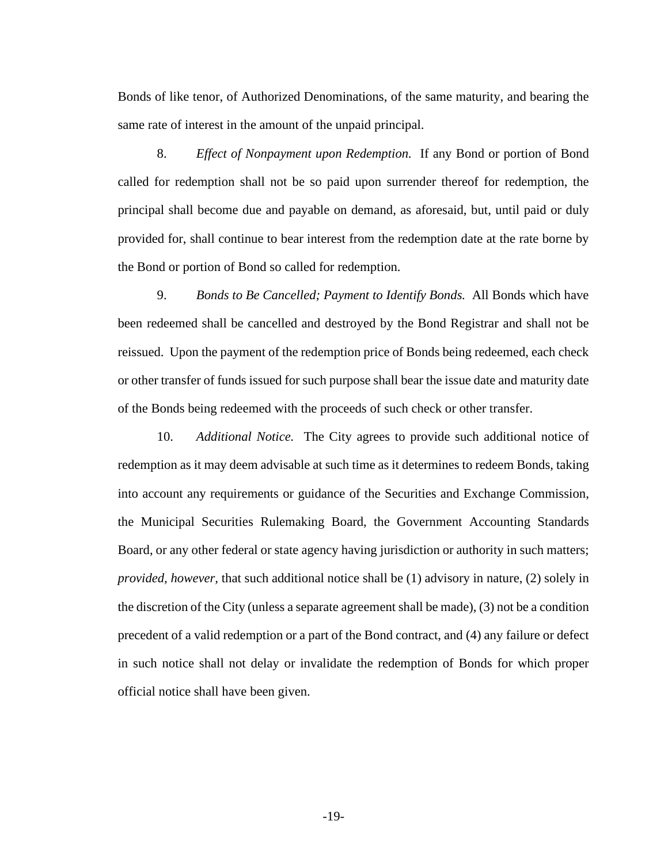Bonds of like tenor, of Authorized Denominations, of the same maturity, and bearing the same rate of interest in the amount of the unpaid principal.

8. *Effect of Nonpayment upon Redemption.* If any Bond or portion of Bond called for redemption shall not be so paid upon surrender thereof for redemption, the principal shall become due and payable on demand, as aforesaid, but, until paid or duly provided for, shall continue to bear interest from the redemption date at the rate borne by the Bond or portion of Bond so called for redemption.

9. *Bonds to Be Cancelled; Payment to Identify Bonds.* All Bonds which have been redeemed shall be cancelled and destroyed by the Bond Registrar and shall not be reissued. Upon the payment of the redemption price of Bonds being redeemed, each check or other transfer of funds issued for such purpose shall bear the issue date and maturity date of the Bonds being redeemed with the proceeds of such check or other transfer.

10. *Additional Notice.* The City agrees to provide such additional notice of redemption as it may deem advisable at such time as it determines to redeem Bonds, taking into account any requirements or guidance of the Securities and Exchange Commission, the Municipal Securities Rulemaking Board, the Government Accounting Standards Board, or any other federal or state agency having jurisdiction or authority in such matters; *provided, however,* that such additional notice shall be (1) advisory in nature, (2) solely in the discretion of the City (unless a separate agreement shall be made), (3) not be a condition precedent of a valid redemption or a part of the Bond contract, and (4) any failure or defect in such notice shall not delay or invalidate the redemption of Bonds for which proper official notice shall have been given.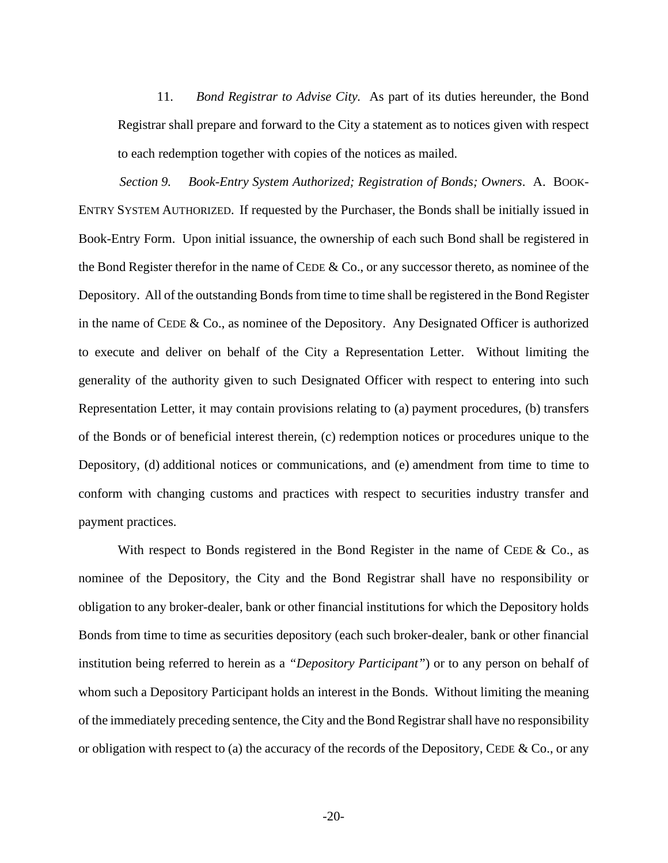11. *Bond Registrar to Advise City.* As part of its duties hereunder, the Bond Registrar shall prepare and forward to the City a statement as to notices given with respect to each redemption together with copies of the notices as mailed.

*Section 9. Book-Entry System Authorized; Registration of Bonds; Owners*. A. BOOK-ENTRY SYSTEM AUTHORIZED. If requested by the Purchaser, the Bonds shall be initially issued in Book-Entry Form. Upon initial issuance, the ownership of each such Bond shall be registered in the Bond Register therefor in the name of CEDE & Co., or any successor thereto, as nominee of the Depository. All of the outstanding Bonds from time to time shall be registered in the Bond Register in the name of CEDE & Co., as nominee of the Depository. Any Designated Officer is authorized to execute and deliver on behalf of the City a Representation Letter. Without limiting the generality of the authority given to such Designated Officer with respect to entering into such Representation Letter, it may contain provisions relating to (a) payment procedures, (b) transfers of the Bonds or of beneficial interest therein, (c) redemption notices or procedures unique to the Depository, (d) additional notices or communications, and (e) amendment from time to time to conform with changing customs and practices with respect to securities industry transfer and payment practices.

With respect to Bonds registered in the Bond Register in the name of CEDE  $\&$  Co., as nominee of the Depository, the City and the Bond Registrar shall have no responsibility or obligation to any broker-dealer, bank or other financial institutions for which the Depository holds Bonds from time to time as securities depository (each such broker-dealer, bank or other financial institution being referred to herein as a *"Depository Participant"*) or to any person on behalf of whom such a Depository Participant holds an interest in the Bonds. Without limiting the meaning of the immediately preceding sentence, the City and the Bond Registrar shall have no responsibility or obligation with respect to (a) the accuracy of the records of the Depository, CEDE  $& Co., or any$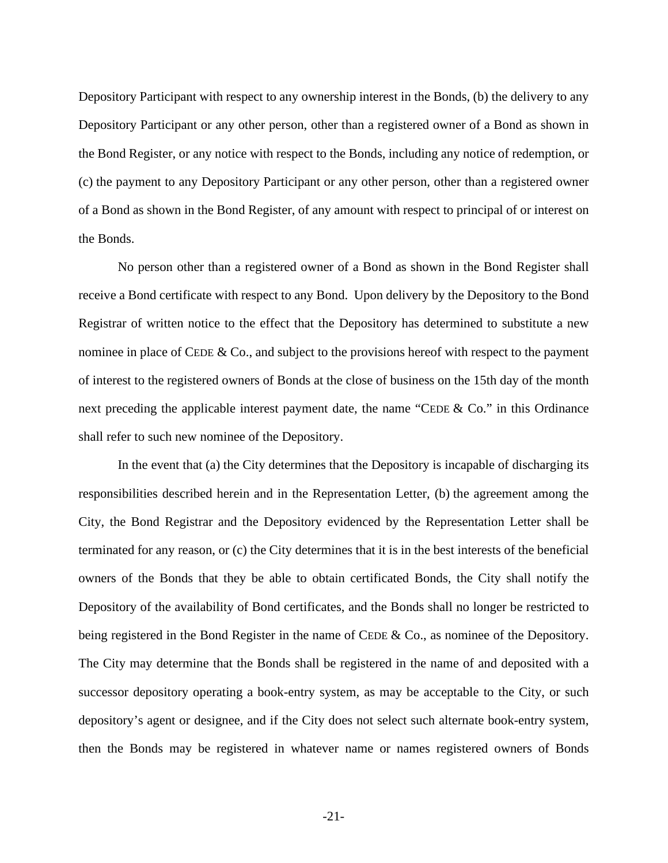Depository Participant with respect to any ownership interest in the Bonds, (b) the delivery to any Depository Participant or any other person, other than a registered owner of a Bond as shown in the Bond Register, or any notice with respect to the Bonds, including any notice of redemption, or (c) the payment to any Depository Participant or any other person, other than a registered owner of a Bond as shown in the Bond Register, of any amount with respect to principal of or interest on the Bonds.

No person other than a registered owner of a Bond as shown in the Bond Register shall receive a Bond certificate with respect to any Bond. Upon delivery by the Depository to the Bond Registrar of written notice to the effect that the Depository has determined to substitute a new nominee in place of CEDE & Co., and subject to the provisions hereof with respect to the payment of interest to the registered owners of Bonds at the close of business on the 15th day of the month next preceding the applicable interest payment date, the name "CEDE & Co." in this Ordinance shall refer to such new nominee of the Depository.

In the event that (a) the City determines that the Depository is incapable of discharging its responsibilities described herein and in the Representation Letter, (b) the agreement among the City, the Bond Registrar and the Depository evidenced by the Representation Letter shall be terminated for any reason, or (c) the City determines that it is in the best interests of the beneficial owners of the Bonds that they be able to obtain certificated Bonds, the City shall notify the Depository of the availability of Bond certificates, and the Bonds shall no longer be restricted to being registered in the Bond Register in the name of CEDE & Co., as nominee of the Depository. The City may determine that the Bonds shall be registered in the name of and deposited with a successor depository operating a book-entry system, as may be acceptable to the City, or such depository's agent or designee, and if the City does not select such alternate book-entry system, then the Bonds may be registered in whatever name or names registered owners of Bonds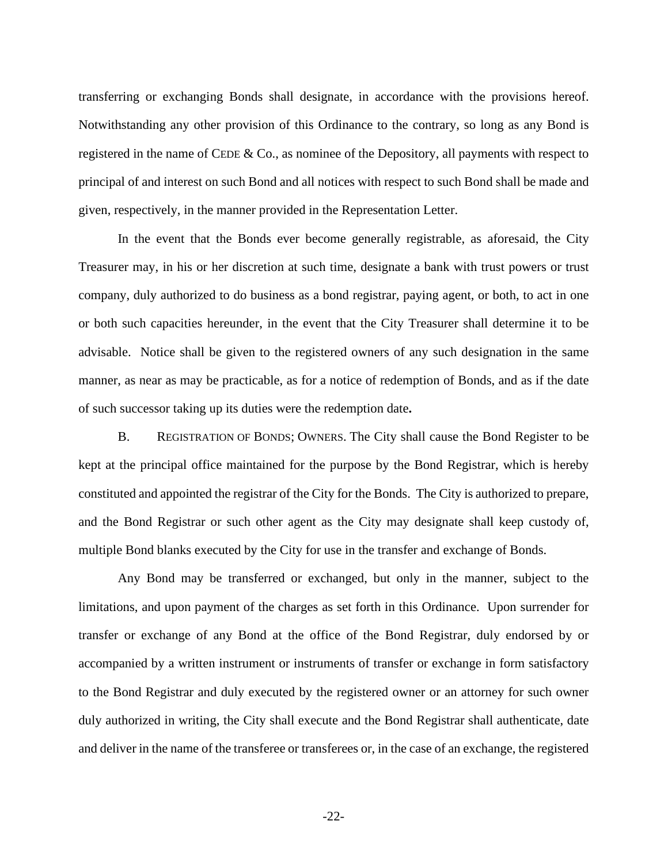transferring or exchanging Bonds shall designate, in accordance with the provisions hereof. Notwithstanding any other provision of this Ordinance to the contrary, so long as any Bond is registered in the name of CEDE & Co., as nominee of the Depository, all payments with respect to principal of and interest on such Bond and all notices with respect to such Bond shall be made and given, respectively, in the manner provided in the Representation Letter.

In the event that the Bonds ever become generally registrable, as aforesaid, the City Treasurer may, in his or her discretion at such time, designate a bank with trust powers or trust company, duly authorized to do business as a bond registrar, paying agent, or both, to act in one or both such capacities hereunder, in the event that the City Treasurer shall determine it to be advisable. Notice shall be given to the registered owners of any such designation in the same manner, as near as may be practicable, as for a notice of redemption of Bonds, and as if the date of such successor taking up its duties were the redemption date**.**

B. REGISTRATION OF BONDS; OWNERS. The City shall cause the Bond Register to be kept at the principal office maintained for the purpose by the Bond Registrar, which is hereby constituted and appointed the registrar of the City for the Bonds. The City is authorized to prepare, and the Bond Registrar or such other agent as the City may designate shall keep custody of, multiple Bond blanks executed by the City for use in the transfer and exchange of Bonds.

Any Bond may be transferred or exchanged, but only in the manner, subject to the limitations, and upon payment of the charges as set forth in this Ordinance. Upon surrender for transfer or exchange of any Bond at the office of the Bond Registrar, duly endorsed by or accompanied by a written instrument or instruments of transfer or exchange in form satisfactory to the Bond Registrar and duly executed by the registered owner or an attorney for such owner duly authorized in writing, the City shall execute and the Bond Registrar shall authenticate, date and deliver in the name of the transferee or transferees or, in the case of an exchange, the registered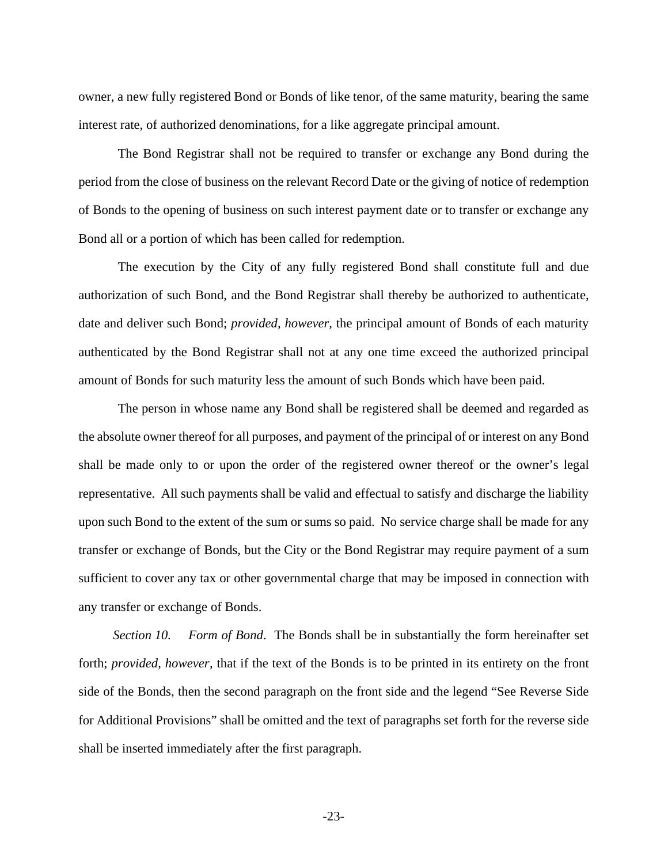owner, a new fully registered Bond or Bonds of like tenor, of the same maturity, bearing the same interest rate, of authorized denominations, for a like aggregate principal amount.

The Bond Registrar shall not be required to transfer or exchange any Bond during the period from the close of business on the relevant Record Date or the giving of notice of redemption of Bonds to the opening of business on such interest payment date or to transfer or exchange any Bond all or a portion of which has been called for redemption.

The execution by the City of any fully registered Bond shall constitute full and due authorization of such Bond, and the Bond Registrar shall thereby be authorized to authenticate, date and deliver such Bond; *provided, however,* the principal amount of Bonds of each maturity authenticated by the Bond Registrar shall not at any one time exceed the authorized principal amount of Bonds for such maturity less the amount of such Bonds which have been paid.

The person in whose name any Bond shall be registered shall be deemed and regarded as the absolute owner thereof for all purposes, and payment of the principal of or interest on any Bond shall be made only to or upon the order of the registered owner thereof or the owner's legal representative. All such payments shall be valid and effectual to satisfy and discharge the liability upon such Bond to the extent of the sum or sums so paid. No service charge shall be made for any transfer or exchange of Bonds, but the City or the Bond Registrar may require payment of a sum sufficient to cover any tax or other governmental charge that may be imposed in connection with any transfer or exchange of Bonds.

*Section 10. Form of Bond*. The Bonds shall be in substantially the form hereinafter set forth; *provided, however,* that if the text of the Bonds is to be printed in its entirety on the front side of the Bonds, then the second paragraph on the front side and the legend "See Reverse Side for Additional Provisions" shall be omitted and the text of paragraphs set forth for the reverse side shall be inserted immediately after the first paragraph.

-23-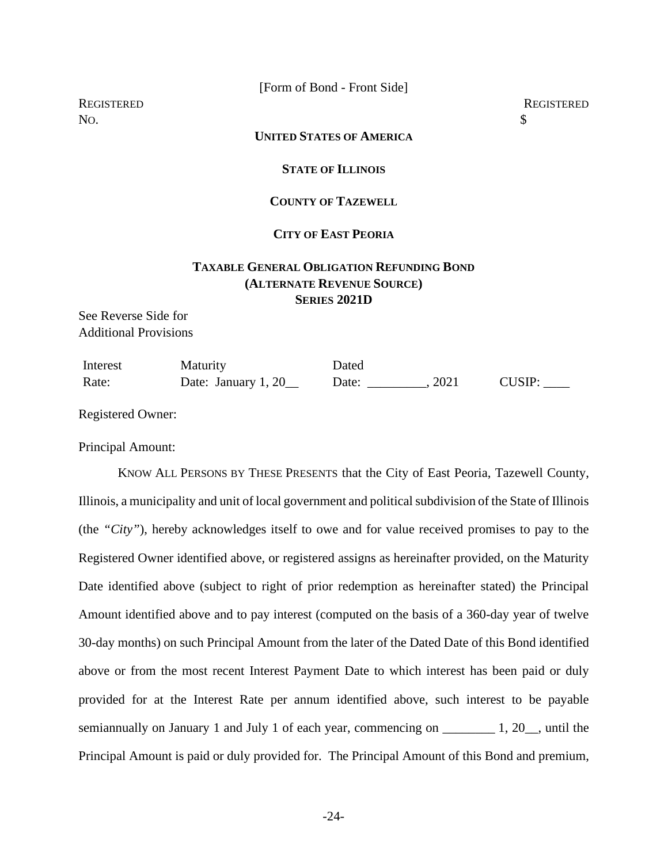[Form of Bond - Front Side]

No.  $\sim$ 

## **UNITED STATES OF AMERICA**

## **STATE OF ILLINOIS**

## **COUNTY OF TAZEWELL**

# **CITY OF EAST PEORIA**

# **TAXABLE GENERAL OBLIGATION REFUNDING BOND (ALTERNATE REVENUE SOURCE) SERIES 2021D**

See Reverse Side for Additional Provisions

| Interest | <b>Maturity</b>     | Dated |      |               |
|----------|---------------------|-------|------|---------------|
| Rate:    | Date: January 1, 20 | Date: | 2021 | <b>CUSIP:</b> |

Registered Owner:

Principal Amount:

KNOW ALL PERSONS BY THESE PRESENTS that the City of East Peoria, Tazewell County, Illinois, a municipality and unit of local government and political subdivision of the State of Illinois (the *"City"*), hereby acknowledges itself to owe and for value received promises to pay to the Registered Owner identified above, or registered assigns as hereinafter provided, on the Maturity Date identified above (subject to right of prior redemption as hereinafter stated) the Principal Amount identified above and to pay interest (computed on the basis of a 360-day year of twelve 30-day months) on such Principal Amount from the later of the Dated Date of this Bond identified above or from the most recent Interest Payment Date to which interest has been paid or duly provided for at the Interest Rate per annum identified above, such interest to be payable semiannually on January 1 and July 1 of each year, commencing on  $\qquad \qquad$  1, 20, until the Principal Amount is paid or duly provided for. The Principal Amount of this Bond and premium,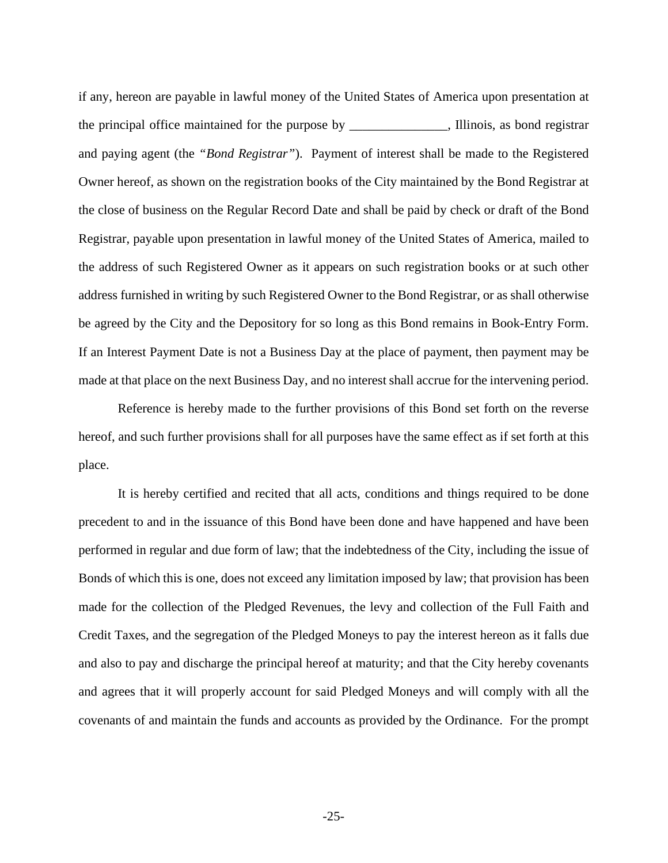if any, hereon are payable in lawful money of the United States of America upon presentation at the principal office maintained for the purpose by \_\_\_\_\_\_\_\_\_\_\_\_\_\_\_, Illinois, as bond registrar and paying agent (the *"Bond Registrar"*). Payment of interest shall be made to the Registered Owner hereof, as shown on the registration books of the City maintained by the Bond Registrar at the close of business on the Regular Record Date and shall be paid by check or draft of the Bond Registrar, payable upon presentation in lawful money of the United States of America, mailed to the address of such Registered Owner as it appears on such registration books or at such other address furnished in writing by such Registered Owner to the Bond Registrar, or as shall otherwise be agreed by the City and the Depository for so long as this Bond remains in Book-Entry Form. If an Interest Payment Date is not a Business Day at the place of payment, then payment may be made at that place on the next Business Day, and no interest shall accrue for the intervening period.

Reference is hereby made to the further provisions of this Bond set forth on the reverse hereof, and such further provisions shall for all purposes have the same effect as if set forth at this place.

It is hereby certified and recited that all acts, conditions and things required to be done precedent to and in the issuance of this Bond have been done and have happened and have been performed in regular and due form of law; that the indebtedness of the City, including the issue of Bonds of which this is one, does not exceed any limitation imposed by law; that provision has been made for the collection of the Pledged Revenues, the levy and collection of the Full Faith and Credit Taxes, and the segregation of the Pledged Moneys to pay the interest hereon as it falls due and also to pay and discharge the principal hereof at maturity; and that the City hereby covenants and agrees that it will properly account for said Pledged Moneys and will comply with all the covenants of and maintain the funds and accounts as provided by the Ordinance. For the prompt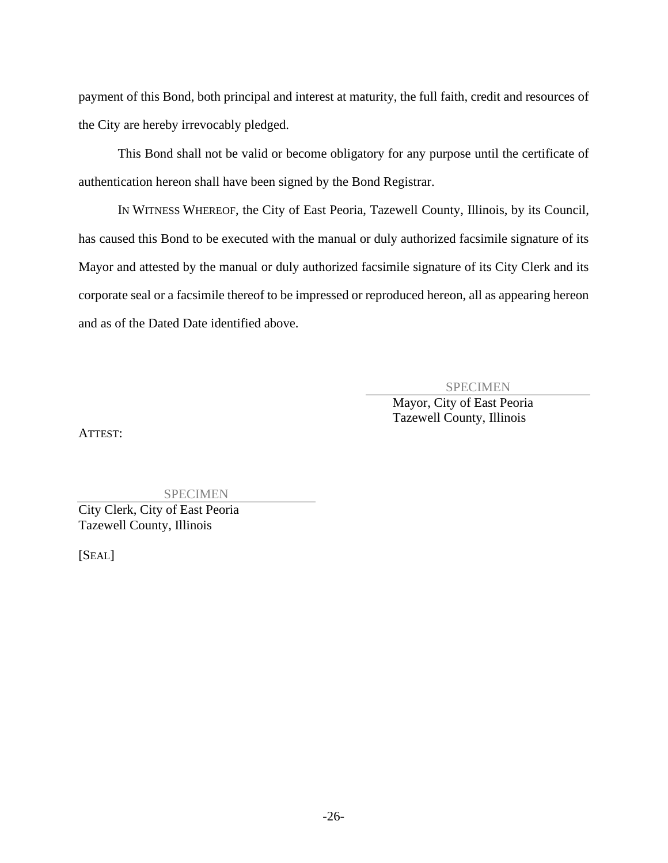payment of this Bond, both principal and interest at maturity, the full faith, credit and resources of the City are hereby irrevocably pledged.

This Bond shall not be valid or become obligatory for any purpose until the certificate of authentication hereon shall have been signed by the Bond Registrar.

IN WITNESS WHEREOF, the City of East Peoria, Tazewell County, Illinois, by its Council, has caused this Bond to be executed with the manual or duly authorized facsimile signature of its Mayor and attested by the manual or duly authorized facsimile signature of its City Clerk and its corporate seal or a facsimile thereof to be impressed or reproduced hereon, all as appearing hereon and as of the Dated Date identified above.

SPECIMEN

Mayor, City of East Peoria Tazewell County, Illinois

ATTEST:

SPECIMEN

City Clerk, City of East Peoria Tazewell County, Illinois

[SEAL]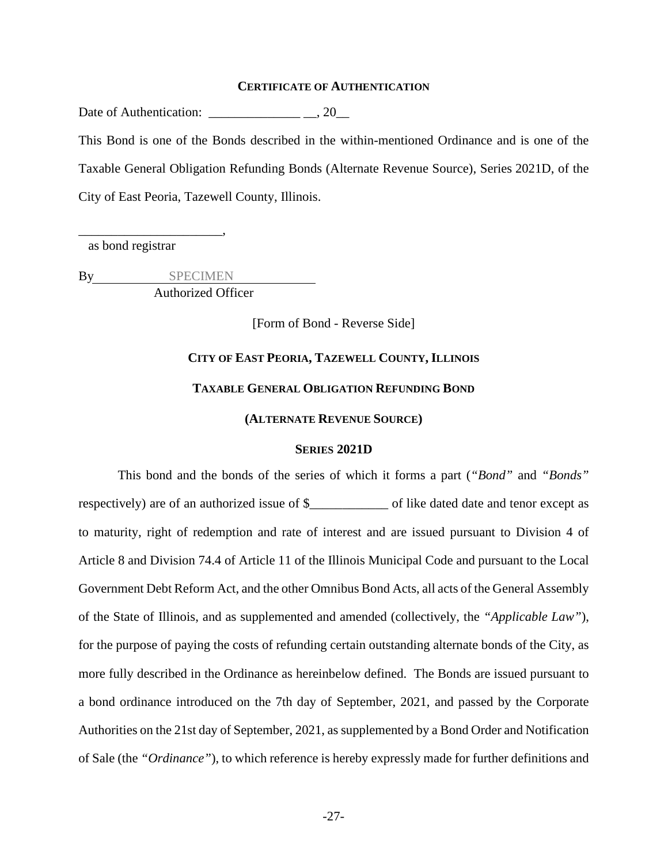#### **CERTIFICATE OF AUTHENTICATION**

Date of Authentication: \_\_\_\_\_\_\_\_\_\_\_\_\_\_ \_\_, 20\_\_

This Bond is one of the Bonds described in the within-mentioned Ordinance and is one of the Taxable General Obligation Refunding Bonds (Alternate Revenue Source), Series 2021D, of the City of East Peoria, Tazewell County, Illinois.

as bond registrar

\_\_\_\_\_\_\_\_\_\_\_\_\_\_\_\_\_\_\_\_\_\_,

By SPECIMEN Authorized Officer

[Form of Bond - Reverse Side]

# **CITY OF EAST PEORIA, TAZEWELL COUNTY, ILLINOIS**

## **TAXABLE GENERAL OBLIGATION REFUNDING BOND**

### **(ALTERNATE REVENUE SOURCE)**

## **SERIES 2021D**

This bond and the bonds of the series of which it forms a part (*"Bond"* and *"Bonds"* respectively) are of an authorized issue of \$\_\_\_\_\_\_\_\_\_\_\_\_\_\_ of like dated date and tenor except as to maturity, right of redemption and rate of interest and are issued pursuant to Division 4 of Article 8 and Division 74.4 of Article 11 of the Illinois Municipal Code and pursuant to the Local Government Debt Reform Act, and the other Omnibus Bond Acts, all acts of the General Assembly of the State of Illinois, and as supplemented and amended (collectively, the *"Applicable Law"*), for the purpose of paying the costs of refunding certain outstanding alternate bonds of the City, as more fully described in the Ordinance as hereinbelow defined. The Bonds are issued pursuant to a bond ordinance introduced on the 7th day of September, 2021, and passed by the Corporate Authorities on the 21st day of September, 2021, as supplemented by a Bond Order and Notification of Sale (the *"Ordinance"*), to which reference is hereby expressly made for further definitions and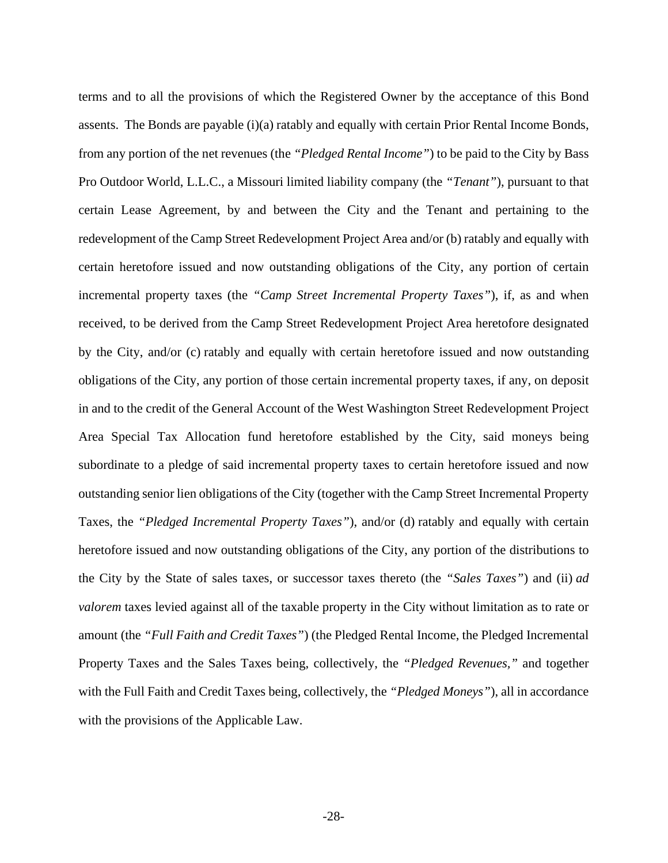terms and to all the provisions of which the Registered Owner by the acceptance of this Bond assents. The Bonds are payable (i)(a) ratably and equally with certain Prior Rental Income Bonds, from any portion of the net revenues (the *"Pledged Rental Income"*) to be paid to the City by Bass Pro Outdoor World, L.L.C., a Missouri limited liability company (the *"Tenant"*), pursuant to that certain Lease Agreement, by and between the City and the Tenant and pertaining to the redevelopment of the Camp Street Redevelopment Project Area and/or (b) ratably and equally with certain heretofore issued and now outstanding obligations of the City, any portion of certain incremental property taxes (the *"Camp Street Incremental Property Taxes"*), if, as and when received, to be derived from the Camp Street Redevelopment Project Area heretofore designated by the City, and/or (c) ratably and equally with certain heretofore issued and now outstanding obligations of the City, any portion of those certain incremental property taxes, if any, on deposit in and to the credit of the General Account of the West Washington Street Redevelopment Project Area Special Tax Allocation fund heretofore established by the City, said moneys being subordinate to a pledge of said incremental property taxes to certain heretofore issued and now outstanding senior lien obligations of the City (together with the Camp Street Incremental Property Taxes, the *"Pledged Incremental Property Taxes"*), and/or (d) ratably and equally with certain heretofore issued and now outstanding obligations of the City, any portion of the distributions to the City by the State of sales taxes, or successor taxes thereto (the *"Sales Taxes"*) and (ii) *ad valorem* taxes levied against all of the taxable property in the City without limitation as to rate or amount (the *"Full Faith and Credit Taxes"*) (the Pledged Rental Income, the Pledged Incremental Property Taxes and the Sales Taxes being, collectively, the *"Pledged Revenues,"* and together with the Full Faith and Credit Taxes being, collectively, the *"Pledged Moneys"*), all in accordance with the provisions of the Applicable Law.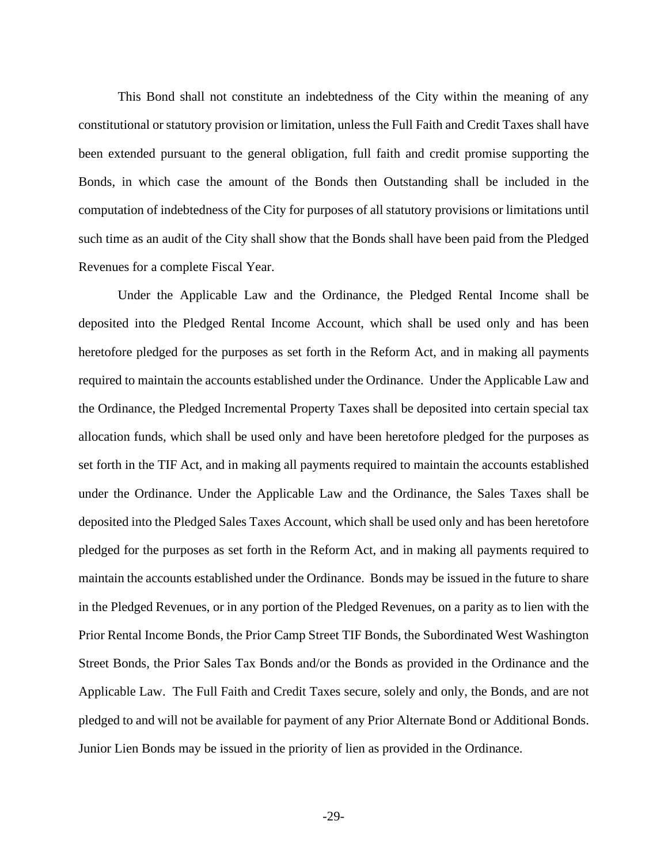This Bond shall not constitute an indebtedness of the City within the meaning of any constitutional or statutory provision or limitation, unless the Full Faith and Credit Taxes shall have been extended pursuant to the general obligation, full faith and credit promise supporting the Bonds, in which case the amount of the Bonds then Outstanding shall be included in the computation of indebtedness of the City for purposes of all statutory provisions or limitations until such time as an audit of the City shall show that the Bonds shall have been paid from the Pledged Revenues for a complete Fiscal Year.

Under the Applicable Law and the Ordinance, the Pledged Rental Income shall be deposited into the Pledged Rental Income Account, which shall be used only and has been heretofore pledged for the purposes as set forth in the Reform Act, and in making all payments required to maintain the accounts established under the Ordinance. Under the Applicable Law and the Ordinance, the Pledged Incremental Property Taxes shall be deposited into certain special tax allocation funds, which shall be used only and have been heretofore pledged for the purposes as set forth in the TIF Act, and in making all payments required to maintain the accounts established under the Ordinance. Under the Applicable Law and the Ordinance, the Sales Taxes shall be deposited into the Pledged Sales Taxes Account, which shall be used only and has been heretofore pledged for the purposes as set forth in the Reform Act, and in making all payments required to maintain the accounts established under the Ordinance. Bonds may be issued in the future to share in the Pledged Revenues, or in any portion of the Pledged Revenues, on a parity as to lien with the Prior Rental Income Bonds, the Prior Camp Street TIF Bonds, the Subordinated West Washington Street Bonds, the Prior Sales Tax Bonds and/or the Bonds as provided in the Ordinance and the Applicable Law. The Full Faith and Credit Taxes secure, solely and only, the Bonds, and are not pledged to and will not be available for payment of any Prior Alternate Bond or Additional Bonds. Junior Lien Bonds may be issued in the priority of lien as provided in the Ordinance.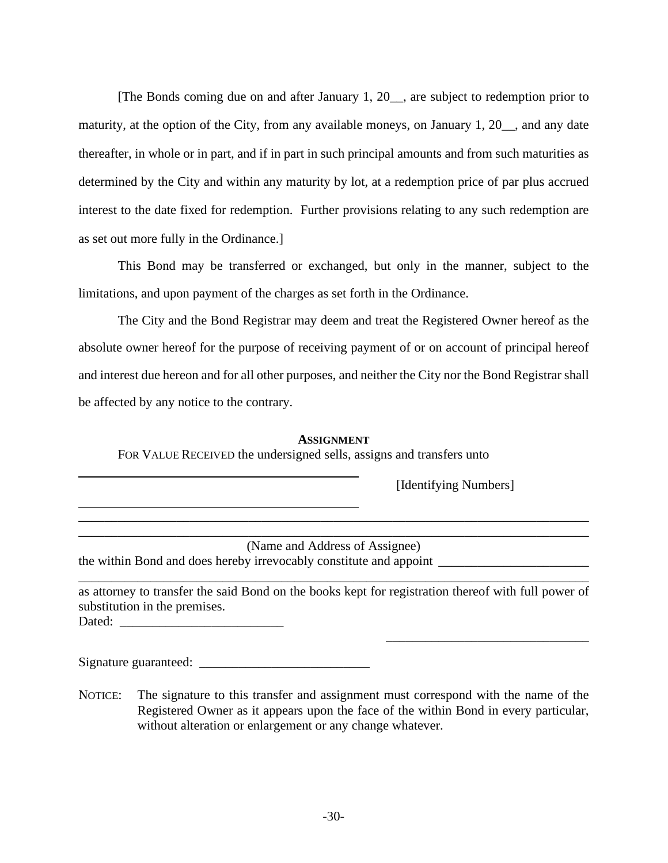[The Bonds coming due on and after January 1, 20\_\_, are subject to redemption prior to maturity, at the option of the City, from any available moneys, on January 1, 20<sub>\_\_</sub>, and any date thereafter, in whole or in part, and if in part in such principal amounts and from such maturities as determined by the City and within any maturity by lot, at a redemption price of par plus accrued interest to the date fixed for redemption. Further provisions relating to any such redemption are as set out more fully in the Ordinance.]

This Bond may be transferred or exchanged, but only in the manner, subject to the limitations, and upon payment of the charges as set forth in the Ordinance.

The City and the Bond Registrar may deem and treat the Registered Owner hereof as the absolute owner hereof for the purpose of receiving payment of or on account of principal hereof and interest due hereon and for all other purposes, and neither the City nor the Bond Registrar shall be affected by any notice to the contrary.

# **ASSIGNMENT**

\_\_\_\_\_\_\_\_\_\_\_\_\_\_\_\_\_\_\_\_\_\_\_\_\_\_\_\_\_\_\_\_\_\_\_\_\_\_\_\_\_\_\_\_\_\_\_\_\_\_\_\_\_\_\_\_\_\_\_\_\_\_\_\_\_\_\_\_\_\_\_\_\_\_\_\_\_\_

FOR VALUE RECEIVED the undersigned sells, assigns and transfers unto

[Identifying Numbers]

\_\_\_\_\_\_\_\_\_\_\_\_\_\_\_\_\_\_\_\_\_\_\_\_\_\_\_\_\_\_\_

\_\_\_\_\_\_\_\_\_\_\_\_\_\_\_\_\_\_\_\_\_\_\_\_\_\_\_\_\_\_\_\_\_\_\_\_\_\_\_\_\_\_\_\_\_\_\_\_\_\_\_\_\_\_\_\_\_\_\_\_\_\_\_\_\_\_\_\_\_\_\_\_\_\_\_\_\_\_ (Name and Address of Assignee) the within Bond and does hereby irrevocably constitute and appoint \_\_\_\_\_\_\_\_\_\_\_\_\_\_\_\_\_\_\_\_

as attorney to transfer the said Bond on the books kept for registration thereof with full power of substitution in the premises. Dated: \_\_\_\_\_\_\_\_\_\_\_\_\_\_\_\_\_\_\_\_\_\_\_\_\_

\_\_\_\_\_\_\_\_\_\_\_\_\_\_\_\_\_\_\_\_\_\_\_\_\_\_\_\_\_\_\_\_\_\_\_\_\_\_\_\_\_\_\_\_\_\_\_\_\_\_\_\_\_\_\_\_\_\_\_\_\_\_\_\_\_\_\_\_\_\_\_\_\_\_\_\_\_\_

Signature guaranteed:

NOTICE: The signature to this transfer and assignment must correspond with the name of the Registered Owner as it appears upon the face of the within Bond in every particular, without alteration or enlargement or any change whatever.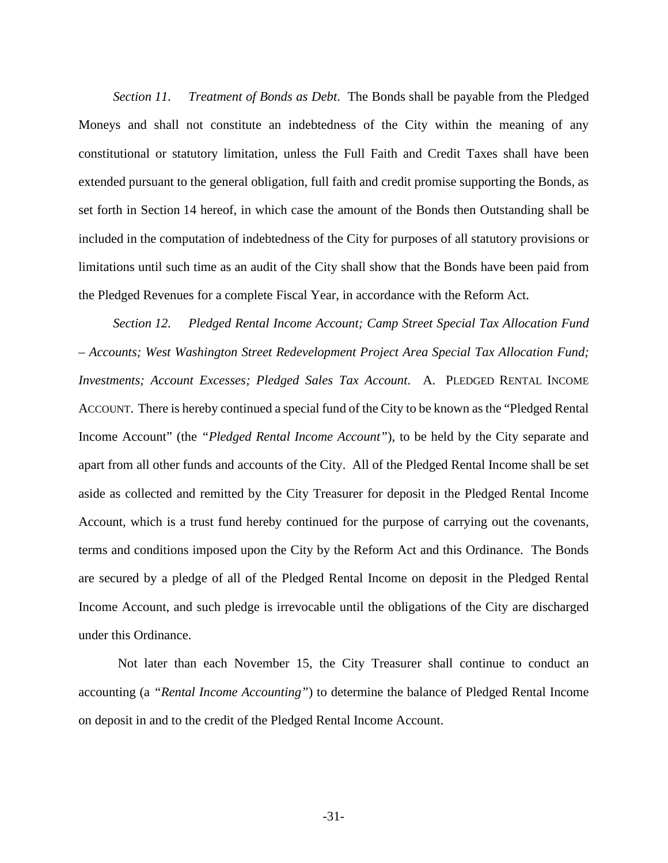*Section 11. Treatment of Bonds as Debt*. The Bonds shall be payable from the Pledged Moneys and shall not constitute an indebtedness of the City within the meaning of any constitutional or statutory limitation, unless the Full Faith and Credit Taxes shall have been extended pursuant to the general obligation, full faith and credit promise supporting the Bonds, as set forth in Section 14 hereof, in which case the amount of the Bonds then Outstanding shall be included in the computation of indebtedness of the City for purposes of all statutory provisions or limitations until such time as an audit of the City shall show that the Bonds have been paid from the Pledged Revenues for a complete Fiscal Year, in accordance with the Reform Act.

*Section 12. Pledged Rental Income Account; Camp Street Special Tax Allocation Fund – Accounts; West Washington Street Redevelopment Project Area Special Tax Allocation Fund; Investments; Account Excesses; Pledged Sales Tax Account*. A. PLEDGED RENTAL INCOME ACCOUNT. There is hereby continued a special fund of the City to be known as the "Pledged Rental Income Account" (the *"Pledged Rental Income Account"*), to be held by the City separate and apart from all other funds and accounts of the City. All of the Pledged Rental Income shall be set aside as collected and remitted by the City Treasurer for deposit in the Pledged Rental Income Account, which is a trust fund hereby continued for the purpose of carrying out the covenants, terms and conditions imposed upon the City by the Reform Act and this Ordinance. The Bonds are secured by a pledge of all of the Pledged Rental Income on deposit in the Pledged Rental Income Account, and such pledge is irrevocable until the obligations of the City are discharged under this Ordinance.

Not later than each November 15, the City Treasurer shall continue to conduct an accounting (a *"Rental Income Accounting"*) to determine the balance of Pledged Rental Income on deposit in and to the credit of the Pledged Rental Income Account.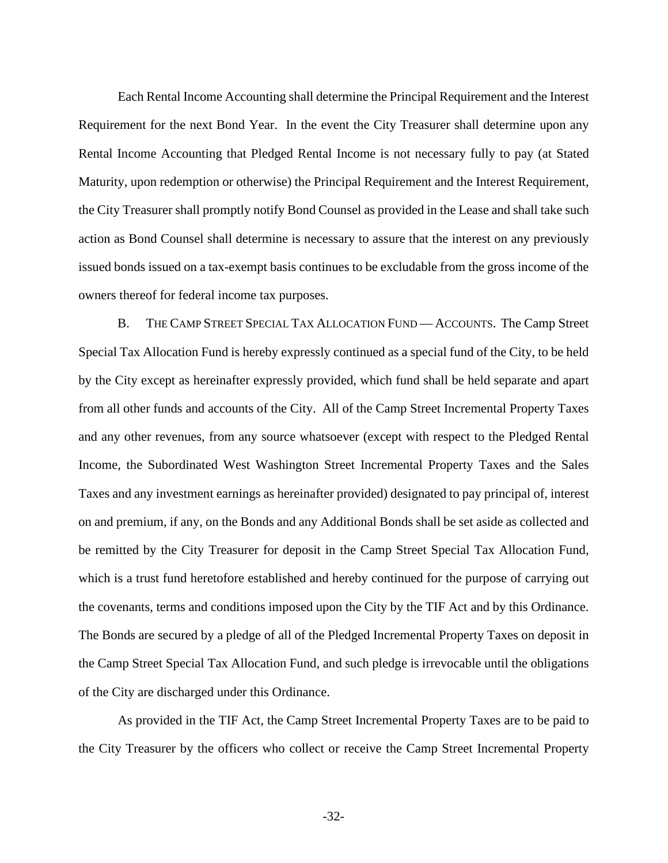Each Rental Income Accounting shall determine the Principal Requirement and the Interest Requirement for the next Bond Year. In the event the City Treasurer shall determine upon any Rental Income Accounting that Pledged Rental Income is not necessary fully to pay (at Stated Maturity, upon redemption or otherwise) the Principal Requirement and the Interest Requirement, the City Treasurer shall promptly notify Bond Counsel as provided in the Lease and shall take such action as Bond Counsel shall determine is necessary to assure that the interest on any previously issued bonds issued on a tax-exempt basis continues to be excludable from the gross income of the owners thereof for federal income tax purposes.

B. THE CAMP STREET SPECIAL TAX ALLOCATION FUND — ACCOUNTS. The Camp Street Special Tax Allocation Fund is hereby expressly continued as a special fund of the City, to be held by the City except as hereinafter expressly provided, which fund shall be held separate and apart from all other funds and accounts of the City. All of the Camp Street Incremental Property Taxes and any other revenues, from any source whatsoever (except with respect to the Pledged Rental Income, the Subordinated West Washington Street Incremental Property Taxes and the Sales Taxes and any investment earnings as hereinafter provided) designated to pay principal of, interest on and premium, if any, on the Bonds and any Additional Bonds shall be set aside as collected and be remitted by the City Treasurer for deposit in the Camp Street Special Tax Allocation Fund, which is a trust fund heretofore established and hereby continued for the purpose of carrying out the covenants, terms and conditions imposed upon the City by the TIF Act and by this Ordinance. The Bonds are secured by a pledge of all of the Pledged Incremental Property Taxes on deposit in the Camp Street Special Tax Allocation Fund, and such pledge is irrevocable until the obligations of the City are discharged under this Ordinance.

As provided in the TIF Act, the Camp Street Incremental Property Taxes are to be paid to the City Treasurer by the officers who collect or receive the Camp Street Incremental Property

-32-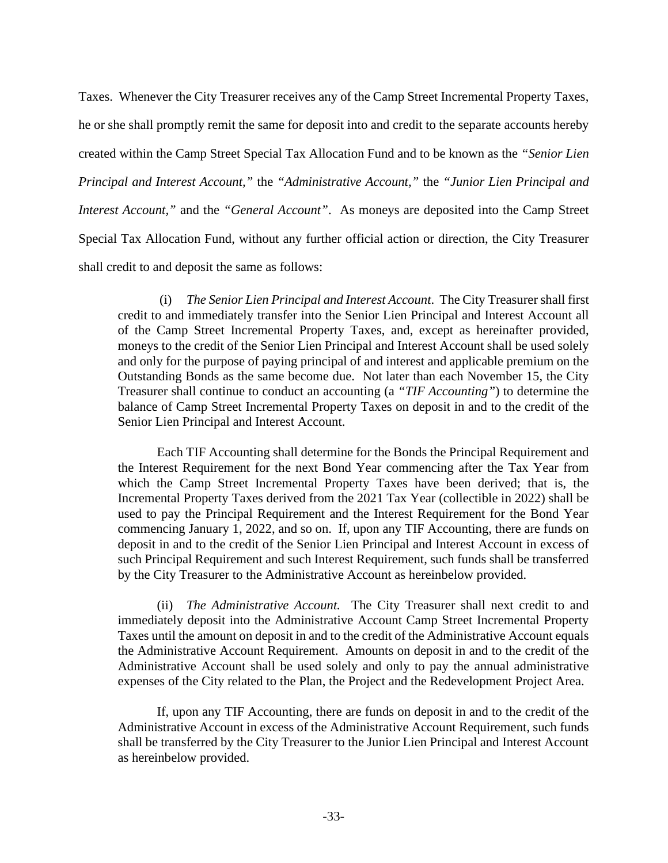Taxes. Whenever the City Treasurer receives any of the Camp Street Incremental Property Taxes, he or she shall promptly remit the same for deposit into and credit to the separate accounts hereby created within the Camp Street Special Tax Allocation Fund and to be known as the *"Senior Lien Principal and Interest Account,"* the *"Administrative Account,"* the *"Junior Lien Principal and Interest Account,"* and the *"General Account"*. As moneys are deposited into the Camp Street Special Tax Allocation Fund, without any further official action or direction, the City Treasurer shall credit to and deposit the same as follows:

(i) *The Senior Lien Principal and Interest Account*. The City Treasurer shall first credit to and immediately transfer into the Senior Lien Principal and Interest Account all of the Camp Street Incremental Property Taxes, and, except as hereinafter provided, moneys to the credit of the Senior Lien Principal and Interest Account shall be used solely and only for the purpose of paying principal of and interest and applicable premium on the Outstanding Bonds as the same become due. Not later than each November 15, the City Treasurer shall continue to conduct an accounting (a *"TIF Accounting"*) to determine the balance of Camp Street Incremental Property Taxes on deposit in and to the credit of the Senior Lien Principal and Interest Account.

Each TIF Accounting shall determine for the Bonds the Principal Requirement and the Interest Requirement for the next Bond Year commencing after the Tax Year from which the Camp Street Incremental Property Taxes have been derived; that is, the Incremental Property Taxes derived from the 2021 Tax Year (collectible in 2022) shall be used to pay the Principal Requirement and the Interest Requirement for the Bond Year commencing January 1, 2022, and so on. If, upon any TIF Accounting, there are funds on deposit in and to the credit of the Senior Lien Principal and Interest Account in excess of such Principal Requirement and such Interest Requirement, such funds shall be transferred by the City Treasurer to the Administrative Account as hereinbelow provided.

(ii) *The Administrative Account.* The City Treasurer shall next credit to and immediately deposit into the Administrative Account Camp Street Incremental Property Taxes until the amount on deposit in and to the credit of the Administrative Account equals the Administrative Account Requirement. Amounts on deposit in and to the credit of the Administrative Account shall be used solely and only to pay the annual administrative expenses of the City related to the Plan, the Project and the Redevelopment Project Area.

If, upon any TIF Accounting, there are funds on deposit in and to the credit of the Administrative Account in excess of the Administrative Account Requirement, such funds shall be transferred by the City Treasurer to the Junior Lien Principal and Interest Account as hereinbelow provided.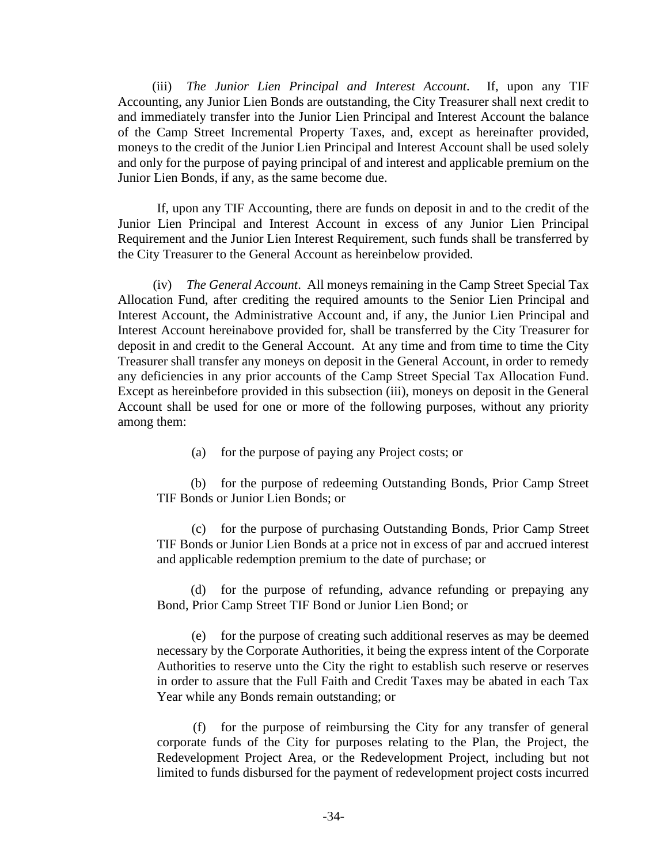(iii) *The Junior Lien Principal and Interest Account*. If, upon any TIF Accounting, any Junior Lien Bonds are outstanding, the City Treasurer shall next credit to and immediately transfer into the Junior Lien Principal and Interest Account the balance of the Camp Street Incremental Property Taxes, and, except as hereinafter provided, moneys to the credit of the Junior Lien Principal and Interest Account shall be used solely and only for the purpose of paying principal of and interest and applicable premium on the Junior Lien Bonds, if any, as the same become due.

If, upon any TIF Accounting, there are funds on deposit in and to the credit of the Junior Lien Principal and Interest Account in excess of any Junior Lien Principal Requirement and the Junior Lien Interest Requirement, such funds shall be transferred by the City Treasurer to the General Account as hereinbelow provided.

(iv) *The General Account*. All moneys remaining in the Camp Street Special Tax Allocation Fund, after crediting the required amounts to the Senior Lien Principal and Interest Account, the Administrative Account and, if any, the Junior Lien Principal and Interest Account hereinabove provided for, shall be transferred by the City Treasurer for deposit in and credit to the General Account. At any time and from time to time the City Treasurer shall transfer any moneys on deposit in the General Account, in order to remedy any deficiencies in any prior accounts of the Camp Street Special Tax Allocation Fund. Except as hereinbefore provided in this subsection (iii), moneys on deposit in the General Account shall be used for one or more of the following purposes, without any priority among them:

(a) for the purpose of paying any Project costs; or

(b) for the purpose of redeeming Outstanding Bonds, Prior Camp Street TIF Bonds or Junior Lien Bonds; or

(c) for the purpose of purchasing Outstanding Bonds, Prior Camp Street TIF Bonds or Junior Lien Bonds at a price not in excess of par and accrued interest and applicable redemption premium to the date of purchase; or

(d) for the purpose of refunding, advance refunding or prepaying any Bond, Prior Camp Street TIF Bond or Junior Lien Bond; or

(e) for the purpose of creating such additional reserves as may be deemed necessary by the Corporate Authorities, it being the express intent of the Corporate Authorities to reserve unto the City the right to establish such reserve or reserves in order to assure that the Full Faith and Credit Taxes may be abated in each Tax Year while any Bonds remain outstanding; or

(f) for the purpose of reimbursing the City for any transfer of general corporate funds of the City for purposes relating to the Plan, the Project, the Redevelopment Project Area, or the Redevelopment Project, including but not limited to funds disbursed for the payment of redevelopment project costs incurred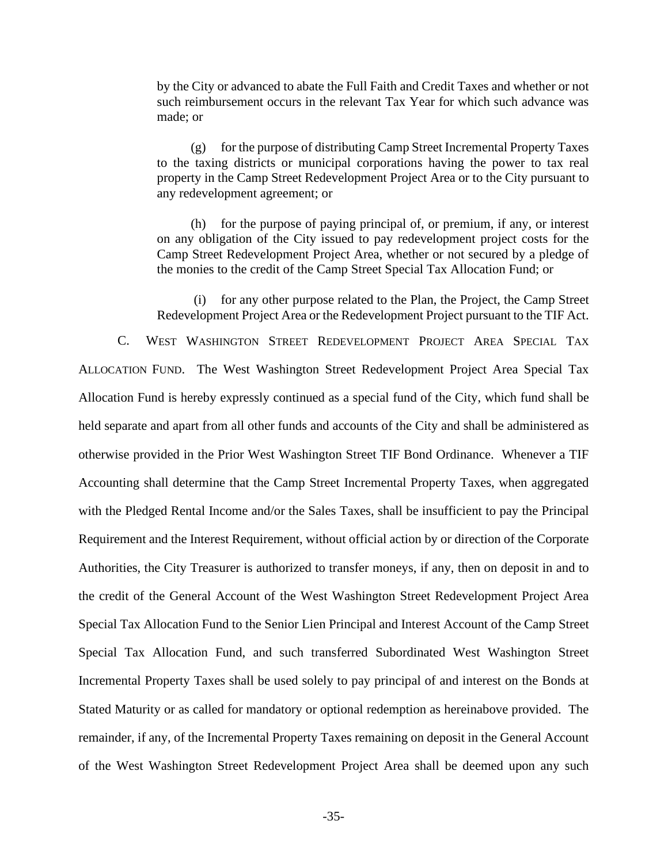by the City or advanced to abate the Full Faith and Credit Taxes and whether or not such reimbursement occurs in the relevant Tax Year for which such advance was made; or

(g) for the purpose of distributing Camp Street Incremental Property Taxes to the taxing districts or municipal corporations having the power to tax real property in the Camp Street Redevelopment Project Area or to the City pursuant to any redevelopment agreement; or

(h) for the purpose of paying principal of, or premium, if any, or interest on any obligation of the City issued to pay redevelopment project costs for the Camp Street Redevelopment Project Area, whether or not secured by a pledge of the monies to the credit of the Camp Street Special Tax Allocation Fund; or

(i) for any other purpose related to the Plan, the Project, the Camp Street Redevelopment Project Area or the Redevelopment Project pursuant to the TIF Act.

C. WEST WASHINGTON STREET REDEVELOPMENT PROJECT AREA SPECIAL TAX ALLOCATION FUND. The West Washington Street Redevelopment Project Area Special Tax Allocation Fund is hereby expressly continued as a special fund of the City, which fund shall be held separate and apart from all other funds and accounts of the City and shall be administered as otherwise provided in the Prior West Washington Street TIF Bond Ordinance. Whenever a TIF Accounting shall determine that the Camp Street Incremental Property Taxes, when aggregated with the Pledged Rental Income and/or the Sales Taxes, shall be insufficient to pay the Principal Requirement and the Interest Requirement, without official action by or direction of the Corporate Authorities, the City Treasurer is authorized to transfer moneys, if any, then on deposit in and to the credit of the General Account of the West Washington Street Redevelopment Project Area Special Tax Allocation Fund to the Senior Lien Principal and Interest Account of the Camp Street Special Tax Allocation Fund, and such transferred Subordinated West Washington Street Incremental Property Taxes shall be used solely to pay principal of and interest on the Bonds at Stated Maturity or as called for mandatory or optional redemption as hereinabove provided. The remainder, if any, of the Incremental Property Taxes remaining on deposit in the General Account of the West Washington Street Redevelopment Project Area shall be deemed upon any such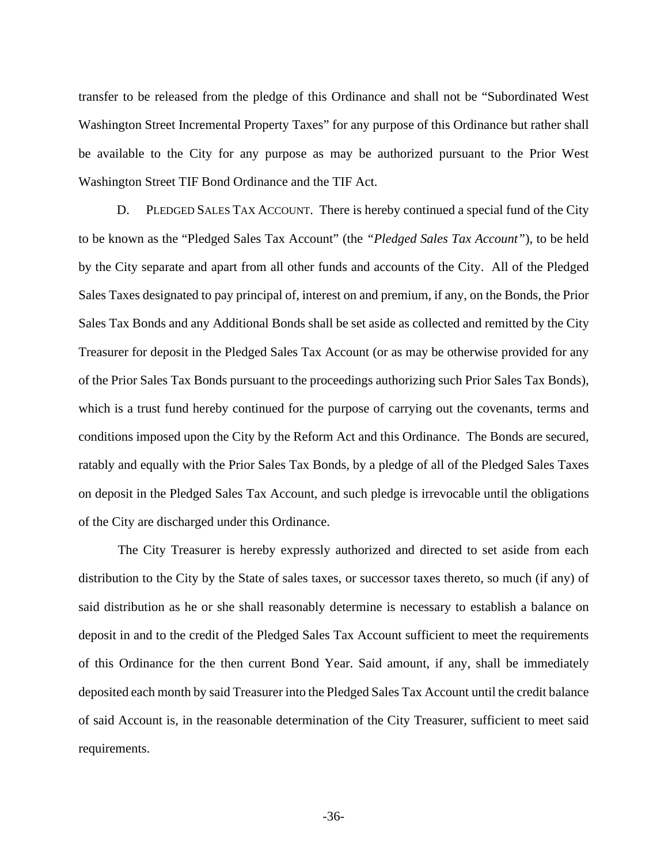transfer to be released from the pledge of this Ordinance and shall not be "Subordinated West Washington Street Incremental Property Taxes" for any purpose of this Ordinance but rather shall be available to the City for any purpose as may be authorized pursuant to the Prior West Washington Street TIF Bond Ordinance and the TIF Act.

D. PLEDGED SALES TAX ACCOUNT. There is hereby continued a special fund of the City to be known as the "Pledged Sales Tax Account" (the *"Pledged Sales Tax Account"*), to be held by the City separate and apart from all other funds and accounts of the City. All of the Pledged Sales Taxes designated to pay principal of, interest on and premium, if any, on the Bonds, the Prior Sales Tax Bonds and any Additional Bonds shall be set aside as collected and remitted by the City Treasurer for deposit in the Pledged Sales Tax Account (or as may be otherwise provided for any of the Prior Sales Tax Bonds pursuant to the proceedings authorizing such Prior Sales Tax Bonds), which is a trust fund hereby continued for the purpose of carrying out the covenants, terms and conditions imposed upon the City by the Reform Act and this Ordinance. The Bonds are secured, ratably and equally with the Prior Sales Tax Bonds, by a pledge of all of the Pledged Sales Taxes on deposit in the Pledged Sales Tax Account, and such pledge is irrevocable until the obligations of the City are discharged under this Ordinance.

The City Treasurer is hereby expressly authorized and directed to set aside from each distribution to the City by the State of sales taxes, or successor taxes thereto, so much (if any) of said distribution as he or she shall reasonably determine is necessary to establish a balance on deposit in and to the credit of the Pledged Sales Tax Account sufficient to meet the requirements of this Ordinance for the then current Bond Year. Said amount, if any, shall be immediately deposited each month by said Treasurer into the Pledged Sales Tax Account until the credit balance of said Account is, in the reasonable determination of the City Treasurer, sufficient to meet said requirements.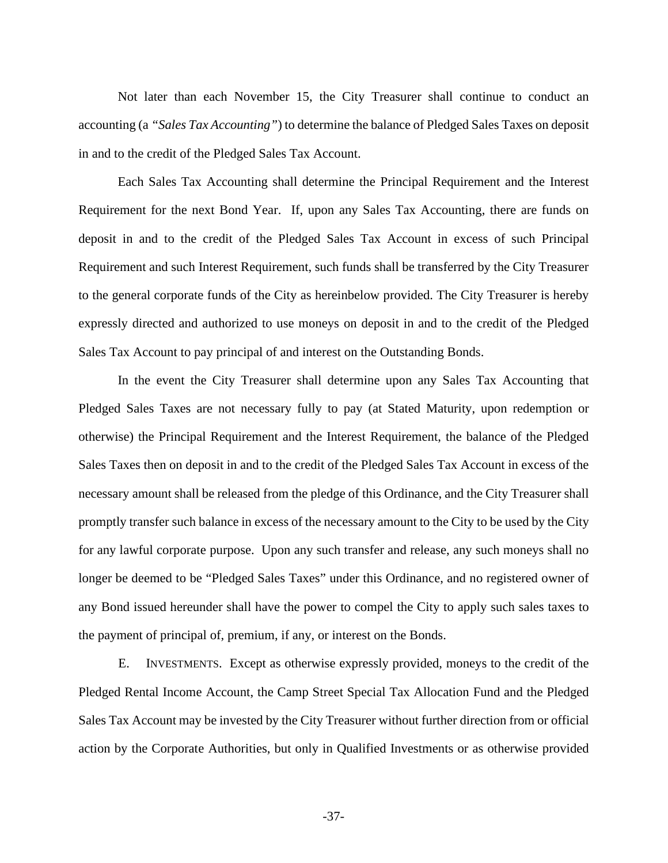Not later than each November 15, the City Treasurer shall continue to conduct an accounting (a *"Sales Tax Accounting"*) to determine the balance of Pledged Sales Taxes on deposit in and to the credit of the Pledged Sales Tax Account.

Each Sales Tax Accounting shall determine the Principal Requirement and the Interest Requirement for the next Bond Year. If, upon any Sales Tax Accounting, there are funds on deposit in and to the credit of the Pledged Sales Tax Account in excess of such Principal Requirement and such Interest Requirement, such funds shall be transferred by the City Treasurer to the general corporate funds of the City as hereinbelow provided. The City Treasurer is hereby expressly directed and authorized to use moneys on deposit in and to the credit of the Pledged Sales Tax Account to pay principal of and interest on the Outstanding Bonds.

In the event the City Treasurer shall determine upon any Sales Tax Accounting that Pledged Sales Taxes are not necessary fully to pay (at Stated Maturity, upon redemption or otherwise) the Principal Requirement and the Interest Requirement, the balance of the Pledged Sales Taxes then on deposit in and to the credit of the Pledged Sales Tax Account in excess of the necessary amount shall be released from the pledge of this Ordinance, and the City Treasurer shall promptly transfer such balance in excess of the necessary amount to the City to be used by the City for any lawful corporate purpose. Upon any such transfer and release, any such moneys shall no longer be deemed to be "Pledged Sales Taxes" under this Ordinance, and no registered owner of any Bond issued hereunder shall have the power to compel the City to apply such sales taxes to the payment of principal of, premium, if any, or interest on the Bonds.

E. INVESTMENTS. Except as otherwise expressly provided, moneys to the credit of the Pledged Rental Income Account, the Camp Street Special Tax Allocation Fund and the Pledged Sales Tax Account may be invested by the City Treasurer without further direction from or official action by the Corporate Authorities, but only in Qualified Investments or as otherwise provided

-37-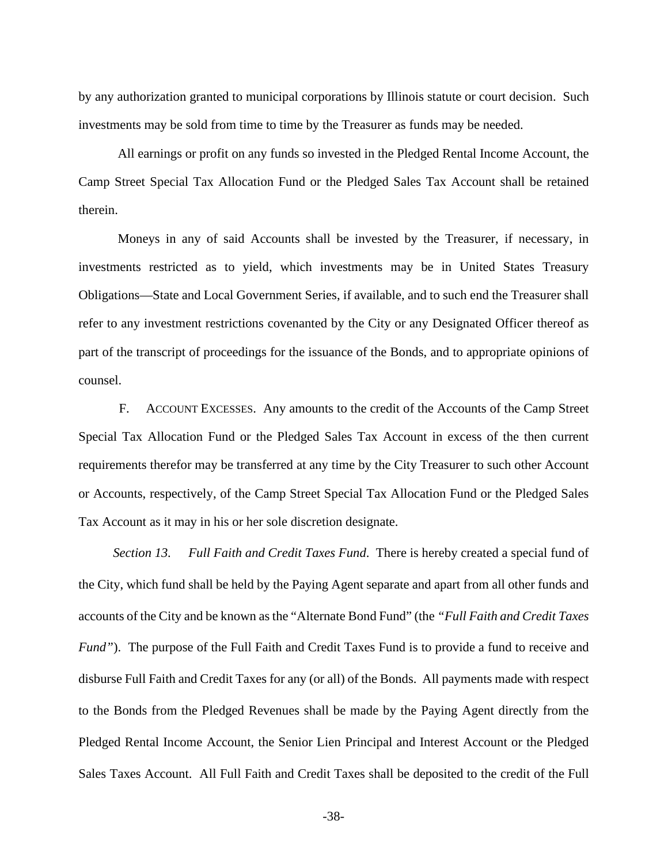by any authorization granted to municipal corporations by Illinois statute or court decision. Such investments may be sold from time to time by the Treasurer as funds may be needed.

All earnings or profit on any funds so invested in the Pledged Rental Income Account, the Camp Street Special Tax Allocation Fund or the Pledged Sales Tax Account shall be retained therein.

Moneys in any of said Accounts shall be invested by the Treasurer, if necessary, in investments restricted as to yield, which investments may be in United States Treasury Obligations—State and Local Government Series, if available, and to such end the Treasurer shall refer to any investment restrictions covenanted by the City or any Designated Officer thereof as part of the transcript of proceedings for the issuance of the Bonds, and to appropriate opinions of counsel.

F. ACCOUNT EXCESSES. Any amounts to the credit of the Accounts of the Camp Street Special Tax Allocation Fund or the Pledged Sales Tax Account in excess of the then current requirements therefor may be transferred at any time by the City Treasurer to such other Account or Accounts, respectively, of the Camp Street Special Tax Allocation Fund or the Pledged Sales Tax Account as it may in his or her sole discretion designate.

*Section 13. Full Faith and Credit Taxes Fund*. There is hereby created a special fund of the City, which fund shall be held by the Paying Agent separate and apart from all other funds and accounts of the City and be known as the "Alternate Bond Fund" (the *"Full Faith and Credit Taxes Fund"*). The purpose of the Full Faith and Credit Taxes Fund is to provide a fund to receive and disburse Full Faith and Credit Taxes for any (or all) of the Bonds. All payments made with respect to the Bonds from the Pledged Revenues shall be made by the Paying Agent directly from the Pledged Rental Income Account, the Senior Lien Principal and Interest Account or the Pledged Sales Taxes Account. All Full Faith and Credit Taxes shall be deposited to the credit of the Full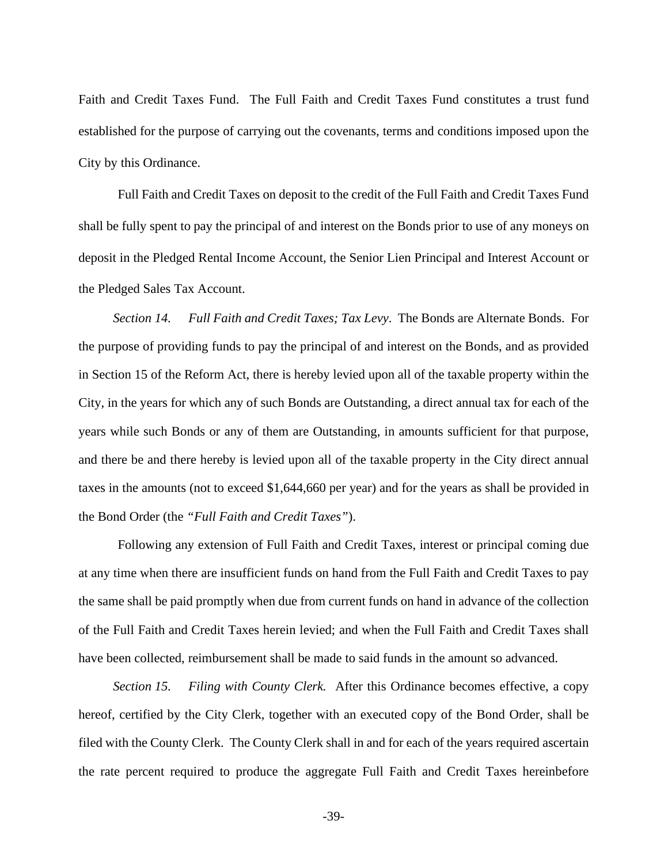Faith and Credit Taxes Fund. The Full Faith and Credit Taxes Fund constitutes a trust fund established for the purpose of carrying out the covenants, terms and conditions imposed upon the City by this Ordinance.

Full Faith and Credit Taxes on deposit to the credit of the Full Faith and Credit Taxes Fund shall be fully spent to pay the principal of and interest on the Bonds prior to use of any moneys on deposit in the Pledged Rental Income Account, the Senior Lien Principal and Interest Account or the Pledged Sales Tax Account.

*Section 14. Full Faith and Credit Taxes; Tax Levy*. The Bonds are Alternate Bonds. For the purpose of providing funds to pay the principal of and interest on the Bonds, and as provided in Section 15 of the Reform Act, there is hereby levied upon all of the taxable property within the City, in the years for which any of such Bonds are Outstanding, a direct annual tax for each of the years while such Bonds or any of them are Outstanding, in amounts sufficient for that purpose, and there be and there hereby is levied upon all of the taxable property in the City direct annual taxes in the amounts (not to exceed \$1,644,660 per year) and for the years as shall be provided in the Bond Order (the *"Full Faith and Credit Taxes"*).

Following any extension of Full Faith and Credit Taxes, interest or principal coming due at any time when there are insufficient funds on hand from the Full Faith and Credit Taxes to pay the same shall be paid promptly when due from current funds on hand in advance of the collection of the Full Faith and Credit Taxes herein levied; and when the Full Faith and Credit Taxes shall have been collected, reimbursement shall be made to said funds in the amount so advanced.

*Section 15. Filing with County Clerk.* After this Ordinance becomes effective, a copy hereof, certified by the City Clerk, together with an executed copy of the Bond Order, shall be filed with the County Clerk. The County Clerk shall in and for each of the years required ascertain the rate percent required to produce the aggregate Full Faith and Credit Taxes hereinbefore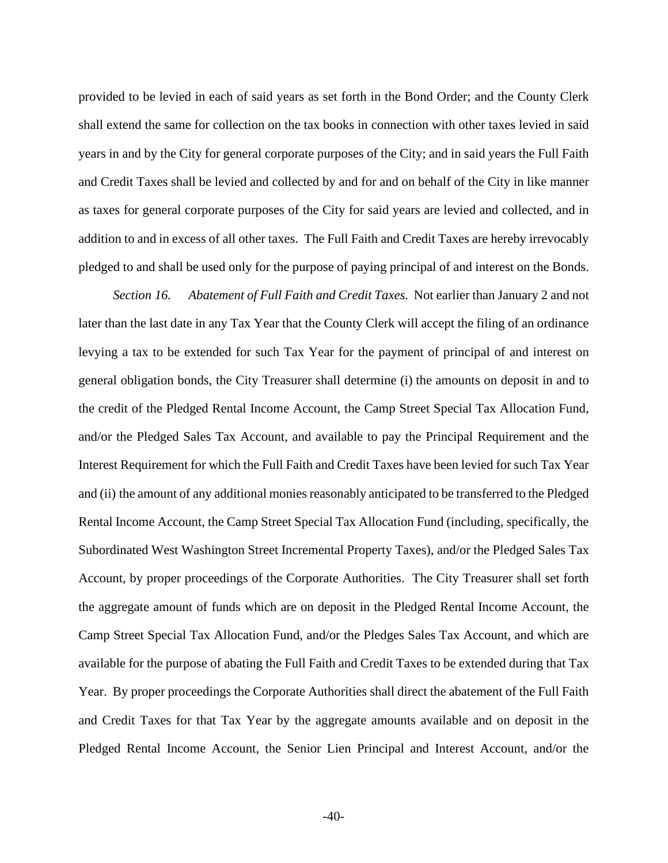provided to be levied in each of said years as set forth in the Bond Order; and the County Clerk shall extend the same for collection on the tax books in connection with other taxes levied in said years in and by the City for general corporate purposes of the City; and in said years the Full Faith and Credit Taxes shall be levied and collected by and for and on behalf of the City in like manner as taxes for general corporate purposes of the City for said years are levied and collected, and in addition to and in excess of all other taxes. The Full Faith and Credit Taxes are hereby irrevocably pledged to and shall be used only for the purpose of paying principal of and interest on the Bonds.

*Section 16. Abatement of Full Faith and Credit Taxes*. Not earlier than January 2 and not later than the last date in any Tax Year that the County Clerk will accept the filing of an ordinance levying a tax to be extended for such Tax Year for the payment of principal of and interest on general obligation bonds, the City Treasurer shall determine (i) the amounts on deposit in and to the credit of the Pledged Rental Income Account, the Camp Street Special Tax Allocation Fund, and/or the Pledged Sales Tax Account, and available to pay the Principal Requirement and the Interest Requirement for which the Full Faith and Credit Taxes have been levied for such Tax Year and (ii) the amount of any additional monies reasonably anticipated to be transferred to the Pledged Rental Income Account, the Camp Street Special Tax Allocation Fund (including, specifically, the Subordinated West Washington Street Incremental Property Taxes), and/or the Pledged Sales Tax Account, by proper proceedings of the Corporate Authorities. The City Treasurer shall set forth the aggregate amount of funds which are on deposit in the Pledged Rental Income Account, the Camp Street Special Tax Allocation Fund, and/or the Pledges Sales Tax Account, and which are available for the purpose of abating the Full Faith and Credit Taxes to be extended during that Tax Year. By proper proceedings the Corporate Authorities shall direct the abatement of the Full Faith and Credit Taxes for that Tax Year by the aggregate amounts available and on deposit in the Pledged Rental Income Account, the Senior Lien Principal and Interest Account, and/or the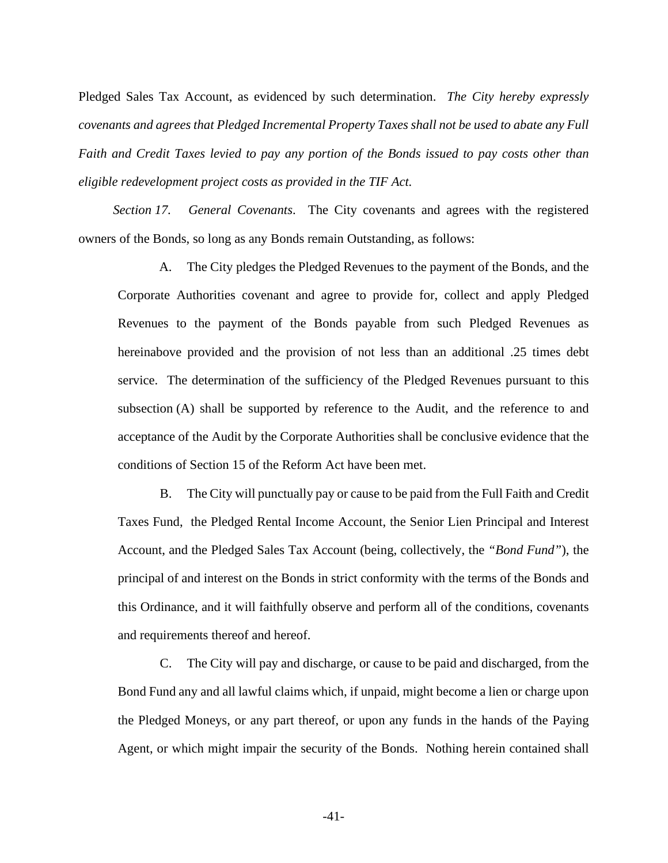Pledged Sales Tax Account, as evidenced by such determination. *The City hereby expressly covenants and agrees that Pledged Incremental Property Taxes shall not be used to abate any Full Faith and Credit Taxes levied to pay any portion of the Bonds issued to pay costs other than eligible redevelopment project costs as provided in the TIF Act.*

*Section 17. General Covenants*. The City covenants and agrees with the registered owners of the Bonds, so long as any Bonds remain Outstanding, as follows:

A. The City pledges the Pledged Revenues to the payment of the Bonds, and the Corporate Authorities covenant and agree to provide for, collect and apply Pledged Revenues to the payment of the Bonds payable from such Pledged Revenues as hereinabove provided and the provision of not less than an additional .25 times debt service. The determination of the sufficiency of the Pledged Revenues pursuant to this subsection (A) shall be supported by reference to the Audit, and the reference to and acceptance of the Audit by the Corporate Authorities shall be conclusive evidence that the conditions of Section 15 of the Reform Act have been met.

B. The City will punctually pay or cause to be paid from the Full Faith and Credit Taxes Fund, the Pledged Rental Income Account, the Senior Lien Principal and Interest Account, and the Pledged Sales Tax Account (being, collectively, the *"Bond Fund"*), the principal of and interest on the Bonds in strict conformity with the terms of the Bonds and this Ordinance, and it will faithfully observe and perform all of the conditions, covenants and requirements thereof and hereof.

C. The City will pay and discharge, or cause to be paid and discharged, from the Bond Fund any and all lawful claims which, if unpaid, might become a lien or charge upon the Pledged Moneys, or any part thereof, or upon any funds in the hands of the Paying Agent, or which might impair the security of the Bonds. Nothing herein contained shall

-41-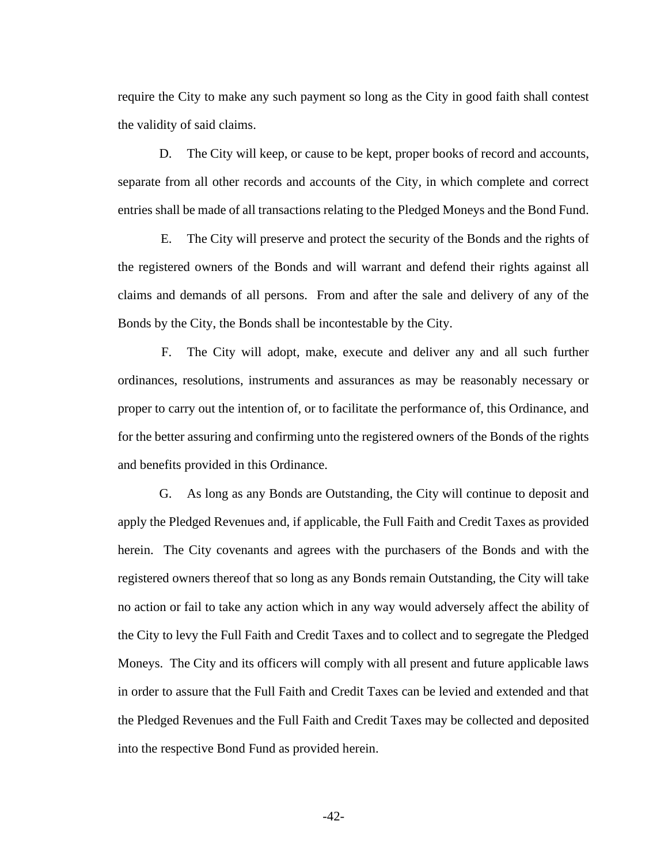require the City to make any such payment so long as the City in good faith shall contest the validity of said claims.

D. The City will keep, or cause to be kept, proper books of record and accounts, separate from all other records and accounts of the City, in which complete and correct entries shall be made of all transactions relating to the Pledged Moneys and the Bond Fund.

E. The City will preserve and protect the security of the Bonds and the rights of the registered owners of the Bonds and will warrant and defend their rights against all claims and demands of all persons. From and after the sale and delivery of any of the Bonds by the City, the Bonds shall be incontestable by the City.

F. The City will adopt, make, execute and deliver any and all such further ordinances, resolutions, instruments and assurances as may be reasonably necessary or proper to carry out the intention of, or to facilitate the performance of, this Ordinance, and for the better assuring and confirming unto the registered owners of the Bonds of the rights and benefits provided in this Ordinance.

G. As long as any Bonds are Outstanding, the City will continue to deposit and apply the Pledged Revenues and, if applicable, the Full Faith and Credit Taxes as provided herein. The City covenants and agrees with the purchasers of the Bonds and with the registered owners thereof that so long as any Bonds remain Outstanding, the City will take no action or fail to take any action which in any way would adversely affect the ability of the City to levy the Full Faith and Credit Taxes and to collect and to segregate the Pledged Moneys. The City and its officers will comply with all present and future applicable laws in order to assure that the Full Faith and Credit Taxes can be levied and extended and that the Pledged Revenues and the Full Faith and Credit Taxes may be collected and deposited into the respective Bond Fund as provided herein.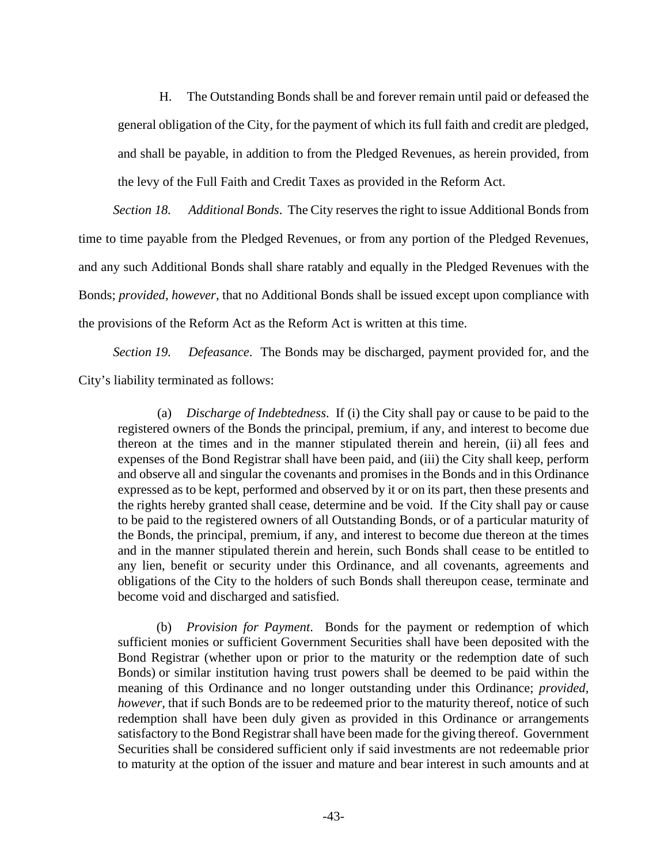H. The Outstanding Bonds shall be and forever remain until paid or defeased the general obligation of the City, for the payment of which its full faith and credit are pledged, and shall be payable, in addition to from the Pledged Revenues, as herein provided, from the levy of the Full Faith and Credit Taxes as provided in the Reform Act.

*Section 18. Additional Bonds*. The City reserves the right to issue Additional Bonds from time to time payable from the Pledged Revenues, or from any portion of the Pledged Revenues, and any such Additional Bonds shall share ratably and equally in the Pledged Revenues with the Bonds; *provided, however,* that no Additional Bonds shall be issued except upon compliance with the provisions of the Reform Act as the Reform Act is written at this time.

*Section 19. Defeasance*. The Bonds may be discharged, payment provided for, and the City's liability terminated as follows:

(a) *Discharge of Indebtedness*. If (i) the City shall pay or cause to be paid to the registered owners of the Bonds the principal, premium, if any, and interest to become due thereon at the times and in the manner stipulated therein and herein, (ii) all fees and expenses of the Bond Registrar shall have been paid, and (iii) the City shall keep, perform and observe all and singular the covenants and promises in the Bonds and in this Ordinance expressed as to be kept, performed and observed by it or on its part, then these presents and the rights hereby granted shall cease, determine and be void. If the City shall pay or cause to be paid to the registered owners of all Outstanding Bonds, or of a particular maturity of the Bonds, the principal, premium, if any, and interest to become due thereon at the times and in the manner stipulated therein and herein, such Bonds shall cease to be entitled to any lien, benefit or security under this Ordinance, and all covenants, agreements and obligations of the City to the holders of such Bonds shall thereupon cease, terminate and become void and discharged and satisfied.

(b) *Provision for Payment*. Bonds for the payment or redemption of which sufficient monies or sufficient Government Securities shall have been deposited with the Bond Registrar (whether upon or prior to the maturity or the redemption date of such Bonds) or similar institution having trust powers shall be deemed to be paid within the meaning of this Ordinance and no longer outstanding under this Ordinance; *provided, however,* that if such Bonds are to be redeemed prior to the maturity thereof, notice of such redemption shall have been duly given as provided in this Ordinance or arrangements satisfactory to the Bond Registrar shall have been made for the giving thereof. Government Securities shall be considered sufficient only if said investments are not redeemable prior to maturity at the option of the issuer and mature and bear interest in such amounts and at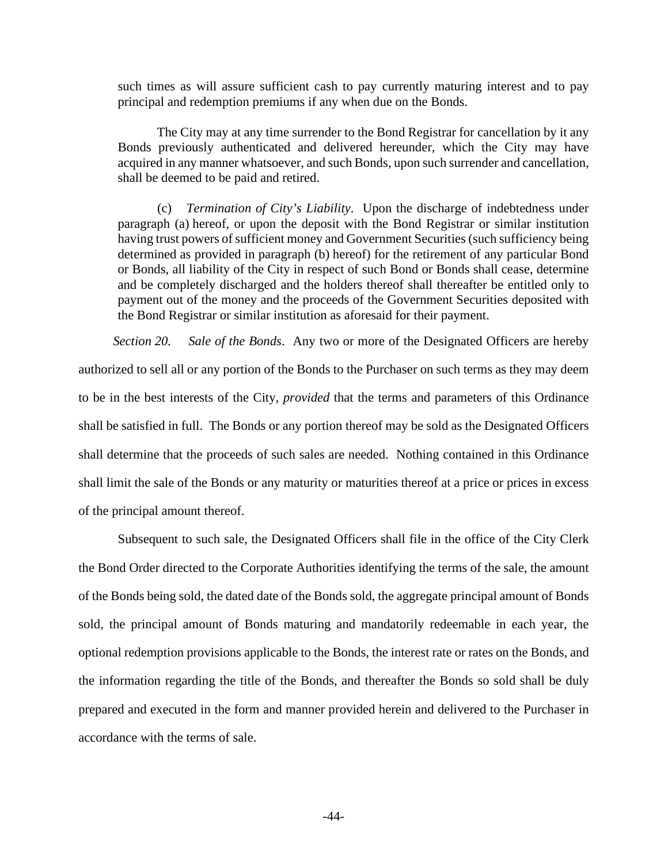such times as will assure sufficient cash to pay currently maturing interest and to pay principal and redemption premiums if any when due on the Bonds.

The City may at any time surrender to the Bond Registrar for cancellation by it any Bonds previously authenticated and delivered hereunder, which the City may have acquired in any manner whatsoever, and such Bonds, upon such surrender and cancellation, shall be deemed to be paid and retired.

(c) *Termination of City's Liability*. Upon the discharge of indebtedness under paragraph (a) hereof, or upon the deposit with the Bond Registrar or similar institution having trust powers of sufficient money and Government Securities (such sufficiency being determined as provided in paragraph (b) hereof) for the retirement of any particular Bond or Bonds, all liability of the City in respect of such Bond or Bonds shall cease, determine and be completely discharged and the holders thereof shall thereafter be entitled only to payment out of the money and the proceeds of the Government Securities deposited with the Bond Registrar or similar institution as aforesaid for their payment.

*Section 20. Sale of the Bonds*. Any two or more of the Designated Officers are hereby authorized to sell all or any portion of the Bonds to the Purchaser on such terms as they may deem to be in the best interests of the City, *provided* that the terms and parameters of this Ordinance shall be satisfied in full. The Bonds or any portion thereof may be sold as the Designated Officers shall determine that the proceeds of such sales are needed. Nothing contained in this Ordinance shall limit the sale of the Bonds or any maturity or maturities thereof at a price or prices in excess of the principal amount thereof.

Subsequent to such sale, the Designated Officers shall file in the office of the City Clerk the Bond Order directed to the Corporate Authorities identifying the terms of the sale, the amount of the Bonds being sold, the dated date of the Bonds sold, the aggregate principal amount of Bonds sold, the principal amount of Bonds maturing and mandatorily redeemable in each year, the optional redemption provisions applicable to the Bonds, the interest rate or rates on the Bonds, and the information regarding the title of the Bonds, and thereafter the Bonds so sold shall be duly prepared and executed in the form and manner provided herein and delivered to the Purchaser in accordance with the terms of sale.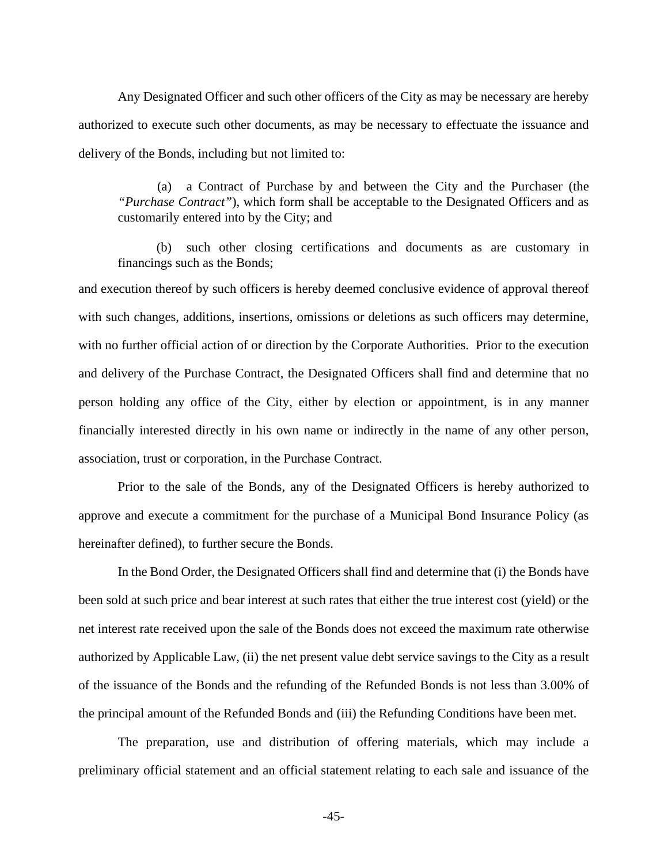Any Designated Officer and such other officers of the City as may be necessary are hereby authorized to execute such other documents, as may be necessary to effectuate the issuance and delivery of the Bonds, including but not limited to:

(a) a Contract of Purchase by and between the City and the Purchaser (the *"Purchase Contract"*), which form shall be acceptable to the Designated Officers and as customarily entered into by the City; and

(b) such other closing certifications and documents as are customary in financings such as the Bonds;

and execution thereof by such officers is hereby deemed conclusive evidence of approval thereof with such changes, additions, insertions, omissions or deletions as such officers may determine, with no further official action of or direction by the Corporate Authorities. Prior to the execution and delivery of the Purchase Contract, the Designated Officers shall find and determine that no person holding any office of the City, either by election or appointment, is in any manner financially interested directly in his own name or indirectly in the name of any other person, association, trust or corporation, in the Purchase Contract.

Prior to the sale of the Bonds, any of the Designated Officers is hereby authorized to approve and execute a commitment for the purchase of a Municipal Bond Insurance Policy (as hereinafter defined), to further secure the Bonds.

In the Bond Order, the Designated Officers shall find and determine that (i) the Bonds have been sold at such price and bear interest at such rates that either the true interest cost (yield) or the net interest rate received upon the sale of the Bonds does not exceed the maximum rate otherwise authorized by Applicable Law, (ii) the net present value debt service savings to the City as a result of the issuance of the Bonds and the refunding of the Refunded Bonds is not less than 3.00% of the principal amount of the Refunded Bonds and (iii) the Refunding Conditions have been met.

The preparation, use and distribution of offering materials, which may include a preliminary official statement and an official statement relating to each sale and issuance of the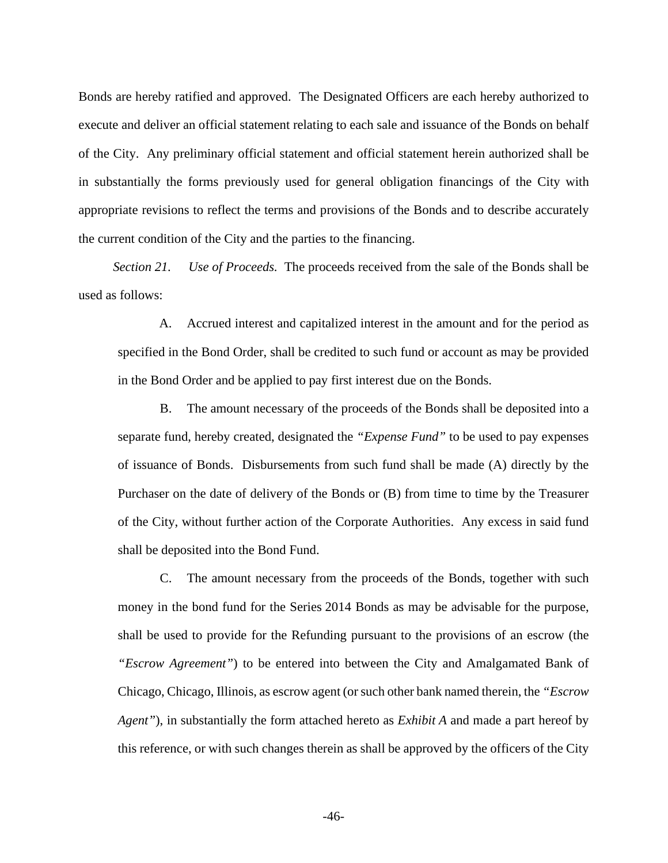Bonds are hereby ratified and approved. The Designated Officers are each hereby authorized to execute and deliver an official statement relating to each sale and issuance of the Bonds on behalf of the City. Any preliminary official statement and official statement herein authorized shall be in substantially the forms previously used for general obligation financings of the City with appropriate revisions to reflect the terms and provisions of the Bonds and to describe accurately the current condition of the City and the parties to the financing.

*Section 21. Use of Proceeds.* The proceeds received from the sale of the Bonds shall be used as follows:

A. Accrued interest and capitalized interest in the amount and for the period as specified in the Bond Order, shall be credited to such fund or account as may be provided in the Bond Order and be applied to pay first interest due on the Bonds.

B. The amount necessary of the proceeds of the Bonds shall be deposited into a separate fund, hereby created, designated the *"Expense Fund"* to be used to pay expenses of issuance of Bonds. Disbursements from such fund shall be made (A) directly by the Purchaser on the date of delivery of the Bonds or (B) from time to time by the Treasurer of the City, without further action of the Corporate Authorities. Any excess in said fund shall be deposited into the Bond Fund.

C. The amount necessary from the proceeds of the Bonds, together with such money in the bond fund for the Series 2014 Bonds as may be advisable for the purpose, shall be used to provide for the Refunding pursuant to the provisions of an escrow (the *"Escrow Agreement"*) to be entered into between the City and Amalgamated Bank of Chicago, Chicago, Illinois, as escrow agent (or such other bank named therein, the *"Escrow Agent"*), in substantially the form attached hereto as *Exhibit A* and made a part hereof by this reference, or with such changes therein as shall be approved by the officers of the City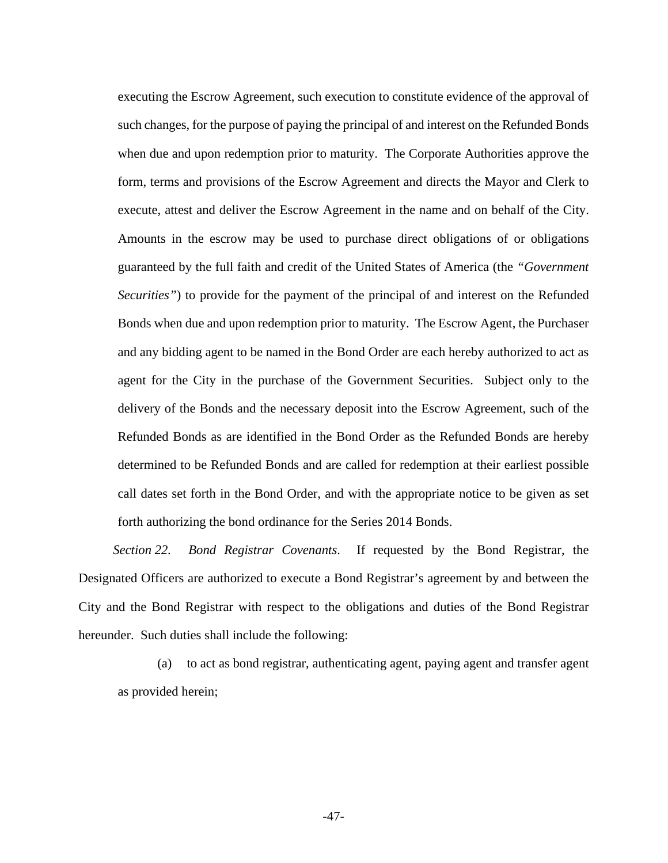executing the Escrow Agreement, such execution to constitute evidence of the approval of such changes, for the purpose of paying the principal of and interest on the Refunded Bonds when due and upon redemption prior to maturity. The Corporate Authorities approve the form, terms and provisions of the Escrow Agreement and directs the Mayor and Clerk to execute, attest and deliver the Escrow Agreement in the name and on behalf of the City. Amounts in the escrow may be used to purchase direct obligations of or obligations guaranteed by the full faith and credit of the United States of America (the *"Government Securities"*) to provide for the payment of the principal of and interest on the Refunded Bonds when due and upon redemption prior to maturity. The Escrow Agent, the Purchaser and any bidding agent to be named in the Bond Order are each hereby authorized to act as agent for the City in the purchase of the Government Securities. Subject only to the delivery of the Bonds and the necessary deposit into the Escrow Agreement, such of the Refunded Bonds as are identified in the Bond Order as the Refunded Bonds are hereby determined to be Refunded Bonds and are called for redemption at their earliest possible call dates set forth in the Bond Order, and with the appropriate notice to be given as set forth authorizing the bond ordinance for the Series 2014 Bonds.

*Section 22. Bond Registrar Covenants*. If requested by the Bond Registrar, the Designated Officers are authorized to execute a Bond Registrar's agreement by and between the City and the Bond Registrar with respect to the obligations and duties of the Bond Registrar hereunder. Such duties shall include the following:

(a) to act as bond registrar, authenticating agent, paying agent and transfer agent as provided herein;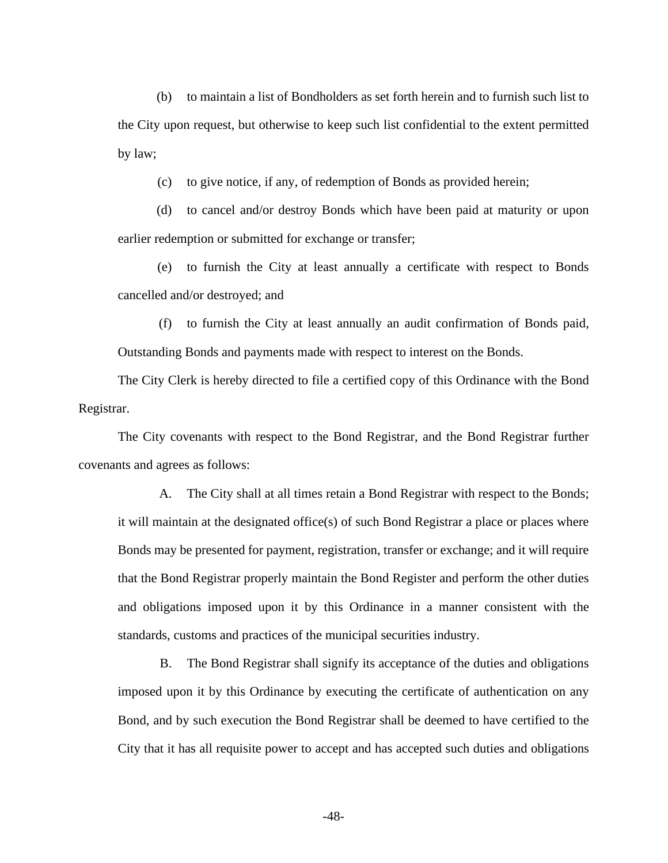(b) to maintain a list of Bondholders as set forth herein and to furnish such list to the City upon request, but otherwise to keep such list confidential to the extent permitted by law;

(c) to give notice, if any, of redemption of Bonds as provided herein;

(d) to cancel and/or destroy Bonds which have been paid at maturity or upon earlier redemption or submitted for exchange or transfer;

(e) to furnish the City at least annually a certificate with respect to Bonds cancelled and/or destroyed; and

(f) to furnish the City at least annually an audit confirmation of Bonds paid, Outstanding Bonds and payments made with respect to interest on the Bonds.

The City Clerk is hereby directed to file a certified copy of this Ordinance with the Bond Registrar.

The City covenants with respect to the Bond Registrar, and the Bond Registrar further covenants and agrees as follows:

A. The City shall at all times retain a Bond Registrar with respect to the Bonds; it will maintain at the designated office(s) of such Bond Registrar a place or places where Bonds may be presented for payment, registration, transfer or exchange; and it will require that the Bond Registrar properly maintain the Bond Register and perform the other duties and obligations imposed upon it by this Ordinance in a manner consistent with the standards, customs and practices of the municipal securities industry.

B. The Bond Registrar shall signify its acceptance of the duties and obligations imposed upon it by this Ordinance by executing the certificate of authentication on any Bond, and by such execution the Bond Registrar shall be deemed to have certified to the City that it has all requisite power to accept and has accepted such duties and obligations

-48-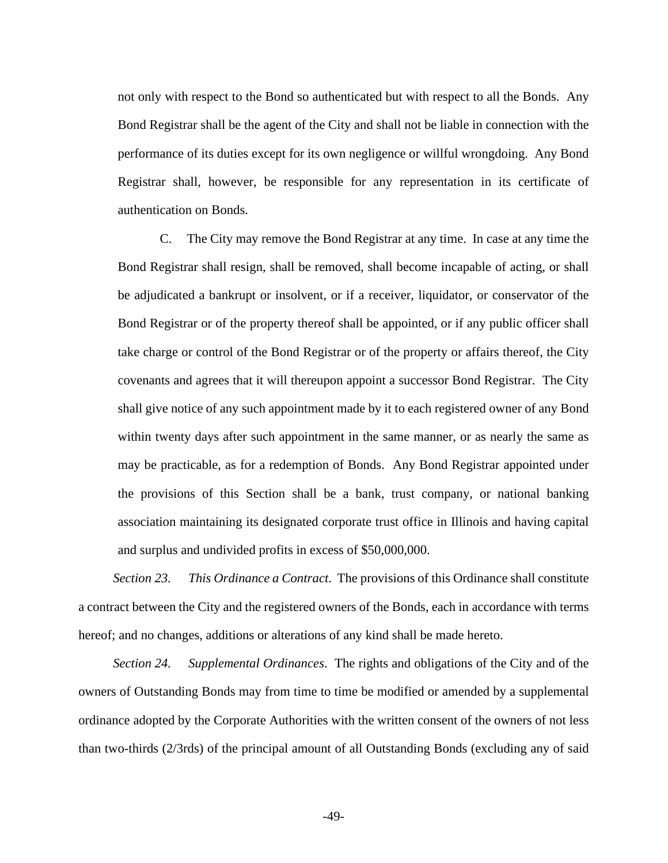not only with respect to the Bond so authenticated but with respect to all the Bonds. Any Bond Registrar shall be the agent of the City and shall not be liable in connection with the performance of its duties except for its own negligence or willful wrongdoing. Any Bond Registrar shall, however, be responsible for any representation in its certificate of authentication on Bonds.

C. The City may remove the Bond Registrar at any time. In case at any time the Bond Registrar shall resign, shall be removed, shall become incapable of acting, or shall be adjudicated a bankrupt or insolvent, or if a receiver, liquidator, or conservator of the Bond Registrar or of the property thereof shall be appointed, or if any public officer shall take charge or control of the Bond Registrar or of the property or affairs thereof, the City covenants and agrees that it will thereupon appoint a successor Bond Registrar. The City shall give notice of any such appointment made by it to each registered owner of any Bond within twenty days after such appointment in the same manner, or as nearly the same as may be practicable, as for a redemption of Bonds. Any Bond Registrar appointed under the provisions of this Section shall be a bank, trust company, or national banking association maintaining its designated corporate trust office in Illinois and having capital and surplus and undivided profits in excess of \$50,000,000.

*Section 23. This Ordinance a Contract*. The provisions of this Ordinance shall constitute a contract between the City and the registered owners of the Bonds, each in accordance with terms hereof; and no changes, additions or alterations of any kind shall be made hereto.

*Section 24. Supplemental Ordinances*. The rights and obligations of the City and of the owners of Outstanding Bonds may from time to time be modified or amended by a supplemental ordinance adopted by the Corporate Authorities with the written consent of the owners of not less than two-thirds (2/3rds) of the principal amount of all Outstanding Bonds (excluding any of said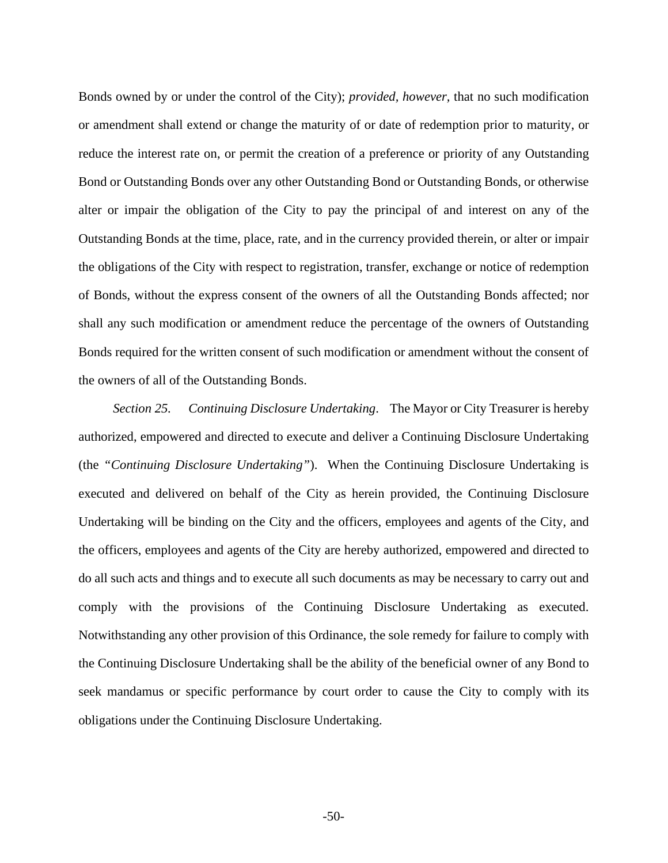Bonds owned by or under the control of the City); *provided, however,* that no such modification or amendment shall extend or change the maturity of or date of redemption prior to maturity, or reduce the interest rate on, or permit the creation of a preference or priority of any Outstanding Bond or Outstanding Bonds over any other Outstanding Bond or Outstanding Bonds, or otherwise alter or impair the obligation of the City to pay the principal of and interest on any of the Outstanding Bonds at the time, place, rate, and in the currency provided therein, or alter or impair the obligations of the City with respect to registration, transfer, exchange or notice of redemption of Bonds, without the express consent of the owners of all the Outstanding Bonds affected; nor shall any such modification or amendment reduce the percentage of the owners of Outstanding Bonds required for the written consent of such modification or amendment without the consent of the owners of all of the Outstanding Bonds.

*Section 25. Continuing Disclosure Undertaking*. The Mayor or City Treasurer is hereby authorized, empowered and directed to execute and deliver a Continuing Disclosure Undertaking (the *"Continuing Disclosure Undertaking"*). When the Continuing Disclosure Undertaking is executed and delivered on behalf of the City as herein provided, the Continuing Disclosure Undertaking will be binding on the City and the officers, employees and agents of the City, and the officers, employees and agents of the City are hereby authorized, empowered and directed to do all such acts and things and to execute all such documents as may be necessary to carry out and comply with the provisions of the Continuing Disclosure Undertaking as executed. Notwithstanding any other provision of this Ordinance, the sole remedy for failure to comply with the Continuing Disclosure Undertaking shall be the ability of the beneficial owner of any Bond to seek mandamus or specific performance by court order to cause the City to comply with its obligations under the Continuing Disclosure Undertaking.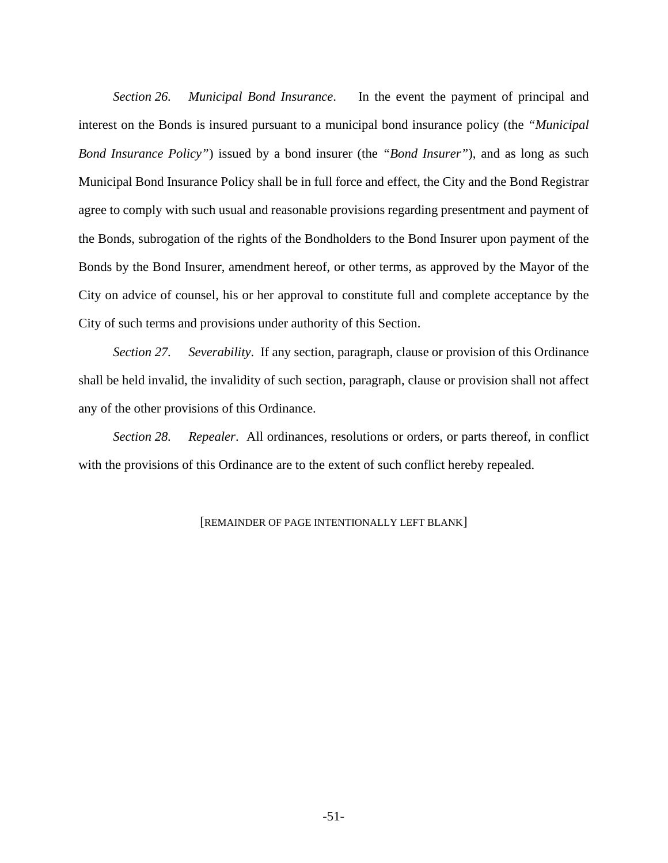*Section 26. Municipal Bond Insurance*. In the event the payment of principal and interest on the Bonds is insured pursuant to a municipal bond insurance policy (the *"Municipal Bond Insurance Policy"*) issued by a bond insurer (the *"Bond Insurer"*), and as long as such Municipal Bond Insurance Policy shall be in full force and effect, the City and the Bond Registrar agree to comply with such usual and reasonable provisions regarding presentment and payment of the Bonds, subrogation of the rights of the Bondholders to the Bond Insurer upon payment of the Bonds by the Bond Insurer, amendment hereof, or other terms, as approved by the Mayor of the City on advice of counsel, his or her approval to constitute full and complete acceptance by the City of such terms and provisions under authority of this Section.

*Section 27. Severability*. If any section, paragraph, clause or provision of this Ordinance shall be held invalid, the invalidity of such section, paragraph, clause or provision shall not affect any of the other provisions of this Ordinance.

*Section 28. Repealer*. All ordinances, resolutions or orders, or parts thereof, in conflict with the provisions of this Ordinance are to the extent of such conflict hereby repealed.

# [REMAINDER OF PAGE INTENTIONALLY LEFT BLANK]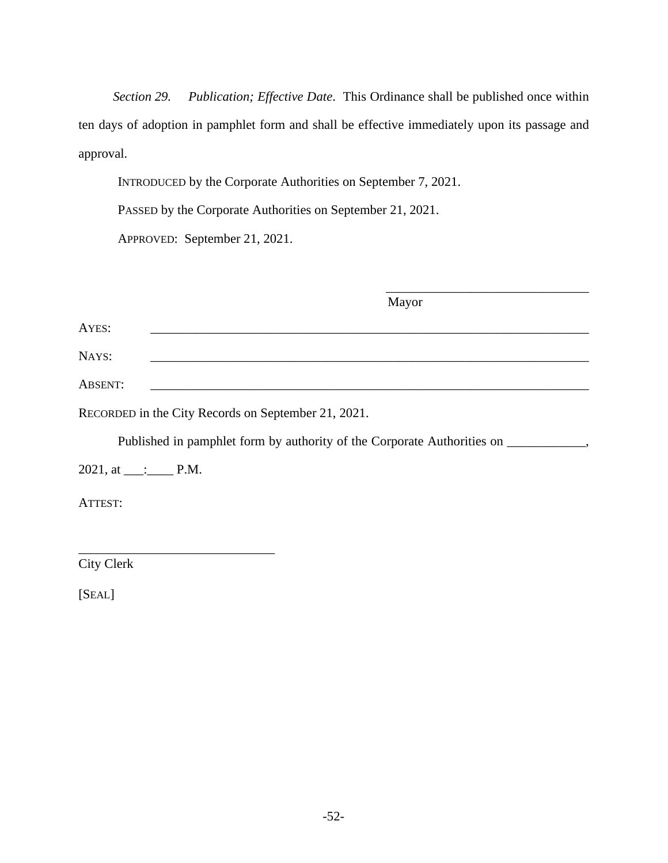*Section 29. Publication; Effective Date*. This Ordinance shall be published once within ten days of adoption in pamphlet form and shall be effective immediately upon its passage and approval.

INTRODUCED by the Corporate Authorities on September 7, 2021.

PASSED by the Corporate Authorities on September 21, 2021.

APPROVED: September 21, 2021.

|                        | Mayor                                                                              |
|------------------------|------------------------------------------------------------------------------------|
| AYES:                  |                                                                                    |
| NAYS:                  |                                                                                    |
| <b>ABSENT:</b>         |                                                                                    |
|                        | RECORDED in the City Records on September 21, 2021.                                |
|                        | Published in pamphlet form by authority of the Corporate Authorities on __________ |
| $2021$ , at ____: P.M. |                                                                                    |
| ATTEST:                |                                                                                    |
|                        |                                                                                    |

City Clerk

\_\_\_\_\_\_\_\_\_\_\_\_\_\_\_\_\_\_\_\_\_\_\_\_\_\_\_\_\_\_

[SEAL]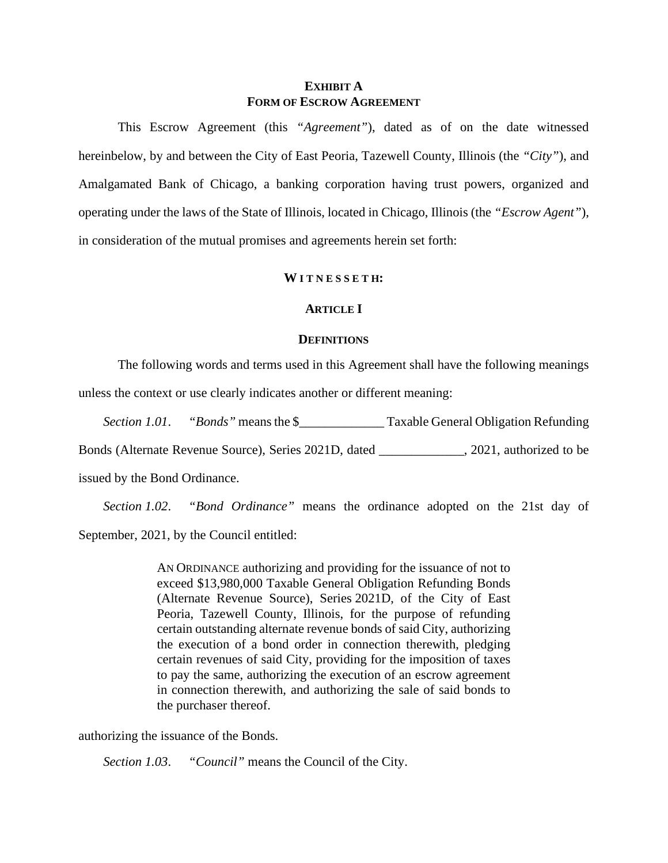# **EXHIBIT A FORM OF ESCROW AGREEMENT**

This Escrow Agreement (this *"Agreement"*), dated as of on the date witnessed hereinbelow, by and between the City of East Peoria, Tazewell County, Illinois (the *"City"*), and Amalgamated Bank of Chicago, a banking corporation having trust powers, organized and operating under the laws of the State of Illinois, located in Chicago, Illinois (the *"Escrow Agent"*), in consideration of the mutual promises and agreements herein set forth:

#### **W I T N E S S E T H:**

# **ARTICLE I**

#### **DEFINITIONS**

The following words and terms used in this Agreement shall have the following meanings unless the context or use clearly indicates another or different meaning:

*Section 1.01. "Bonds"* means the \$ Taxable General Obligation Refunding

Bonds (Alternate Revenue Source), Series 2021D, dated \_\_\_\_\_\_\_\_\_\_\_\_\_, 2021, authorized to be

issued by the Bond Ordinance.

*Section 1.02*. *"Bond Ordinance"* means the ordinance adopted on the 21st day of September, 2021, by the Council entitled:

> AN ORDINANCE authorizing and providing for the issuance of not to exceed \$13,980,000 Taxable General Obligation Refunding Bonds (Alternate Revenue Source), Series 2021D, of the City of East Peoria, Tazewell County, Illinois, for the purpose of refunding certain outstanding alternate revenue bonds of said City, authorizing the execution of a bond order in connection therewith, pledging certain revenues of said City, providing for the imposition of taxes to pay the same, authorizing the execution of an escrow agreement in connection therewith, and authorizing the sale of said bonds to the purchaser thereof.

authorizing the issuance of the Bonds.

*Section 1.03*. *"Council"* means the Council of the City.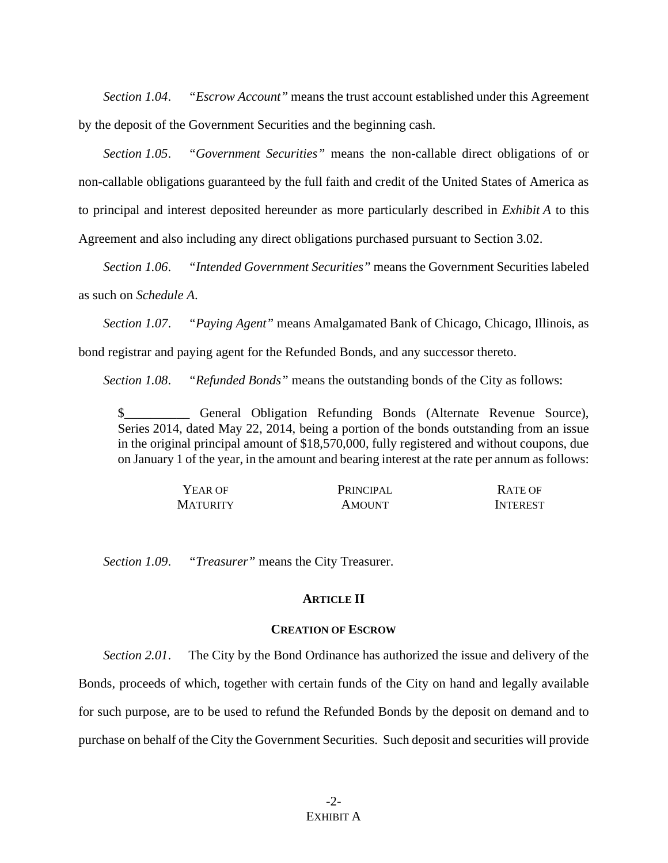*Section 1.04*. *"Escrow Account"* means the trust account established under this Agreement by the deposit of the Government Securities and the beginning cash.

*Section 1.05*. *"Government Securities"* means the non-callable direct obligations of or non-callable obligations guaranteed by the full faith and credit of the United States of America as to principal and interest deposited hereunder as more particularly described in *Exhibit A* to this Agreement and also including any direct obligations purchased pursuant to Section 3.02.

*Section 1.06*. *"Intended Government Securities"* means the Government Securities labeled as such on *Schedule A*.

*Section 1.07*. *"Paying Agent"* means Amalgamated Bank of Chicago, Chicago, Illinois, as

bond registrar and paying agent for the Refunded Bonds, and any successor thereto.

*Section 1.08*. *"Refunded Bonds"* means the outstanding bonds of the City as follows:

\$\_\_\_\_\_\_\_\_\_\_ General Obligation Refunding Bonds (Alternate Revenue Source), Series 2014, dated May 22, 2014, being a portion of the bonds outstanding from an issue in the original principal amount of \$18,570,000, fully registered and without coupons, due on January 1 of the year, in the amount and bearing interest at the rate per annum as follows:

| YEAR OF  | PRINCIPAL     | <b>RATE OF</b>  |
|----------|---------------|-----------------|
| MATURITY | <b>AMOUNT</b> | <b>INTEREST</b> |

*Section 1.09*. *"Treasurer"* means the City Treasurer.

## **ARTICLE II**

# **CREATION OF ESCROW**

*Section 2.01*. The City by the Bond Ordinance has authorized the issue and delivery of the Bonds, proceeds of which, together with certain funds of the City on hand and legally available for such purpose, are to be used to refund the Refunded Bonds by the deposit on demand and to purchase on behalf of the City the Government Securities. Such deposit and securities will provide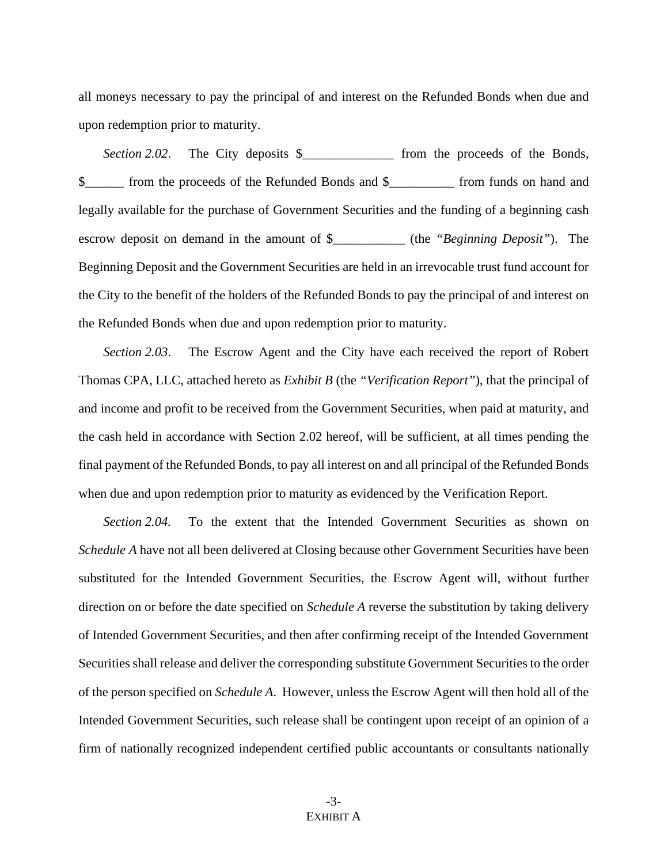all moneys necessary to pay the principal of and interest on the Refunded Bonds when due and upon redemption prior to maturity.

*Section 2.02*. The City deposits \$\_\_\_\_\_\_\_\_\_\_\_\_\_\_ from the proceeds of the Bonds, \$\_\_\_\_\_\_ from the proceeds of the Refunded Bonds and \$\_\_\_\_\_\_\_\_\_\_ from funds on hand and legally available for the purchase of Government Securities and the funding of a beginning cash escrow deposit on demand in the amount of \$\_\_\_\_\_\_\_\_\_\_\_ (the *"Beginning Deposit"*). The Beginning Deposit and the Government Securities are held in an irrevocable trust fund account for the City to the benefit of the holders of the Refunded Bonds to pay the principal of and interest on the Refunded Bonds when due and upon redemption prior to maturity.

*Section 2.03*. The Escrow Agent and the City have each received the report of Robert Thomas CPA, LLC, attached hereto as *Exhibit B* (the *"Verification Report"*), that the principal of and income and profit to be received from the Government Securities, when paid at maturity, and the cash held in accordance with Section 2.02 hereof, will be sufficient, at all times pending the final payment of the Refunded Bonds, to pay all interest on and all principal of the Refunded Bonds when due and upon redemption prior to maturity as evidenced by the Verification Report.

*Section 2.04.* To the extent that the Intended Government Securities as shown on *Schedule A* have not all been delivered at Closing because other Government Securities have been substituted for the Intended Government Securities, the Escrow Agent will, without further direction on or before the date specified on *Schedule A* reverse the substitution by taking delivery of Intended Government Securities, and then after confirming receipt of the Intended Government Securities shall release and deliver the corresponding substitute Government Securities to the order of the person specified on *Schedule A*. However, unless the Escrow Agent will then hold all of the Intended Government Securities, such release shall be contingent upon receipt of an opinion of a firm of nationally recognized independent certified public accountants or consultants nationally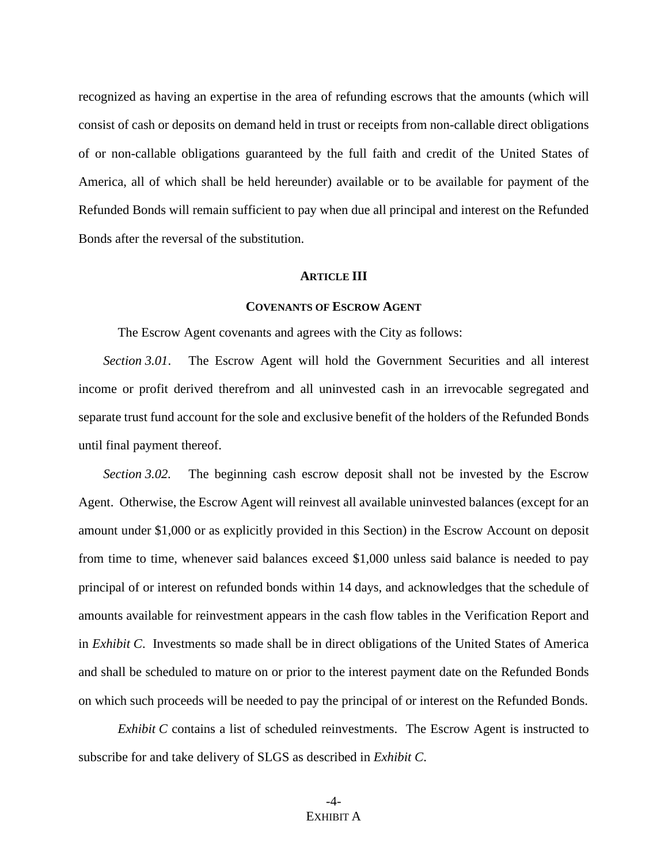recognized as having an expertise in the area of refunding escrows that the amounts (which will consist of cash or deposits on demand held in trust or receipts from non-callable direct obligations of or non-callable obligations guaranteed by the full faith and credit of the United States of America, all of which shall be held hereunder) available or to be available for payment of the Refunded Bonds will remain sufficient to pay when due all principal and interest on the Refunded Bonds after the reversal of the substitution.

#### **ARTICLE III**

# **COVENANTS OF ESCROW AGENT**

The Escrow Agent covenants and agrees with the City as follows:

*Section 3.01*. The Escrow Agent will hold the Government Securities and all interest income or profit derived therefrom and all uninvested cash in an irrevocable segregated and separate trust fund account for the sole and exclusive benefit of the holders of the Refunded Bonds until final payment thereof.

*Section 3.02.* The beginning cash escrow deposit shall not be invested by the Escrow Agent. Otherwise, the Escrow Agent will reinvest all available uninvested balances (except for an amount under \$1,000 or as explicitly provided in this Section) in the Escrow Account on deposit from time to time, whenever said balances exceed \$1,000 unless said balance is needed to pay principal of or interest on refunded bonds within 14 days, and acknowledges that the schedule of amounts available for reinvestment appears in the cash flow tables in the Verification Report and in *Exhibit C*. Investments so made shall be in direct obligations of the United States of America and shall be scheduled to mature on or prior to the interest payment date on the Refunded Bonds on which such proceeds will be needed to pay the principal of or interest on the Refunded Bonds.

*Exhibit C* contains a list of scheduled reinvestments. The Escrow Agent is instructed to subscribe for and take delivery of SLGS as described in *Exhibit C*.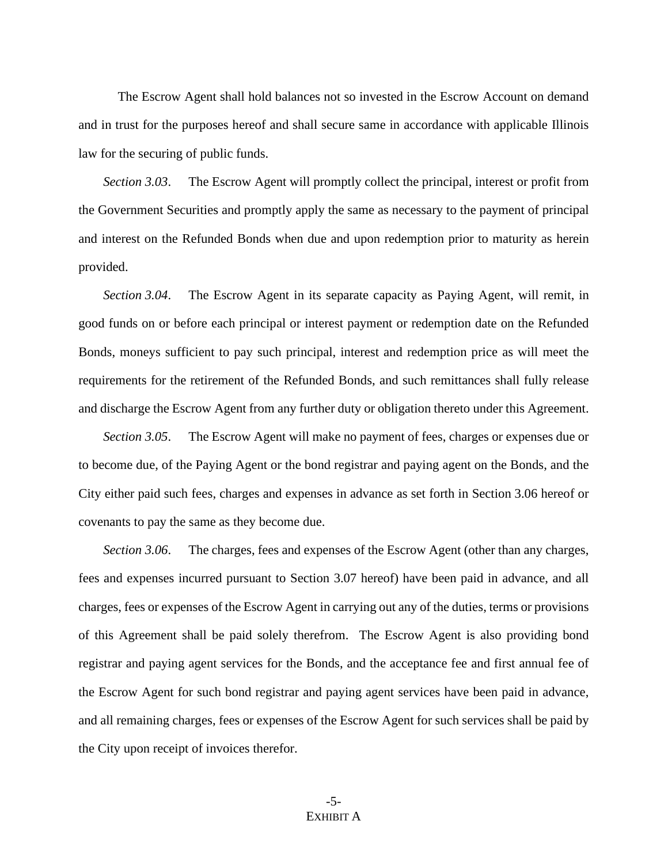The Escrow Agent shall hold balances not so invested in the Escrow Account on demand and in trust for the purposes hereof and shall secure same in accordance with applicable Illinois law for the securing of public funds.

*Section 3.03*. The Escrow Agent will promptly collect the principal, interest or profit from the Government Securities and promptly apply the same as necessary to the payment of principal and interest on the Refunded Bonds when due and upon redemption prior to maturity as herein provided.

*Section 3.04*. The Escrow Agent in its separate capacity as Paying Agent, will remit, in good funds on or before each principal or interest payment or redemption date on the Refunded Bonds, moneys sufficient to pay such principal, interest and redemption price as will meet the requirements for the retirement of the Refunded Bonds, and such remittances shall fully release and discharge the Escrow Agent from any further duty or obligation thereto under this Agreement.

*Section 3.05*. The Escrow Agent will make no payment of fees, charges or expenses due or to become due, of the Paying Agent or the bond registrar and paying agent on the Bonds, and the City either paid such fees, charges and expenses in advance as set forth in Section 3.06 hereof or covenants to pay the same as they become due.

*Section 3.06*. The charges, fees and expenses of the Escrow Agent (other than any charges, fees and expenses incurred pursuant to Section 3.07 hereof) have been paid in advance, and all charges, fees or expenses of the Escrow Agent in carrying out any of the duties, terms or provisions of this Agreement shall be paid solely therefrom. The Escrow Agent is also providing bond registrar and paying agent services for the Bonds, and the acceptance fee and first annual fee of the Escrow Agent for such bond registrar and paying agent services have been paid in advance, and all remaining charges, fees or expenses of the Escrow Agent for such services shall be paid by the City upon receipt of invoices therefor.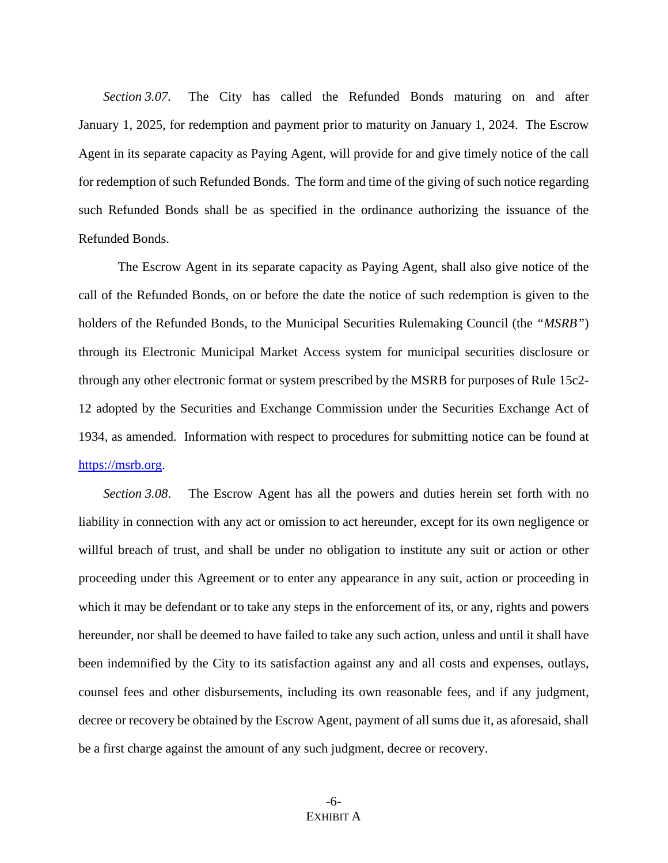*Section 3.07.* The City has called the Refunded Bonds maturing on and after January 1, 2025, for redemption and payment prior to maturity on January 1, 2024. The Escrow Agent in its separate capacity as Paying Agent, will provide for and give timely notice of the call for redemption of such Refunded Bonds. The form and time of the giving of such notice regarding such Refunded Bonds shall be as specified in the ordinance authorizing the issuance of the Refunded Bonds.

The Escrow Agent in its separate capacity as Paying Agent, shall also give notice of the call of the Refunded Bonds, on or before the date the notice of such redemption is given to the holders of the Refunded Bonds, to the Municipal Securities Rulemaking Council (the *"MSRB"*) through its Electronic Municipal Market Access system for municipal securities disclosure or through any other electronic format or system prescribed by the MSRB for purposes of Rule 15c2- 12 adopted by the Securities and Exchange Commission under the Securities Exchange Act of 1934, as amended. Information with respect to procedures for submitting notice can be found at [https://msrb.org.](https://msrb.org/)

*Section 3.08*. The Escrow Agent has all the powers and duties herein set forth with no liability in connection with any act or omission to act hereunder, except for its own negligence or willful breach of trust, and shall be under no obligation to institute any suit or action or other proceeding under this Agreement or to enter any appearance in any suit, action or proceeding in which it may be defendant or to take any steps in the enforcement of its, or any, rights and powers hereunder, nor shall be deemed to have failed to take any such action, unless and until it shall have been indemnified by the City to its satisfaction against any and all costs and expenses, outlays, counsel fees and other disbursements, including its own reasonable fees, and if any judgment, decree or recovery be obtained by the Escrow Agent, payment of all sums due it, as aforesaid, shall be a first charge against the amount of any such judgment, decree or recovery.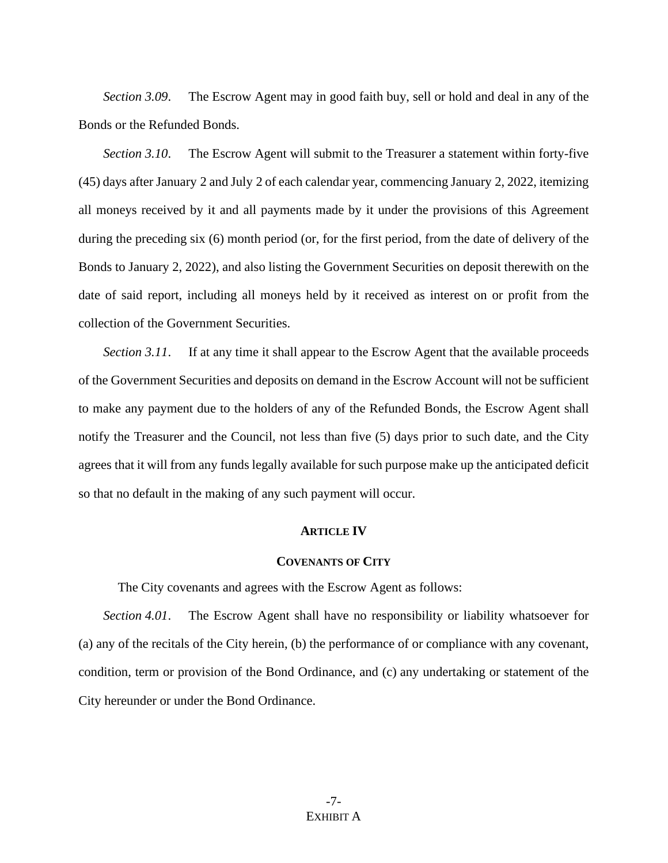*Section 3.09*. The Escrow Agent may in good faith buy, sell or hold and deal in any of the Bonds or the Refunded Bonds.

*Section 3.10*. The Escrow Agent will submit to the Treasurer a statement within forty-five (45) days after January 2 and July 2 of each calendar year, commencing January 2, 2022, itemizing all moneys received by it and all payments made by it under the provisions of this Agreement during the preceding six (6) month period (or, for the first period, from the date of delivery of the Bonds to January 2, 2022), and also listing the Government Securities on deposit therewith on the date of said report, including all moneys held by it received as interest on or profit from the collection of the Government Securities.

*Section 3.11*. If at any time it shall appear to the Escrow Agent that the available proceeds of the Government Securities and deposits on demand in the Escrow Account will not be sufficient to make any payment due to the holders of any of the Refunded Bonds, the Escrow Agent shall notify the Treasurer and the Council, not less than five (5) days prior to such date, and the City agrees that it will from any funds legally available for such purpose make up the anticipated deficit so that no default in the making of any such payment will occur.

#### **ARTICLE IV**

### **COVENANTS OF CITY**

The City covenants and agrees with the Escrow Agent as follows:

*Section 4.01*. The Escrow Agent shall have no responsibility or liability whatsoever for (a) any of the recitals of the City herein, (b) the performance of or compliance with any covenant, condition, term or provision of the Bond Ordinance, and (c) any undertaking or statement of the City hereunder or under the Bond Ordinance.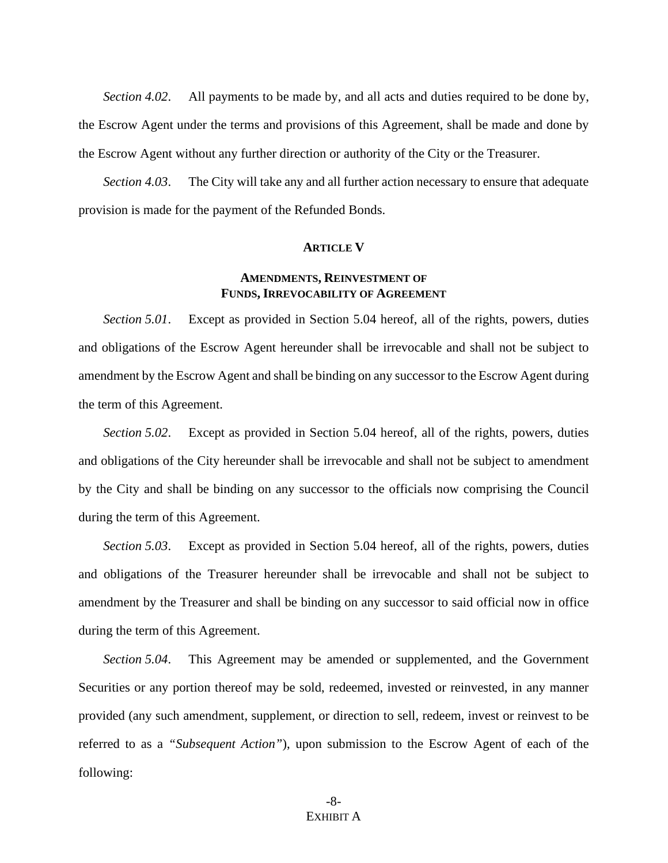*Section 4.02*. All payments to be made by, and all acts and duties required to be done by, the Escrow Agent under the terms and provisions of this Agreement, shall be made and done by the Escrow Agent without any further direction or authority of the City or the Treasurer.

*Section 4.03*. The City will take any and all further action necessary to ensure that adequate provision is made for the payment of the Refunded Bonds.

#### **ARTICLE V**

# **AMENDMENTS, REINVESTMENT OF FUNDS, IRREVOCABILITY OF AGREEMENT**

*Section 5.01*. Except as provided in Section 5.04 hereof, all of the rights, powers, duties and obligations of the Escrow Agent hereunder shall be irrevocable and shall not be subject to amendment by the Escrow Agent and shall be binding on any successor to the Escrow Agent during the term of this Agreement.

*Section 5.02*. Except as provided in Section 5.04 hereof, all of the rights, powers, duties and obligations of the City hereunder shall be irrevocable and shall not be subject to amendment by the City and shall be binding on any successor to the officials now comprising the Council during the term of this Agreement.

*Section 5.03*. Except as provided in Section 5.04 hereof, all of the rights, powers, duties and obligations of the Treasurer hereunder shall be irrevocable and shall not be subject to amendment by the Treasurer and shall be binding on any successor to said official now in office during the term of this Agreement.

*Section 5.04*. This Agreement may be amended or supplemented, and the Government Securities or any portion thereof may be sold, redeemed, invested or reinvested, in any manner provided (any such amendment, supplement, or direction to sell, redeem, invest or reinvest to be referred to as a *"Subsequent Action"*), upon submission to the Escrow Agent of each of the following: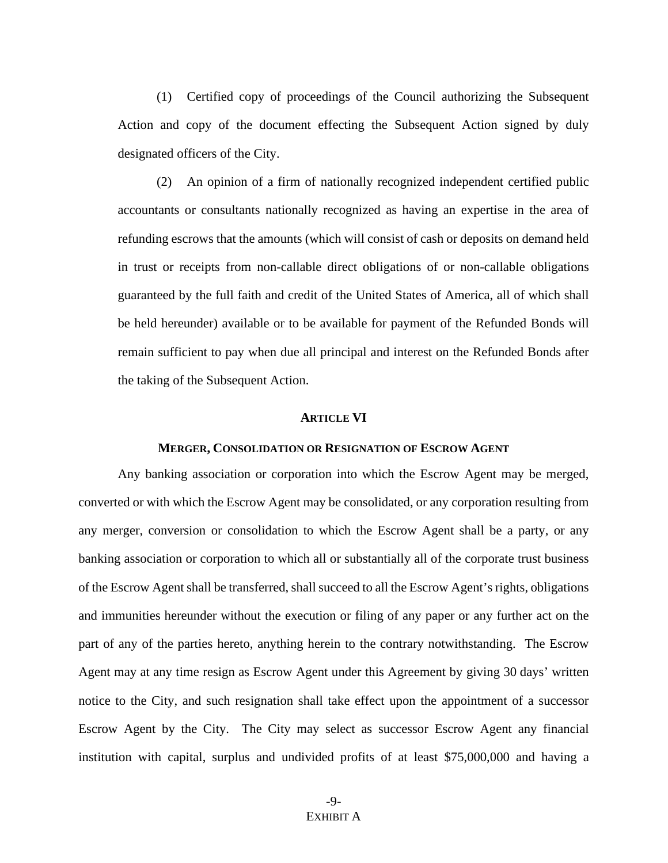(1) Certified copy of proceedings of the Council authorizing the Subsequent Action and copy of the document effecting the Subsequent Action signed by duly designated officers of the City.

(2) An opinion of a firm of nationally recognized independent certified public accountants or consultants nationally recognized as having an expertise in the area of refunding escrows that the amounts (which will consist of cash or deposits on demand held in trust or receipts from non-callable direct obligations of or non-callable obligations guaranteed by the full faith and credit of the United States of America, all of which shall be held hereunder) available or to be available for payment of the Refunded Bonds will remain sufficient to pay when due all principal and interest on the Refunded Bonds after the taking of the Subsequent Action.

#### **ARTICLE VI**

#### **MERGER, CONSOLIDATION OR RESIGNATION OF ESCROW AGENT**

Any banking association or corporation into which the Escrow Agent may be merged, converted or with which the Escrow Agent may be consolidated, or any corporation resulting from any merger, conversion or consolidation to which the Escrow Agent shall be a party, or any banking association or corporation to which all or substantially all of the corporate trust business of the Escrow Agent shall be transferred, shall succeed to all the Escrow Agent's rights, obligations and immunities hereunder without the execution or filing of any paper or any further act on the part of any of the parties hereto, anything herein to the contrary notwithstanding. The Escrow Agent may at any time resign as Escrow Agent under this Agreement by giving 30 days' written notice to the City, and such resignation shall take effect upon the appointment of a successor Escrow Agent by the City. The City may select as successor Escrow Agent any financial institution with capital, surplus and undivided profits of at least \$75,000,000 and having a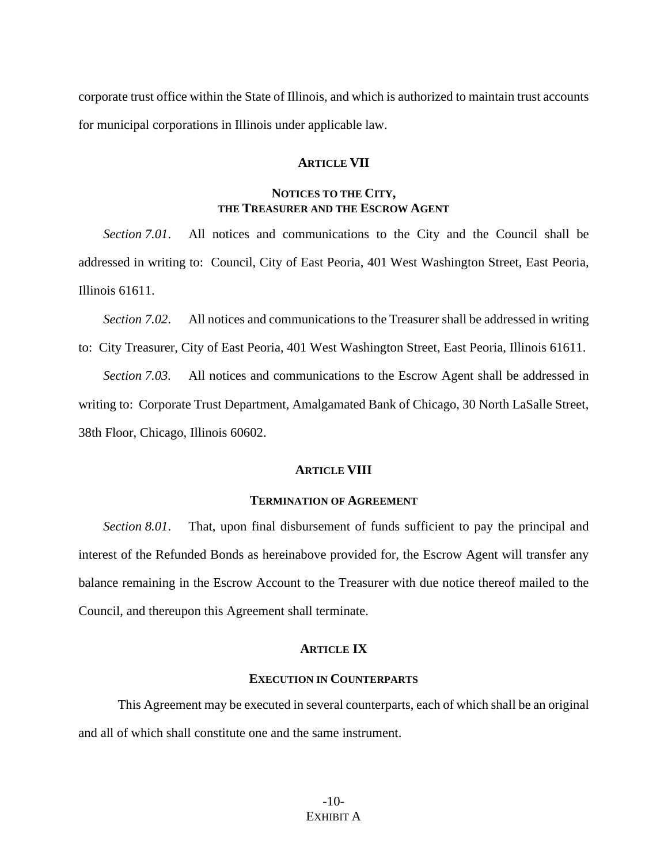corporate trust office within the State of Illinois, and which is authorized to maintain trust accounts for municipal corporations in Illinois under applicable law.

# **ARTICLE VII**

# **NOTICES TO THE CITY, THE TREASURER AND THE ESCROW AGENT**

*Section 7.01*. All notices and communications to the City and the Council shall be addressed in writing to: Council, City of East Peoria, 401 West Washington Street, East Peoria, Illinois 61611.

*Section 7.02*. All notices and communications to the Treasurer shall be addressed in writing to: City Treasurer, City of East Peoria, 401 West Washington Street, East Peoria, Illinois 61611.

*Section 7.03.* All notices and communications to the Escrow Agent shall be addressed in writing to: Corporate Trust Department, Amalgamated Bank of Chicago, 30 North LaSalle Street, 38th Floor, Chicago, Illinois 60602.

### **ARTICLE VIII**

#### **TERMINATION OF AGREEMENT**

*Section 8.01*. That, upon final disbursement of funds sufficient to pay the principal and interest of the Refunded Bonds as hereinabove provided for, the Escrow Agent will transfer any balance remaining in the Escrow Account to the Treasurer with due notice thereof mailed to the Council, and thereupon this Agreement shall terminate.

## **ARTICLE IX**

# **EXECUTION IN COUNTERPARTS**

This Agreement may be executed in several counterparts, each of which shall be an original and all of which shall constitute one and the same instrument.

> -10- EXHIBIT A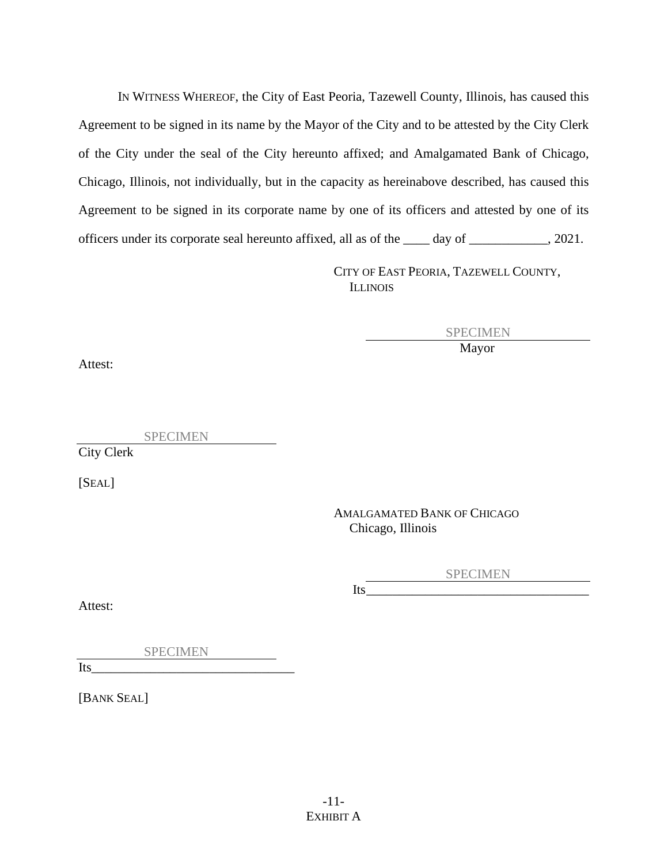IN WITNESS WHEREOF, the City of East Peoria, Tazewell County, Illinois, has caused this Agreement to be signed in its name by the Mayor of the City and to be attested by the City Clerk of the City under the seal of the City hereunto affixed; and Amalgamated Bank of Chicago, Chicago, Illinois, not individually, but in the capacity as hereinabove described, has caused this Agreement to be signed in its corporate name by one of its officers and attested by one of its officers under its corporate seal hereunto affixed, all as of the \_\_\_\_ day of \_\_\_\_\_\_\_\_\_\_\_\_, 2021.

> CITY OF EAST PEORIA, TAZEWELL COUNTY, ILLINOIS

> > SPECIMEN Mayor

Attest:

SPECIMEN

City Clerk

[SEAL]

AMALGAMATED BANK OF CHICAGO Chicago, Illinois

> SPECIMEN Its\_\_\_\_\_\_\_\_\_\_\_\_\_\_\_\_\_\_\_\_\_\_\_\_\_\_\_\_\_\_\_\_\_\_

Attest:

SPECIMEN

Its\_\_\_\_\_\_\_\_\_\_\_\_\_\_\_\_\_\_\_\_\_\_\_\_\_\_\_\_\_\_\_

[BANK SEAL]